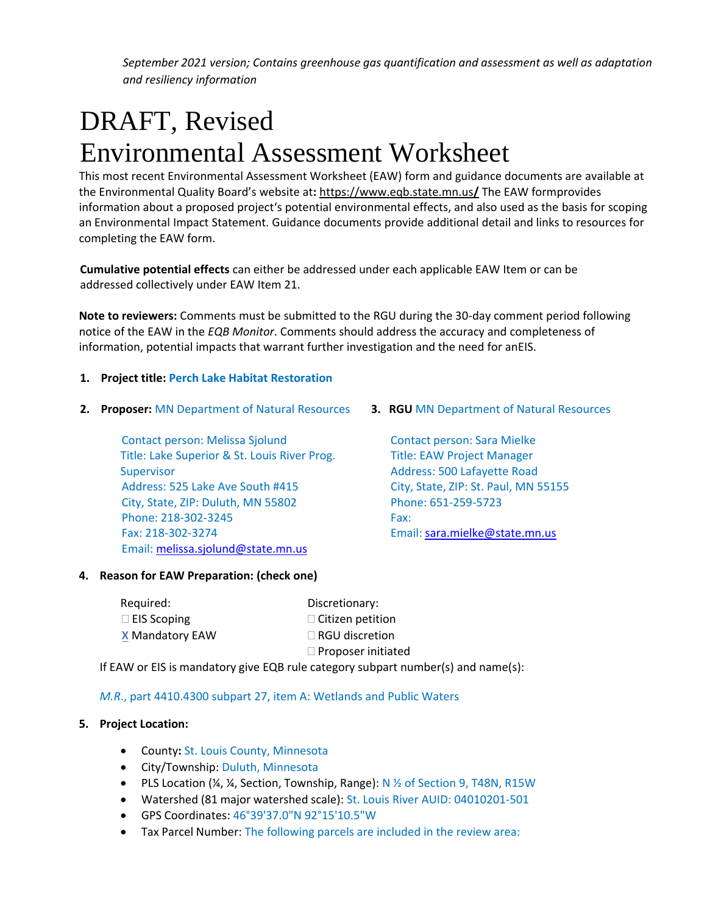# DRAFT, Revised Environmental Assessment Worksheet

This most recent Environmental Assessment Worksheet (EAW) form and guidance documents are available at the Environmental Quality Board's website at**:** [https://www.eqb.state.mn.us](https://www.eqb.state.mn.us/)**/** The EAW formprovides information about a proposed project's potential environmental effects, and also used as the basis for scoping an Environmental Impact Statement. Guidance documents provide additional detail and links to resources for completing the EAW form.

**Cumulative potential effects** can either be addressed under each applicable EAW Item or can be addressed collectively under EAW Item 21.

**Note to reviewers:** Comments must be submitted to the RGU during the 30-day comment period following notice of the EAW in the *EQB Monitor*. Comments should address the accuracy and completeness of information, potential impacts that warrant further investigation and the need for anEIS.

# **1. Project title: Perch Lake Habitat Restoration**

**2. Proposer:** MN Department of Natural Resources **3. RGU** MN Department of Natural Resources

Contact person: Melissa Sjolund Contact person: Sara Mielke Title: Lake Superior & St. Louis River Prog. Title: EAW Project Manager Supervisor **Address: 500 Lafayette Road** Address: 525 Lake Ave South #415 City, State, ZIP: St. Paul, MN 55155 City, State, ZIP: Duluth, MN 55802 Phone: 651-259-5723 Phone: 218-302-3245 Fax: Fax: 218-302-3274 Email: [sara.mielke@state.mn.us](mailto:sara.mielke@state.mn.us) Email: [melissa.sjolund@state.mn.us](mailto:melissa.sjolund@state.mn.us)

# **4. Reason for EAW Preparation: (check one)**

| Required:              | Discretionary:            |  |
|------------------------|---------------------------|--|
| $\Box$ EIS Scoping     | $\Box$ Citizen petition   |  |
| <b>X</b> Mandatory EAW | $\Box$ RGU discretion     |  |
|                        | $\Box$ Proposer initiated |  |
| .                      |                           |  |

If EAW or EIS is mandatory give EQB rule category subpart number(s) and name(s):

# *M.R*., part 4410.4300 subpart 27, item A: Wetlands and Public Waters

# **5. Project Location:**

- County**:** St. Louis County, Minnesota
- City/Township: Duluth, Minnesota
- PLS Location  $\frac{1}{4}$ ,  $\frac{1}{4}$ , Section, Township, Range): N  $\frac{1}{2}$  of Section 9, T48N, R15W
- Watershed (81 major watershed scale): St. Louis River AUID: 04010201-501
- GPS Coordinates: 46°39'37.0"N 92°15'10.5"W
- Tax Parcel Number: The following parcels are included in the review area: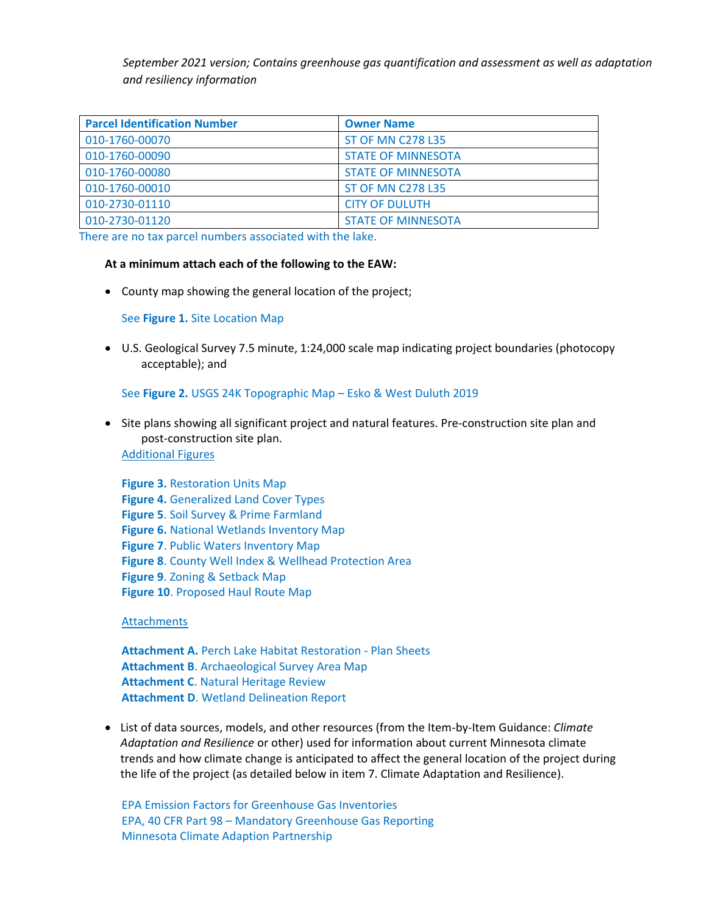| <b>Parcel Identification Number</b> | <b>Owner Name</b>         |
|-------------------------------------|---------------------------|
| 010-1760-00070                      | <b>ST OF MN C278 L35</b>  |
| 010-1760-00090                      | <b>STATE OF MINNESOTA</b> |
| 010-1760-00080                      | <b>STATE OF MINNESOTA</b> |
| 010-1760-00010                      | <b>ST OF MN C278 L35</b>  |
| 010-2730-01110                      | <b>CITY OF DULUTH</b>     |
| 010-2730-01120                      | <b>STATE OF MINNESOTA</b> |

There are no tax parcel numbers associated with the lake.

#### **At a minimum attach each of the following to the EAW:**

• County map showing the general location of the project;

#### See **Figure 1.** Site Location Map

• U.S. Geological Survey 7.5 minute, 1:24,000 scale map indicating project boundaries (photocopy acceptable); and

#### See **Figure 2.** USGS 24K Topographic Map – Esko & West Duluth 2019

• Site plans showing all significant project and natural features. Pre-construction site plan and post-construction site plan. Additional Figures

**Figure 3.** Restoration Units Map **Figure 4.** Generalized Land Cover Types **Figure 5**. Soil Survey & Prime Farmland **Figure 6.** National Wetlands Inventory Map **Figure 7**. Public Waters Inventory Map **Figure 8**. County Well Index & Wellhead Protection Area **Figure 9**. Zoning & Setback Map **Figure 10**. Proposed Haul Route Map

Attachments

**Attachment A.** Perch Lake Habitat Restoration - Plan Sheets **Attachment B**. Archaeological Survey Area Map **Attachment C**. Natural Heritage Review **Attachment D**. Wetland Delineation Report

• List of data sources, models, and other resources (from the Item-by-Item Guidance: *Climate Adaptation and Resilience* or other) used for information about current Minnesota climate trends and how climate change is anticipated to affect the general location of the project during the life of the project (as detailed below in item 7. Climate Adaptation and Resilience).

EPA Emission Factors for Greenhouse Gas Inventories EPA, 40 CFR Part 98 – Mandatory Greenhouse Gas Reporting Minnesota Climate Adaption Partnership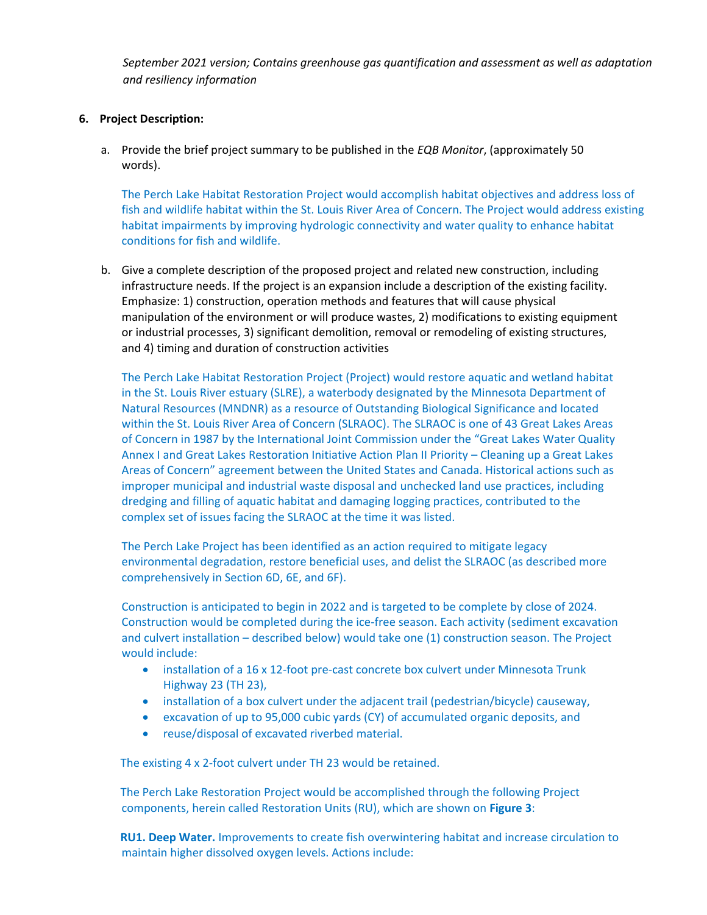# **6. Project Description:**

a. Provide the brief project summary to be published in the *EQB Monitor*, (approximately 50 words).

The Perch Lake Habitat Restoration Project would accomplish habitat objectives and address loss of fish and wildlife habitat within the St. Louis River Area of Concern. The Project would address existing habitat impairments by improving hydrologic connectivity and water quality to enhance habitat conditions for fish and wildlife.

b. Give a complete description of the proposed project and related new construction, including infrastructure needs. If the project is an expansion include a description of the existing facility. Emphasize: 1) construction, operation methods and features that will cause physical manipulation of the environment or will produce wastes, 2) modifications to existing equipment or industrial processes, 3) significant demolition, removal or remodeling of existing structures, and 4) timing and duration of construction activities

The Perch Lake Habitat Restoration Project (Project) would restore aquatic and wetland habitat in the St. Louis River estuary (SLRE), a waterbody designated by the Minnesota Department of Natural Resources (MNDNR) as a resource of Outstanding Biological Significance and located within the St. Louis River Area of Concern (SLRAOC). The SLRAOC is one of 43 Great Lakes Areas of Concern in 1987 by the International Joint Commission under the "Great Lakes Water Quality Annex I and Great Lakes Restoration Initiative Action Plan II Priority – Cleaning up a Great Lakes Areas of Concern" agreement between the United States and Canada. Historical actions such as improper municipal and industrial waste disposal and unchecked land use practices, including dredging and filling of aquatic habitat and damaging logging practices, contributed to the complex set of issues facing the SLRAOC at the time it was listed.

The Perch Lake Project has been identified as an action required to mitigate legacy environmental degradation, restore beneficial uses, and delist the SLRAOC (as described more comprehensively in Section 6D, 6E, and 6F).

Construction is anticipated to begin in 2022 and is targeted to be complete by close of 2024. Construction would be completed during the ice-free season. Each activity (sediment excavation and culvert installation – described below) would take one (1) construction season. The Project would include:

- installation of a 16 x 12-foot pre-cast concrete box culvert under Minnesota Trunk Highway 23 (TH 23),
- installation of a box culvert under the adjacent trail (pedestrian/bicycle) causeway,
- excavation of up to 95,000 cubic yards (CY) of accumulated organic deposits, and
- reuse/disposal of excavated riverbed material.

The existing 4 x 2-foot culvert under TH 23 would be retained.

The Perch Lake Restoration Project would be accomplished through the following Project components, herein called Restoration Units (RU), which are shown on **Figure 3**:

**RU1. Deep Water.** Improvements to create fish overwintering habitat and increase circulation to maintain higher dissolved oxygen levels. Actions include: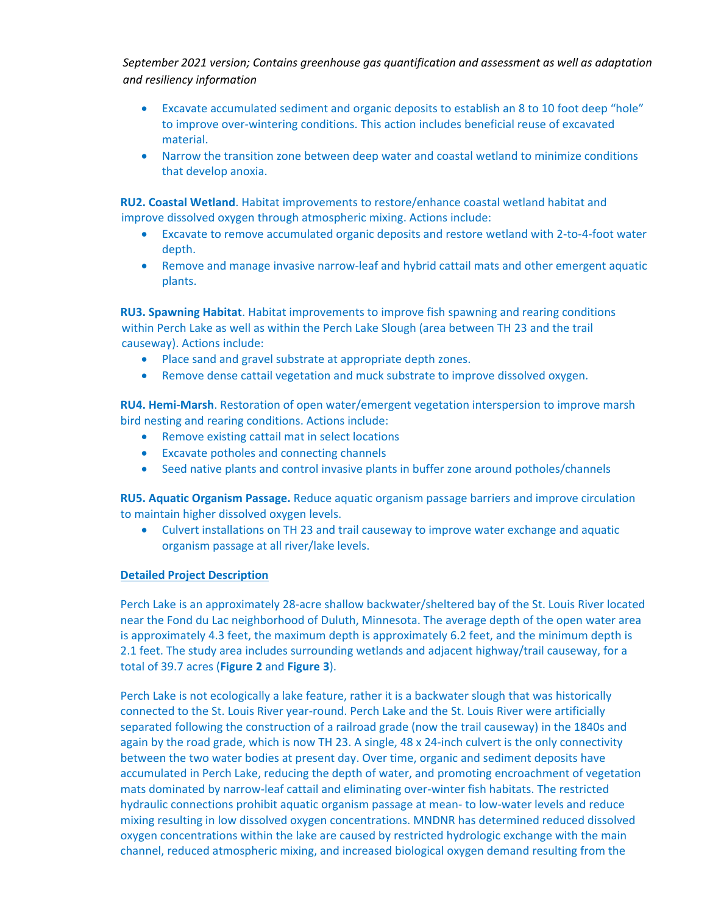- Excavate accumulated sediment and organic deposits to establish an 8 to 10 foot deep "hole" to improve over-wintering conditions. This action includes beneficial reuse of excavated material.
- Narrow the transition zone between deep water and coastal wetland to minimize conditions that develop anoxia.

**RU2. Coastal Wetland**. Habitat improvements to restore/enhance coastal wetland habitat and improve dissolved oxygen through atmospheric mixing. Actions include:

- Excavate to remove accumulated organic deposits and restore wetland with 2-to-4-foot water depth.
- Remove and manage invasive narrow-leaf and hybrid cattail mats and other emergent aquatic plants.

**RU3. Spawning Habitat**. Habitat improvements to improve fish spawning and rearing conditions within Perch Lake as well as within the Perch Lake Slough (area between TH 23 and the trail causeway). Actions include:

- Place sand and gravel substrate at appropriate depth zones.
- Remove dense cattail vegetation and muck substrate to improve dissolved oxygen.

**RU4. Hemi-Marsh**. Restoration of open water/emergent vegetation interspersion to improve marsh bird nesting and rearing conditions. Actions include:

- Remove existing cattail mat in select locations
- Excavate potholes and connecting channels
- Seed native plants and control invasive plants in buffer zone around potholes/channels

**RU5. Aquatic Organism Passage.** Reduce aquatic organism passage barriers and improve circulation to maintain higher dissolved oxygen levels.

• Culvert installations on TH 23 and trail causeway to improve water exchange and aquatic organism passage at all river/lake levels.

# **Detailed Project Description**

Perch Lake is an approximately 28-acre shallow backwater/sheltered bay of the St. Louis River located near the Fond du Lac neighborhood of Duluth, Minnesota. The average depth of the open water area is approximately 4.3 feet, the maximum depth is approximately 6.2 feet, and the minimum depth is 2.1 feet. The study area includes surrounding wetlands and adjacent highway/trail causeway, for a total of 39.7 acres (**Figure 2** and **Figure 3**).

Perch Lake is not ecologically a lake feature, rather it is a backwater slough that was historically connected to the St. Louis River year-round. Perch Lake and the St. Louis River were artificially separated following the construction of a railroad grade (now the trail causeway) in the 1840s and again by the road grade, which is now TH 23. A single, 48 x 24-inch culvert is the only connectivity between the two water bodies at present day. Over time, organic and sediment deposits have accumulated in Perch Lake, reducing the depth of water, and promoting encroachment of vegetation mats dominated by narrow-leaf cattail and eliminating over-winter fish habitats. The restricted hydraulic connections prohibit aquatic organism passage at mean- to low-water levels and reduce mixing resulting in low dissolved oxygen concentrations. MNDNR has determined reduced dissolved oxygen concentrations within the lake are caused by restricted hydrologic exchange with the main channel, reduced atmospheric mixing, and increased biological oxygen demand resulting from the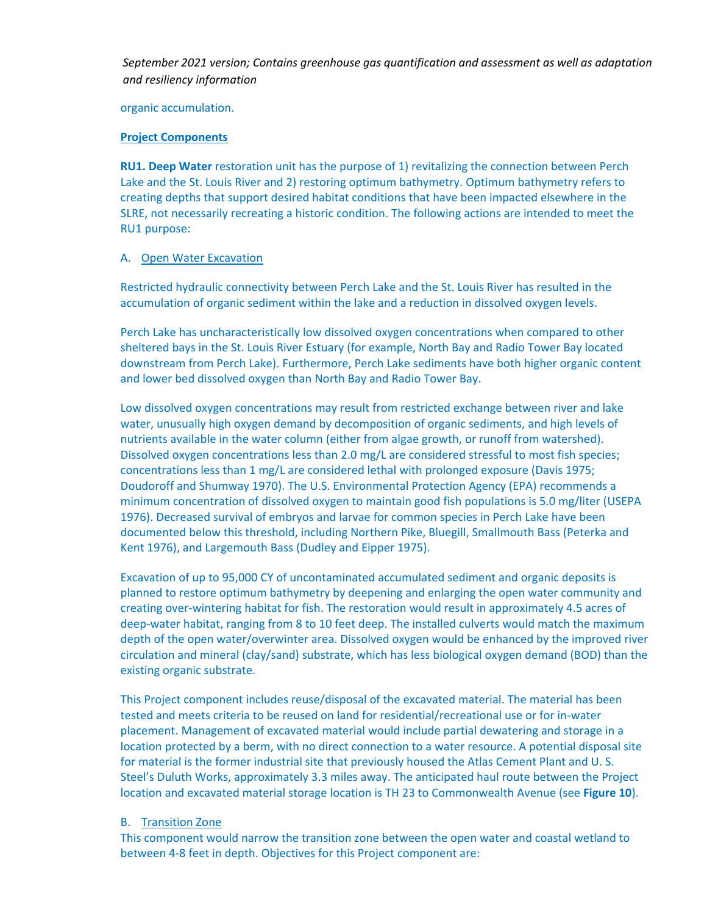organic accumulation.

# **Project Components**

**RU1. Deep Water** restoration unit has the purpose of 1) revitalizing the connection between Perch Lake and the St. Louis River and 2) restoring optimum bathymetry. Optimum bathymetry refers to creating depths that support desired habitat conditions that have been impacted elsewhere in the SLRE, not necessarily recreating a historic condition. The following actions are intended to meet the RU1 purpose:

# A. Open Water Excavation

Restricted hydraulic connectivity between Perch Lake and the St. Louis River has resulted in the accumulation of organic sediment within the lake and a reduction in dissolved oxygen levels.

Perch Lake has uncharacteristically low dissolved oxygen concentrations when compared to other sheltered bays in the St. Louis River Estuary (for example, North Bay and Radio Tower Bay located downstream from Perch Lake). Furthermore, Perch Lake sediments have both higher organic content and lower bed dissolved oxygen than North Bay and Radio Tower Bay.

Low dissolved oxygen concentrations may result from restricted exchange between river and lake water, unusually high oxygen demand by decomposition of organic sediments, and high levels of nutrients available in the water column (either from algae growth, or runoff from watershed). Dissolved oxygen concentrations less than 2.0 mg/L are considered stressful to most fish species; concentrations less than 1 mg/L are considered lethal with prolonged exposure (Davis 1975; Doudoroff and Shumway 1970). The U.S. Environmental Protection Agency (EPA) recommends a minimum concentration of dissolved oxygen to maintain good fish populations is 5.0 mg/liter (USEPA 1976). Decreased survival of embryos and larvae for common species in Perch Lake have been documented below this threshold, including Northern Pike, Bluegill, Smallmouth Bass (Peterka and Kent 1976), and Largemouth Bass (Dudley and Eipper 1975).

Excavation of up to 95,000 CY of uncontaminated accumulated sediment and organic deposits is planned to restore optimum bathymetry by deepening and enlarging the open water community and creating over-wintering habitat for fish. The restoration would result in approximately 4.5 acres of deep-water habitat, ranging from 8 to 10 feet deep. The installed culverts would match the maximum depth of the open water/overwinter area. Dissolved oxygen would be enhanced by the improved river circulation and mineral (clay/sand) substrate, which has less biological oxygen demand (BOD) than the existing organic substrate.

This Project component includes reuse/disposal of the excavated material. The material has been tested and meets criteria to be reused on land for residential/recreational use or for in-water placement. Management of excavated material would include partial dewatering and storage in a location protected by a berm, with no direct connection to a water resource. A potential disposal site for material is the former industrial site that previously housed the Atlas Cement Plant and U. S. Steel's Duluth Works, approximately 3.3 miles away. The anticipated haul route between the Project location and excavated material storage location is TH 23 to Commonwealth Avenue (see **Figure 10**).

# B. Transition Zone

This component would narrow the transition zone between the open water and coastal wetland to between 4-8 feet in depth. Objectives for this Project component are: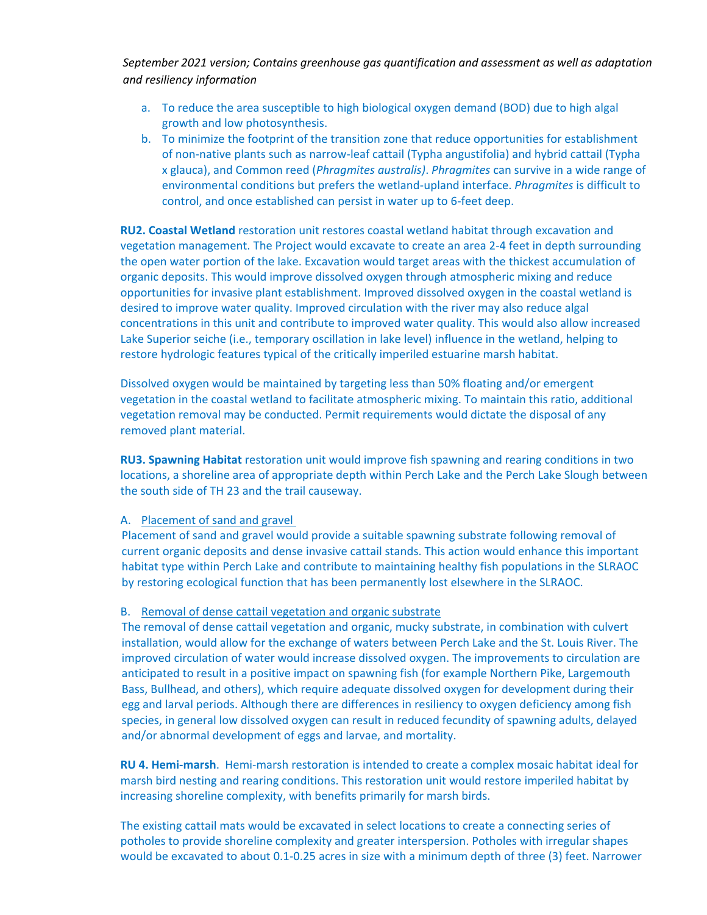- a. To reduce the area susceptible to high biological oxygen demand (BOD) due to high algal growth and low photosynthesis.
- b. To minimize the footprint of the transition zone that reduce opportunities for establishment of non-native plants such as narrow-leaf cattail (Typha angustifolia) and hybrid cattail (Typha x glauca), and Common reed (*Phragmites australis)*. *Phragmites* can survive in a wide range of environmental conditions but prefers the wetland-upland interface. *Phragmites* is difficult to control, and once established can persist in water up to 6-feet deep.

**RU2. Coastal Wetland** restoration unit restores coastal wetland habitat through excavation and vegetation management. The Project would excavate to create an area 2-4 feet in depth surrounding the open water portion of the lake. Excavation would target areas with the thickest accumulation of organic deposits. This would improve dissolved oxygen through atmospheric mixing and reduce opportunities for invasive plant establishment. Improved dissolved oxygen in the coastal wetland is desired to improve water quality. Improved circulation with the river may also reduce algal concentrations in this unit and contribute to improved water quality. This would also allow increased Lake Superior seiche (i.e., temporary oscillation in lake level) influence in the wetland, helping to restore hydrologic features typical of the critically imperiled estuarine marsh habitat.

Dissolved oxygen would be maintained by targeting less than 50% floating and/or emergent vegetation in the coastal wetland to facilitate atmospheric mixing. To maintain this ratio, additional vegetation removal may be conducted. Permit requirements would dictate the disposal of any removed plant material.

**RU3. Spawning Habitat** restoration unit would improve fish spawning and rearing conditions in two locations, a shoreline area of appropriate depth within Perch Lake and the Perch Lake Slough between the south side of TH 23 and the trail causeway.

#### A. Placement of sand and gravel

Placement of sand and gravel would provide a suitable spawning substrate following removal of current organic deposits and dense invasive cattail stands. This action would enhance this important habitat type within Perch Lake and contribute to maintaining healthy fish populations in the SLRAOC by restoring ecological function that has been permanently lost elsewhere in the SLRAOC.

#### B. Removal of dense cattail vegetation and organic substrate

The removal of dense cattail vegetation and organic, mucky substrate, in combination with culvert installation, would allow for the exchange of waters between Perch Lake and the St. Louis River. The improved circulation of water would increase dissolved oxygen. The improvements to circulation are anticipated to result in a positive impact on spawning fish (for example Northern Pike, Largemouth Bass, Bullhead, and others), which require adequate dissolved oxygen for development during their egg and larval periods. Although there are differences in resiliency to oxygen deficiency among fish species, in general low dissolved oxygen can result in reduced fecundity of spawning adults, delayed and/or abnormal development of eggs and larvae, and mortality.

**RU 4. Hemi-marsh**. Hemi-marsh restoration is intended to create a complex mosaic habitat ideal for marsh bird nesting and rearing conditions. This restoration unit would restore imperiled habitat by increasing shoreline complexity, with benefits primarily for marsh birds.

The existing cattail mats would be excavated in select locations to create a connecting series of potholes to provide shoreline complexity and greater interspersion. Potholes with irregular shapes would be excavated to about 0.1-0.25 acres in size with a minimum depth of three (3) feet. Narrower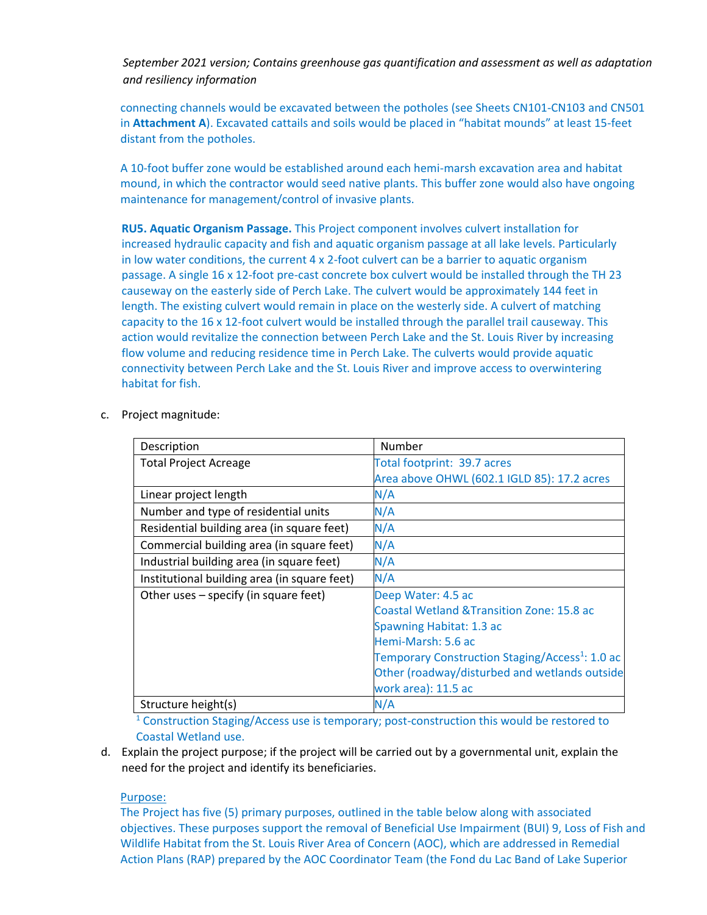connecting channels would be excavated between the potholes (see Sheets CN101-CN103 and CN501 in **Attachment A**). Excavated cattails and soils would be placed in "habitat mounds" at least 15-feet distant from the potholes.

A 10-foot buffer zone would be established around each hemi-marsh excavation area and habitat mound, in which the contractor would seed native plants. This buffer zone would also have ongoing maintenance for management/control of invasive plants.

**RU5. Aquatic Organism Passage.** This Project component involves culvert installation for increased hydraulic capacity and fish and aquatic organism passage at all lake levels. Particularly in low water conditions, the current  $4 \times 2$ -foot culvert can be a barrier to aquatic organism passage. A single 16 x 12-foot pre-cast concrete box culvert would be installed through the TH 23 causeway on the easterly side of Perch Lake. The culvert would be approximately 144 feet in length. The existing culvert would remain in place on the westerly side. A culvert of matching capacity to the 16 x 12-foot culvert would be installed through the parallel trail causeway. This action would revitalize the connection between Perch Lake and the St. Louis River by increasing flow volume and reducing residence time in Perch Lake. The culverts would provide aquatic connectivity between Perch Lake and the St. Louis River and improve access to overwintering habitat for fish.

c. Project magnitude:

| Description                                  | Number                                                      |
|----------------------------------------------|-------------------------------------------------------------|
| <b>Total Project Acreage</b>                 | Total footprint: 39.7 acres                                 |
|                                              | Area above OHWL (602.1 IGLD 85): 17.2 acres                 |
| Linear project length                        | N/A                                                         |
| Number and type of residential units         | N/A                                                         |
| Residential building area (in square feet)   | N/A                                                         |
| Commercial building area (in square feet)    | N/A                                                         |
| Industrial building area (in square feet)    | N/A                                                         |
| Institutional building area (in square feet) | N/A                                                         |
| Other uses - specify (in square feet)        | Deep Water: 4.5 ac                                          |
|                                              | <b>Coastal Wetland &amp; Transition Zone: 15.8 ac</b>       |
|                                              | Spawning Habitat: 1.3 ac                                    |
|                                              | Hemi-Marsh: 5.6 ac                                          |
|                                              | Temporary Construction Staging/Access <sup>1</sup> : 1.0 ac |
|                                              | Other (roadway/disturbed and wetlands outside               |
|                                              | work area): 11.5 ac                                         |
| Structure height(s)                          | N/A                                                         |

<sup>1</sup> Construction Staging/Access use is temporary; post-construction this would be restored to Coastal Wetland use.

d. Explain the project purpose; if the project will be carried out by a governmental unit, explain the need for the project and identify its beneficiaries.

#### Purpose:

The Project has five (5) primary purposes, outlined in the table below along with associated objectives. These purposes support the removal of Beneficial Use Impairment (BUI) 9, Loss of Fish and Wildlife Habitat from the St. Louis River Area of Concern (AOC), which are addressed in Remedial Action Plans (RAP) prepared by the AOC Coordinator Team (the Fond du Lac Band of Lake Superior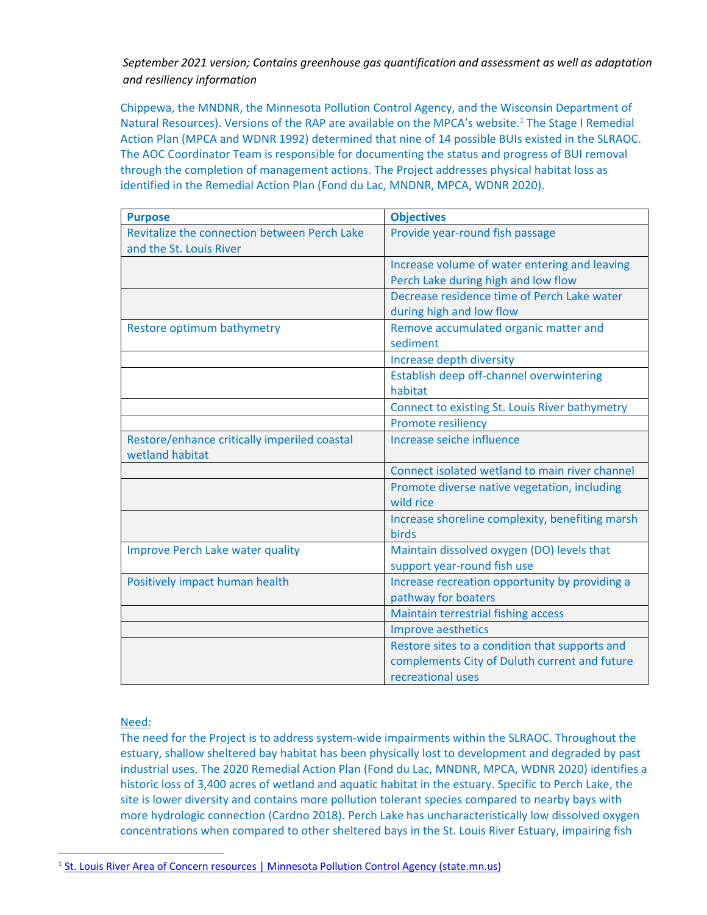Chippewa, the MNDNR, the Minnesota Pollution Control Agency, and the Wisconsin Department of Natural Resources). Versions of the RAP are available on the MPCA's website.<sup>1</sup> The Stage I Remedial Action Plan (MPCA and WDNR 1992) determined that nine of 14 possible BUIs existed in the SLRAOC. The AOC Coordinator Team is responsible for documenting the status and progress of BUI removal through the completion of management actions. The Project addresses physical habitat loss as identified in the Remedial Action Plan (Fond du Lac, MNDNR, MPCA, WDNR 2020).

| <b>Purpose</b>                                                          | <b>Objectives</b>                                                                                                    |
|-------------------------------------------------------------------------|----------------------------------------------------------------------------------------------------------------------|
| Revitalize the connection between Perch Lake<br>and the St. Louis River | Provide year-round fish passage                                                                                      |
|                                                                         | Increase volume of water entering and leaving<br>Perch Lake during high and low flow                                 |
|                                                                         | Decrease residence time of Perch Lake water<br>during high and low flow                                              |
| Restore optimum bathymetry                                              | Remove accumulated organic matter and<br>sediment                                                                    |
|                                                                         | Increase depth diversity                                                                                             |
|                                                                         | Establish deep off-channel overwintering<br>habitat                                                                  |
|                                                                         | Connect to existing St. Louis River bathymetry                                                                       |
|                                                                         | <b>Promote resiliency</b>                                                                                            |
| Restore/enhance critically imperiled coastal<br>wetland habitat         | Increase seiche influence                                                                                            |
|                                                                         | Connect isolated wetland to main river channel                                                                       |
|                                                                         | Promote diverse native vegetation, including<br>wild rice                                                            |
|                                                                         | Increase shoreline complexity, benefiting marsh<br><b>birds</b>                                                      |
| <b>Improve Perch Lake water quality</b>                                 | Maintain dissolved oxygen (DO) levels that<br>support year-round fish use                                            |
| Positively impact human health                                          | Increase recreation opportunity by providing a<br>pathway for boaters                                                |
|                                                                         | Maintain terrestrial fishing access                                                                                  |
|                                                                         | <b>Improve aesthetics</b>                                                                                            |
|                                                                         | Restore sites to a condition that supports and<br>complements City of Duluth current and future<br>recreational uses |

# Need:

The need for the Project is to address system-wide impairments within the SLRAOC. Throughout the estuary, shallow sheltered bay habitat has been physically lost to development and degraded by past industrial uses. The 2020 Remedial Action Plan (Fond du Lac, MNDNR, MPCA, WDNR 2020) identifies a historic loss of 3,400 acres of wetland and aquatic habitat in the estuary. Specific to Perch Lake, the site is lower diversity and contains more pollution tolerant species compared to nearby bays with more hydrologic connection (Cardno 2018). Perch Lake has uncharacteristically low dissolved oxygen concentrations when compared to other sheltered bays in the St. Louis River Estuary, impairing fish

<sup>&</sup>lt;sup>1</sup> [St. Louis River Area of Concern resources | Minnesota Pollution Control Agency \(state.mn.us\)](https://www.pca.state.mn.us/waste/st-louis-river-area-concern-resources#reports-cdfa154b)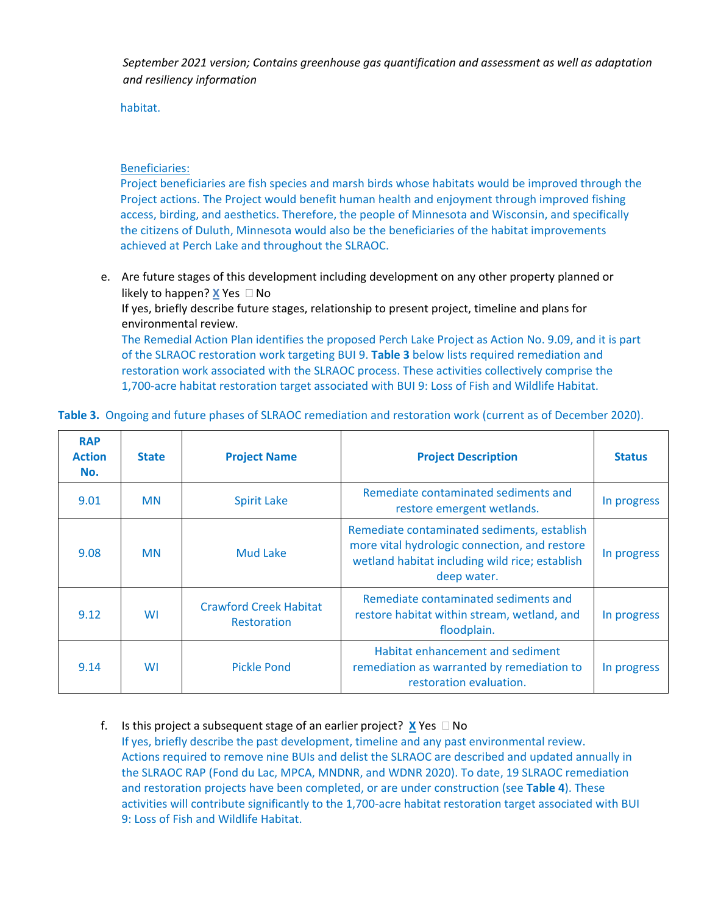habitat.

# Beneficiaries:

Project beneficiaries are fish species and marsh birds whose habitats would be improved through the Project actions. The Project would benefit human health and enjoyment through improved fishing access, birding, and aesthetics. Therefore, the people of Minnesota and Wisconsin, and specifically the citizens of Duluth, Minnesota would also be the beneficiaries of the habitat improvements achieved at Perch Lake and throughout the SLRAOC.

e. Are future stages of this development including development on any other property planned or likely to happen? **X** Yes  $\Box$  No

If yes, briefly describe future stages, relationship to present project, timeline and plans for environmental review.

The Remedial Action Plan identifies the proposed Perch Lake Project as Action No. 9.09, and it is part of the SLRAOC restoration work targeting BUI 9. **Table 3** below lists required remediation and restoration work associated with the SLRAOC process. These activities collectively comprise the 1,700-acre habitat restoration target associated with BUI 9: Loss of Fish and Wildlife Habitat.

| <b>RAP</b><br><b>Action</b><br>No. | <b>State</b> | <b>Project Name</b>                                 | <b>Project Description</b>                                                                                                                                    | <b>Status</b> |
|------------------------------------|--------------|-----------------------------------------------------|---------------------------------------------------------------------------------------------------------------------------------------------------------------|---------------|
| 9.01                               | <b>MN</b>    | <b>Spirit Lake</b>                                  | Remediate contaminated sediments and<br>In progress<br>restore emergent wetlands.                                                                             |               |
| 9.08                               | <b>MN</b>    | Mud Lake                                            | Remediate contaminated sediments, establish<br>more vital hydrologic connection, and restore<br>wetland habitat including wild rice; establish<br>deep water. | In progress   |
| 9.12                               | WI           | <b>Crawford Creek Habitat</b><br><b>Restoration</b> | Remediate contaminated sediments and<br>restore habitat within stream, wetland, and<br>floodplain.                                                            |               |
| 9.14                               | WI           | <b>Pickle Pond</b>                                  | Habitat enhancement and sediment<br>remediation as warranted by remediation to<br>restoration evaluation.                                                     | In progress   |

**Table 3.** Ongoing and future phases of SLRAOC remediation and restoration work (current as of December 2020).

f. Is this project a subsequent stage of an earlier project? **X** Yes  $\Box$  No If yes, briefly describe the past development, timeline and any past environmental review. Actions required to remove nine BUIs and delist the SLRAOC are described and updated annually in the SLRAOC RAP (Fond du Lac, MPCA, MNDNR, and WDNR 2020). To date, 19 SLRAOC remediation and restoration projects have been completed, or are under construction (see **Table 4**). These activities will contribute significantly to the 1,700-acre habitat restoration target associated with BUI 9: Loss of Fish and Wildlife Habitat.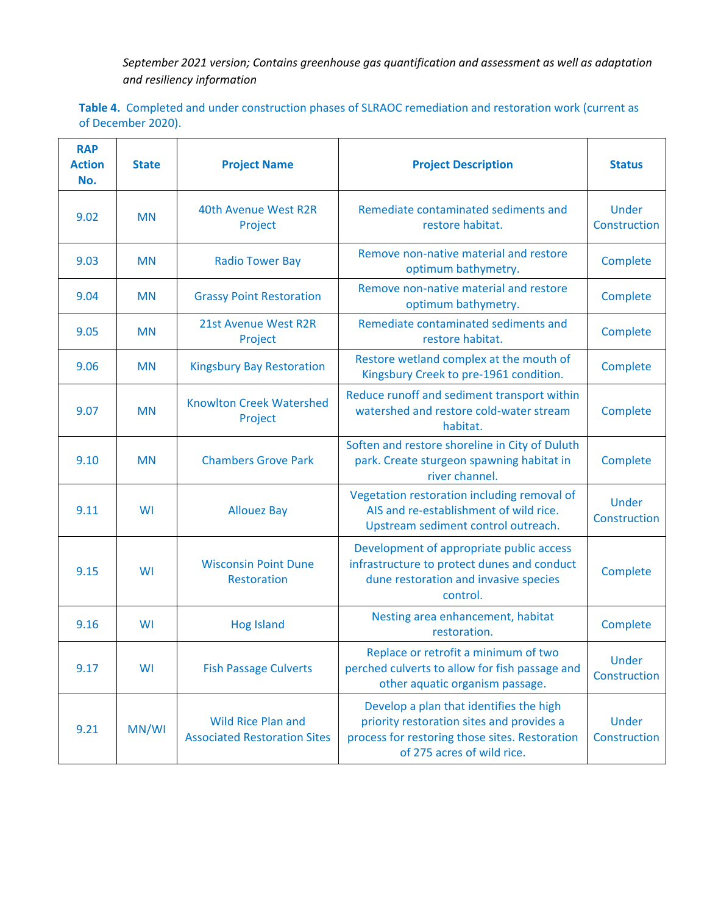**Table 4.** Completed and under construction phases of SLRAOC remediation and restoration work (current as of December 2020).

| <b>RAP</b><br><b>Action</b><br>No. | <b>State</b> | <b>Project Name</b>                                              | <b>Project Description</b>                                                                                                                                           | <b>Status</b>                |
|------------------------------------|--------------|------------------------------------------------------------------|----------------------------------------------------------------------------------------------------------------------------------------------------------------------|------------------------------|
| 9.02                               | <b>MN</b>    | 40th Avenue West R2R<br>Project                                  | Remediate contaminated sediments and<br>restore habitat.                                                                                                             | <b>Under</b><br>Construction |
| 9.03                               | <b>MN</b>    | <b>Radio Tower Bay</b>                                           | Remove non-native material and restore<br>optimum bathymetry.                                                                                                        | Complete                     |
| 9.04                               | <b>MN</b>    | <b>Grassy Point Restoration</b>                                  | Remove non-native material and restore<br>optimum bathymetry.                                                                                                        | Complete                     |
| 9.05                               | <b>MN</b>    | 21st Avenue West R2R<br>Project                                  | Remediate contaminated sediments and<br>restore habitat.                                                                                                             | Complete                     |
| 9.06                               | <b>MN</b>    | <b>Kingsbury Bay Restoration</b>                                 | Restore wetland complex at the mouth of<br>Kingsbury Creek to pre-1961 condition.                                                                                    | Complete                     |
| 9.07                               | <b>MN</b>    | <b>Knowlton Creek Watershed</b><br>Project                       | Reduce runoff and sediment transport within<br>watershed and restore cold-water stream<br>habitat.                                                                   | Complete                     |
| 9.10                               | <b>MN</b>    | <b>Chambers Grove Park</b>                                       | Soften and restore shoreline in City of Duluth<br>park. Create sturgeon spawning habitat in<br>river channel.                                                        | Complete                     |
| 9.11                               | WI           | <b>Allouez Bay</b>                                               | Vegetation restoration including removal of<br>AIS and re-establishment of wild rice.<br>Upstream sediment control outreach.                                         |                              |
| 9.15                               | WI           | <b>Wisconsin Point Dune</b><br><b>Restoration</b>                | Development of appropriate public access<br>infrastructure to protect dunes and conduct<br>dune restoration and invasive species<br>control.                         | Complete                     |
| 9.16                               | WI           | <b>Hog Island</b>                                                | Nesting area enhancement, habitat<br>restoration.                                                                                                                    | Complete                     |
| 9.17                               | WI           | <b>Fish Passage Culverts</b>                                     | Replace or retrofit a minimum of two<br>perched culverts to allow for fish passage and<br>other aquatic organism passage.                                            | Under<br>Construction        |
| 9.21                               | MN/WI        | <b>Wild Rice Plan and</b><br><b>Associated Restoration Sites</b> | Develop a plan that identifies the high<br>priority restoration sites and provides a<br>process for restoring those sites. Restoration<br>of 275 acres of wild rice. | <b>Under</b><br>Construction |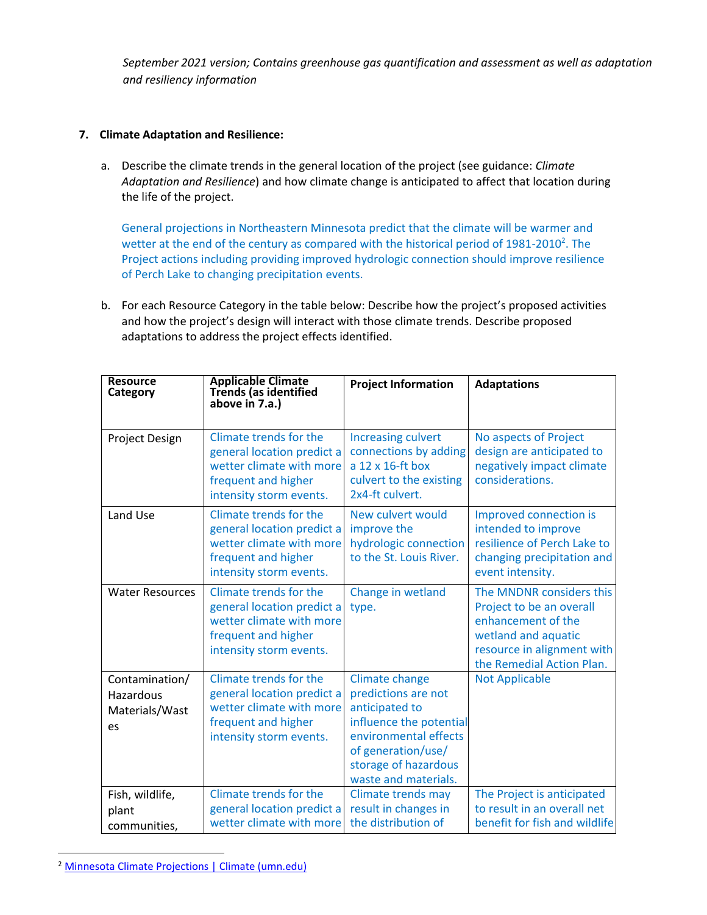# **7. Climate Adaptation and Resilience:**

a. Describe the climate trends in the general location of the project (see guidance: *Climate Adaptation and Resilience*) and how climate change is anticipated to affect that location during the life of the project.

General projections in Northeastern Minnesota predict that the climate will be warmer and wetter at the end of the century as compared with the historical period of  $1981$ -2010<sup>2</sup>. The Project actions including providing improved hydrologic connection should improve resilience of Perch Lake to changing precipitation events.

b. For each Resource Category in the table below: Describe how the project's proposed activities and how the project's design will interact with those climate trends. Describe proposed adaptations to address the project effects identified.

| <b>Resource</b><br>Category                         | <b>Applicable Climate</b><br>Trends (as identified<br>above in 7.a.)                                                               | <b>Project Information</b>                                                                                                                                                        | <b>Adaptations</b>                                                                                                                                           |
|-----------------------------------------------------|------------------------------------------------------------------------------------------------------------------------------------|-----------------------------------------------------------------------------------------------------------------------------------------------------------------------------------|--------------------------------------------------------------------------------------------------------------------------------------------------------------|
| Project Design                                      | Climate trends for the<br>general location predict a<br>wetter climate with more<br>frequent and higher<br>intensity storm events. | <b>Increasing culvert</b><br>connections by adding<br>a 12 x 16-ft box<br>culvert to the existing<br>2x4-ft culvert.                                                              | No aspects of Project<br>design are anticipated to<br>negatively impact climate<br>considerations.                                                           |
| Land Use                                            | Climate trends for the<br>general location predict a<br>wetter climate with more<br>frequent and higher<br>intensity storm events. | New culvert would<br>improve the<br>hydrologic connection<br>to the St. Louis River.                                                                                              | Improved connection is<br>intended to improve<br>resilience of Perch Lake to<br>changing precipitation and<br>event intensity.                               |
| <b>Water Resources</b>                              | Climate trends for the<br>general location predict a<br>wetter climate with more<br>frequent and higher<br>intensity storm events. | Change in wetland<br>type.                                                                                                                                                        | The MNDNR considers this<br>Project to be an overall<br>enhancement of the<br>wetland and aquatic<br>resource in alignment with<br>the Remedial Action Plan. |
| Contamination/<br>Hazardous<br>Materials/Wast<br>es | Climate trends for the<br>general location predict a<br>wetter climate with more<br>frequent and higher<br>intensity storm events. | Climate change<br>predictions are not<br>anticipated to<br>influence the potential<br>environmental effects<br>of generation/use/<br>storage of hazardous<br>waste and materials. | <b>Not Applicable</b>                                                                                                                                        |
| Fish, wildlife,<br>plant<br>communities,            | Climate trends for the<br>general location predict a<br>wetter climate with more                                                   | Climate trends may<br>result in changes in<br>the distribution of                                                                                                                 | The Project is anticipated<br>to result in an overall net<br>benefit for fish and wildlife                                                                   |

<sup>2</sup> [Minnesota Climate Projections | Climate \(umn.edu\)](https://climate.umn.edu/minnesota-climate-projections)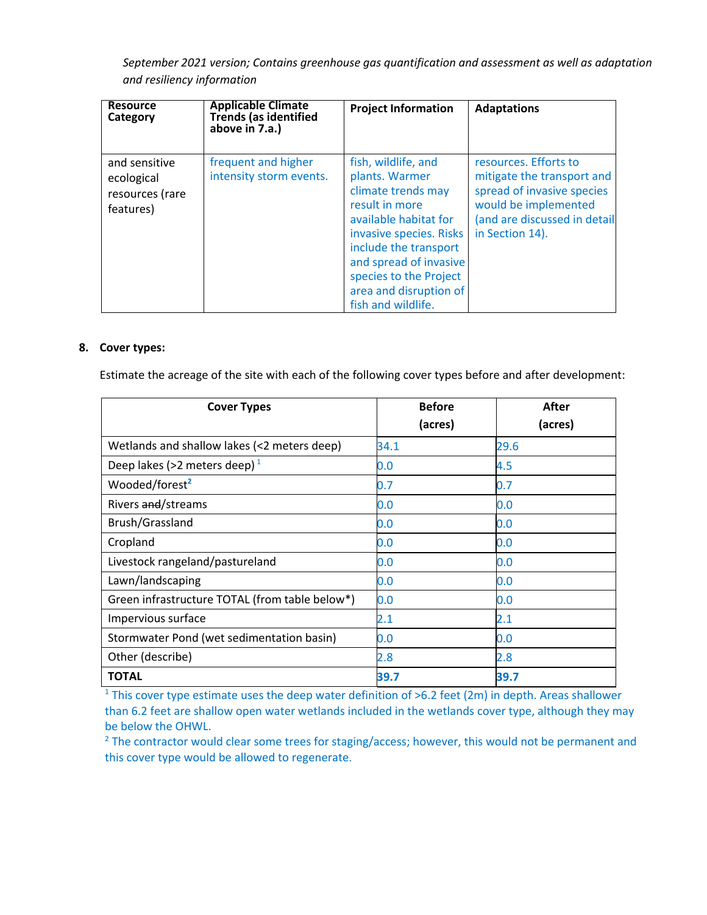| <b>Resource</b><br>Category                                 | <b>Applicable Climate</b><br><b>Trends (as identified</b><br>above in 7.a.) | <b>Project Information</b>                                                                                                                                                                                                                                     | <b>Adaptations</b>                                                                                                                                           |
|-------------------------------------------------------------|-----------------------------------------------------------------------------|----------------------------------------------------------------------------------------------------------------------------------------------------------------------------------------------------------------------------------------------------------------|--------------------------------------------------------------------------------------------------------------------------------------------------------------|
| and sensitive<br>ecological<br>resources (rare<br>features) | frequent and higher<br>intensity storm events.                              | fish, wildlife, and<br>plants. Warmer<br>climate trends may<br>result in more<br>available habitat for<br>invasive species. Risks<br>include the transport<br>and spread of invasive<br>species to the Project<br>area and disruption of<br>fish and wildlife. | resources. Efforts to<br>mitigate the transport and<br>spread of invasive species<br>would be implemented<br>(and are discussed in detail<br>in Section 14). |

#### **8. Cover types:**

Estimate the acreage of the site with each of the following cover types before and after development:

| <b>Cover Types</b>                             | <b>Before</b> | After   |
|------------------------------------------------|---------------|---------|
|                                                | (acres)       | (acres) |
| Wetlands and shallow lakes (<2 meters deep)    | 34.1          | 29.6    |
| Deep lakes (>2 meters deep) $1$                | $0.0\,$       | 4.5     |
| Wooded/forest <sup>2</sup>                     | 0.7           | 0.7     |
| Rivers and/streams                             | $0.0\,$       | 0.0     |
| Brush/Grassland                                | $0.0\,$       | 0.0     |
| Cropland                                       | 0.0           | 0.0     |
| Livestock rangeland/pastureland                | 0.0           | 0.0     |
| Lawn/landscaping                               | $0.0\,$       | 0.0     |
| Green infrastructure TOTAL (from table below*) | 0.0           | 0.0     |
| Impervious surface                             | 2.1           | 2.1     |
| Stormwater Pond (wet sedimentation basin)      | $0.0\,$       | 0.0     |
| Other (describe)                               | $2.8\,$       | 2.8     |
| <b>TOTAL</b>                                   | 39.7          | 39.7    |

<sup>1</sup> This cover type estimate uses the deep water definition of  $>6.2$  feet (2m) in depth. Areas shallower than 6.2 feet are shallow open water wetlands included in the wetlands cover type, although they may be below the OHWL.

 $2$  The contractor would clear some trees for staging/access; however, this would not be permanent and this cover type would be allowed to regenerate.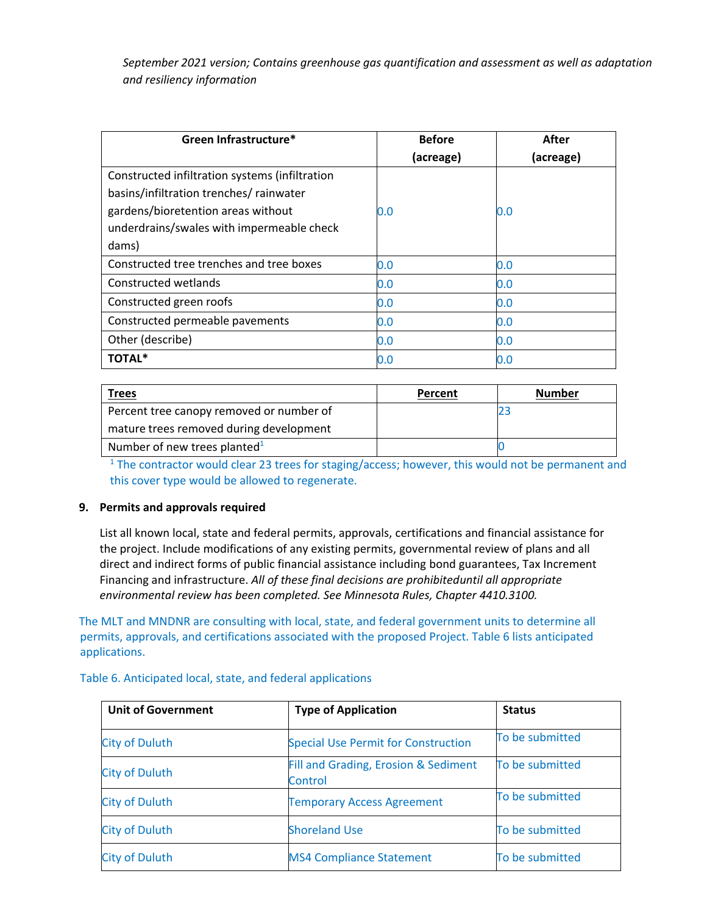| Green Infrastructure*                          | <b>Before</b> | After     |
|------------------------------------------------|---------------|-----------|
|                                                | (acreage)     | (acreage) |
| Constructed infiltration systems (infiltration |               |           |
| basins/infiltration trenches/ rainwater        |               |           |
| gardens/bioretention areas without             | 0.0           | 0.0       |
| underdrains/swales with impermeable check      |               |           |
| dams)                                          |               |           |
| Constructed tree trenches and tree boxes       | 0.0           | 0.0       |
| Constructed wetlands                           | 0.0           | 0.0       |
| Constructed green roofs                        | 0.0           | 0.0       |
| Constructed permeable pavements                | 0.0           | 0.0       |
| Other (describe)                               | 0.0           | 0.0       |
| TOTAL*                                         | 0.0           | 0.0       |

| <b>Trees</b>                             | Percent | <b>Number</b> |
|------------------------------------------|---------|---------------|
| Percent tree canopy removed or number of |         |               |
| mature trees removed during development  |         |               |
| Number of new trees planted $1$          |         |               |

<sup>1</sup> The contractor would clear 23 trees for staging/access; however, this would not be permanent and this cover type would be allowed to regenerate.

# **9. Permits and approvals required**

List all known local, state and federal permits, approvals, certifications and financial assistance for the project. Include modifications of any existing permits, governmental review of plans and all direct and indirect forms of public financial assistance including bond guarantees, Tax Increment Financing and infrastructure. *All of these final decisions are prohibiteduntil all appropriate environmental review has been completed. See Minnesota Rules, Chapter 4410.3100.*

The MLT and MNDNR are consulting with local, state, and federal government units to determine all permits, approvals, and certifications associated with the proposed Project. Table 6 lists anticipated applications.

| <b>Unit of Government</b> | <b>Type of Application</b>                      | <b>Status</b>   |
|---------------------------|-------------------------------------------------|-----------------|
| <b>City of Duluth</b>     | <b>Special Use Permit for Construction</b>      | To be submitted |
| <b>City of Duluth</b>     | Fill and Grading, Erosion & Sediment<br>Control | To be submitted |
| <b>City of Duluth</b>     | <b>Temporary Access Agreement</b>               | To be submitted |
| <b>City of Duluth</b>     | <b>Shoreland Use</b>                            | To be submitted |
| <b>City of Duluth</b>     | <b>MS4 Compliance Statement</b>                 | To be submitted |

Table 6. Anticipated local, state, and federal applications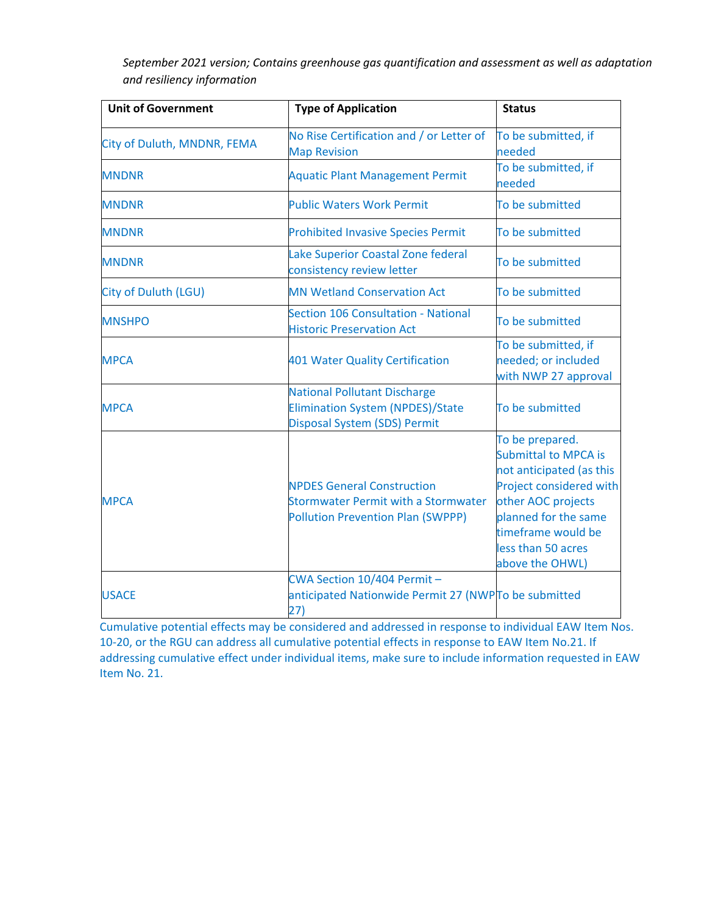| <b>Unit of Government</b>   | <b>Type of Application</b>                                                                                                  | <b>Status</b>                                                                                                                                                                                                      |  |
|-----------------------------|-----------------------------------------------------------------------------------------------------------------------------|--------------------------------------------------------------------------------------------------------------------------------------------------------------------------------------------------------------------|--|
| City of Duluth, MNDNR, FEMA | No Rise Certification and / or Letter of<br><b>Map Revision</b>                                                             | To be submitted, if<br>needed                                                                                                                                                                                      |  |
| <b>MNDNR</b>                | <b>Aquatic Plant Management Permit</b>                                                                                      | To be submitted, if<br>needed                                                                                                                                                                                      |  |
| <b>MNDNR</b>                | <b>Public Waters Work Permit</b>                                                                                            | To be submitted                                                                                                                                                                                                    |  |
| <b>MNDNR</b>                | <b>Prohibited Invasive Species Permit</b>                                                                                   | To be submitted                                                                                                                                                                                                    |  |
| <b>MNDNR</b>                | Lake Superior Coastal Zone federal<br>consistency review letter                                                             | To be submitted                                                                                                                                                                                                    |  |
| <b>City of Duluth (LGU)</b> | <b>MN Wetland Conservation Act</b>                                                                                          | To be submitted                                                                                                                                                                                                    |  |
| <b>MNSHPO</b>               | <b>Section 106 Consultation - National</b><br><b>Historic Preservation Act</b>                                              | To be submitted                                                                                                                                                                                                    |  |
| <b>MPCA</b>                 | 401 Water Quality Certification                                                                                             | To be submitted, if<br>needed; or included<br>with NWP 27 approval                                                                                                                                                 |  |
| <b>MPCA</b>                 | <b>National Pollutant Discharge</b><br><b>Elimination System (NPDES)/State</b><br><b>Disposal System (SDS) Permit</b>       | To be submitted                                                                                                                                                                                                    |  |
| <b>MPCA</b>                 | <b>NPDES General Construction</b><br><b>Stormwater Permit with a Stormwater</b><br><b>Pollution Prevention Plan (SWPPP)</b> | To be prepared.<br><b>Submittal to MPCA is</b><br>not anticipated (as this<br>Project considered with<br>other AOC projects<br>planned for the same<br>timeframe would be<br>less than 50 acres<br>above the OHWL) |  |
| <b>USACE</b>                | CWA Section 10/404 Permit-<br>anticipated Nationwide Permit 27 (NWPTo be submitted<br>27)                                   |                                                                                                                                                                                                                    |  |

Cumulative potential effects may be considered and addressed in response to individual EAW Item Nos. 10-20, or the RGU can address all cumulative potential effects in response to EAW Item No.21. If addressing cumulative effect under individual items, make sure to include information requested in EAW Item No. 21.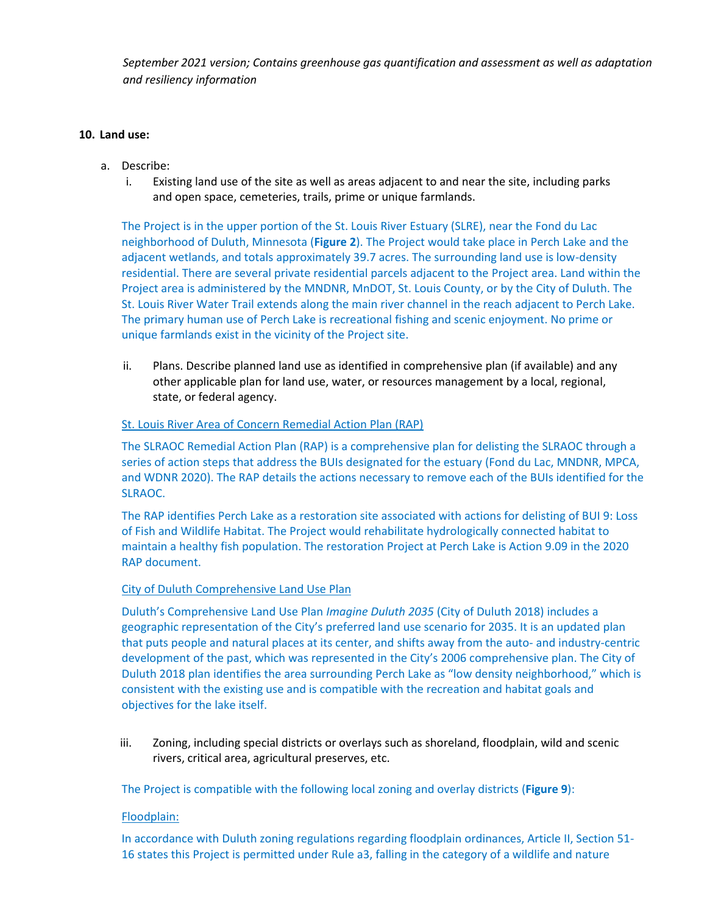#### **10. Land use:**

- a. Describe:
	- i. Existing land use of the site as well as areas adjacent to and near the site, including parks and open space, cemeteries, trails, prime or unique farmlands.

The Project is in the upper portion of the St. Louis River Estuary (SLRE), near the Fond du Lac neighborhood of Duluth, Minnesota (**Figure 2**). The Project would take place in Perch Lake and the adjacent wetlands, and totals approximately 39.7 acres. The surrounding land use is low-density residential. There are several private residential parcels adjacent to the Project area. Land within the Project area is administered by the MNDNR, MnDOT, St. Louis County, or by the City of Duluth. The St. Louis River Water Trail extends along the main river channel in the reach adjacent to Perch Lake. The primary human use of Perch Lake is recreational fishing and scenic enjoyment. No prime or unique farmlands exist in the vicinity of the Project site.

ii. Plans. Describe planned land use as identified in comprehensive plan (if available) and any other applicable plan for land use, water, or resources management by a local, regional, state, or federal agency.

#### St. Louis River Area of Concern Remedial Action Plan (RAP)

The SLRAOC Remedial Action Plan (RAP) is a comprehensive plan for delisting the SLRAOC through a series of action steps that address the BUIs designated for the estuary (Fond du Lac, MNDNR, MPCA, and WDNR 2020). The RAP details the actions necessary to remove each of the BUIs identified for the SLRAOC.

The RAP identifies Perch Lake as a restoration site associated with actions for delisting of BUI 9: Loss of Fish and Wildlife Habitat. The Project would rehabilitate hydrologically connected habitat to maintain a healthy fish population. The restoration Project at Perch Lake is Action 9.09 in the 2020 RAP document.

#### City of Duluth Comprehensive Land Use Plan

Duluth's Comprehensive Land Use Plan *Imagine Duluth 2035* (City of Duluth 2018) includes a geographic representation of the City's preferred land use scenario for 2035. It is an updated plan that puts people and natural places at its center, and shifts away from the auto- and industry-centric development of the past, which was represented in the City's 2006 comprehensive plan. The City of Duluth 2018 plan identifies the area surrounding Perch Lake as "low density neighborhood," which is consistent with the existing use and is compatible with the recreation and habitat goals and objectives for the lake itself.

iii. Zoning, including special districts or overlays such as shoreland, floodplain, wild and scenic rivers, critical area, agricultural preserves, etc.

The Project is compatible with the following local zoning and overlay districts (**Figure 9**):

# Floodplain:

In accordance with Duluth zoning regulations regarding floodplain ordinances, Article II, Section 51- 16 states this Project is permitted under Rule a3, falling in the category of a wildlife and nature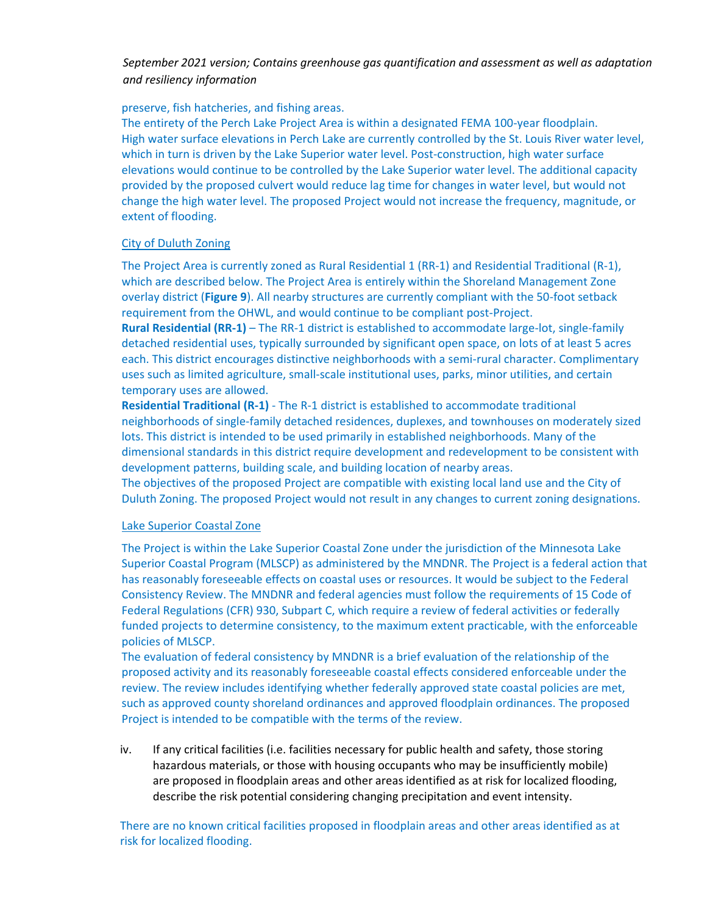#### preserve, fish hatcheries, and fishing areas.

The entirety of the Perch Lake Project Area is within a designated FEMA 100-year floodplain. High water surface elevations in Perch Lake are currently controlled by the St. Louis River water level, which in turn is driven by the Lake Superior water level. Post-construction, high water surface elevations would continue to be controlled by the Lake Superior water level. The additional capacity provided by the proposed culvert would reduce lag time for changes in water level, but would not change the high water level. The proposed Project would not increase the frequency, magnitude, or extent of flooding.

#### City of Duluth Zoning

The Project Area is currently zoned as Rural Residential 1 (RR-1) and Residential Traditional (R-1), which are described below. The Project Area is entirely within the Shoreland Management Zone overlay district (**Figure 9**). All nearby structures are currently compliant with the 50-foot setback requirement from the OHWL, and would continue to be compliant post-Project.

**Rural Residential (RR-1)** – The RR-1 district is established to accommodate large-lot, single-family detached residential uses, typically surrounded by significant open space, on lots of at least 5 acres each. This district encourages distinctive neighborhoods with a semi-rural character. Complimentary uses such as limited agriculture, small-scale institutional uses, parks, minor utilities, and certain temporary uses are allowed.

**Residential Traditional (R-1)** - The R-1 district is established to accommodate traditional neighborhoods of single-family detached residences, duplexes, and townhouses on moderately sized lots. This district is intended to be used primarily in established neighborhoods. Many of the dimensional standards in this district require development and redevelopment to be consistent with development patterns, building scale, and building location of nearby areas.

The objectives of the proposed Project are compatible with existing local land use and the City of Duluth Zoning. The proposed Project would not result in any changes to current zoning designations.

#### Lake Superior Coastal Zone

The Project is within the Lake Superior Coastal Zone under the jurisdiction of the Minnesota Lake Superior Coastal Program (MLSCP) as administered by the MNDNR. The Project is a federal action that has reasonably foreseeable effects on coastal uses or resources. It would be subject to the Federal Consistency Review. The MNDNR and federal agencies must follow the requirements of 15 Code of Federal Regulations (CFR) 930, Subpart C, which require a review of federal activities or federally funded projects to determine consistency, to the maximum extent practicable, with the enforceable policies of MLSCP.

The evaluation of federal consistency by MNDNR is a brief evaluation of the relationship of the proposed activity and its reasonably foreseeable coastal effects considered enforceable under the review. The review includes identifying whether federally approved state coastal policies are met, such as approved county shoreland ordinances and approved floodplain ordinances. The proposed Project is intended to be compatible with the terms of the review.

iv. If any critical facilities (i.e. facilities necessary for public health and safety, those storing hazardous materials, or those with housing occupants who may be insufficiently mobile) are proposed in floodplain areas and other areas identified as at risk for localized flooding, describe the risk potential considering changing precipitation and event intensity.

There are no known critical facilities proposed in floodplain areas and other areas identified as at risk for localized flooding.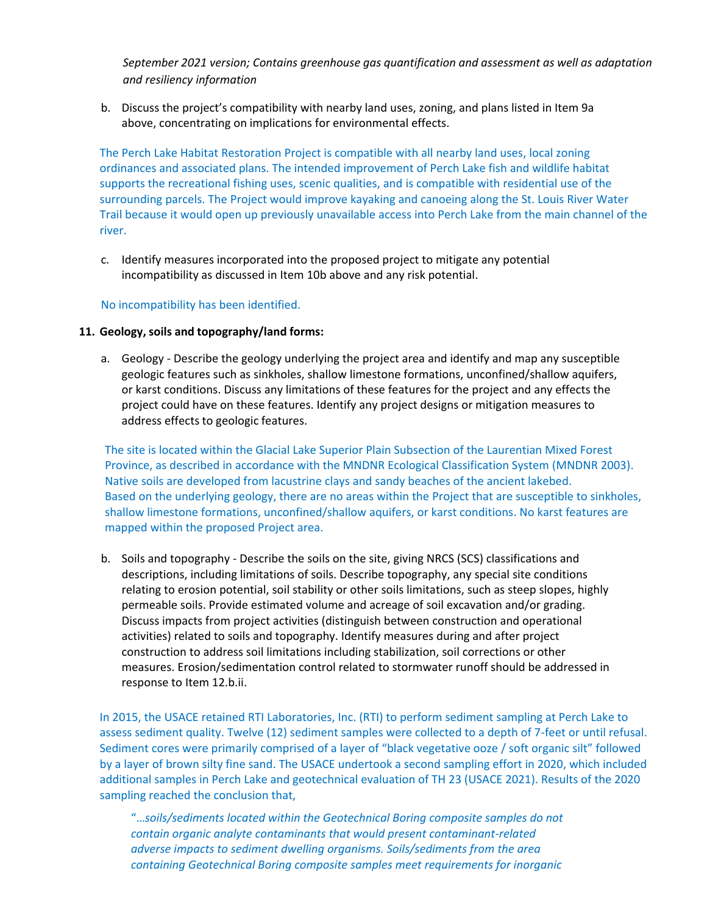b. Discuss the project's compatibility with nearby land uses, zoning, and plans listed in Item 9a above, concentrating on implications for environmental effects.

The Perch Lake Habitat Restoration Project is compatible with all nearby land uses, local zoning ordinances and associated plans. The intended improvement of Perch Lake fish and wildlife habitat supports the recreational fishing uses, scenic qualities, and is compatible with residential use of the surrounding parcels. The Project would improve kayaking and canoeing along the St. Louis River Water Trail because it would open up previously unavailable access into Perch Lake from the main channel of the river.

c. Identify measures incorporated into the proposed project to mitigate any potential incompatibility as discussed in Item 10b above and any risk potential.

# No incompatibility has been identified.

#### **11. Geology, soils and topography/land forms:**

a. Geology - Describe the geology underlying the project area and identify and map any susceptible geologic features such as sinkholes, shallow limestone formations, unconfined/shallow aquifers, or karst conditions. Discuss any limitations of these features for the project and any effects the project could have on these features. Identify any project designs or mitigation measures to address effects to geologic features.

The site is located within the Glacial Lake Superior Plain Subsection of the Laurentian Mixed Forest Province, as described in accordance with the MNDNR Ecological Classification System (MNDNR 2003). Native soils are developed from lacustrine clays and sandy beaches of the ancient lakebed. Based on the underlying geology, there are no areas within the Project that are susceptible to sinkholes, shallow limestone formations, unconfined/shallow aquifers, or karst conditions. No karst features are mapped within the proposed Project area.

b. Soils and topography - Describe the soils on the site, giving NRCS (SCS) classifications and descriptions, including limitations of soils. Describe topography, any special site conditions relating to erosion potential, soil stability or other soils limitations, such as steep slopes, highly permeable soils. Provide estimated volume and acreage of soil excavation and/or grading. Discuss impacts from project activities (distinguish between construction and operational activities) related to soils and topography. Identify measures during and after project construction to address soil limitations including stabilization, soil corrections or other measures. Erosion/sedimentation control related to stormwater runoff should be addressed in response to Item 12.b.ii.

In 2015, the USACE retained RTI Laboratories, Inc. (RTI) to perform sediment sampling at Perch Lake to assess sediment quality. Twelve (12) sediment samples were collected to a depth of 7-feet or until refusal. Sediment cores were primarily comprised of a layer of "black vegetative ooze / soft organic silt" followed by a layer of brown silty fine sand. The USACE undertook a second sampling effort in 2020, which included additional samples in Perch Lake and geotechnical evaluation of TH 23 (USACE 2021). Results of the 2020 sampling reached the conclusion that,

"…*soils/sediments located within the Geotechnical Boring composite samples do not contain organic analyte contaminants that would present contaminant-related adverse impacts to sediment dwelling organisms. Soils/sediments from the area containing Geotechnical Boring composite samples meet requirements for inorganic*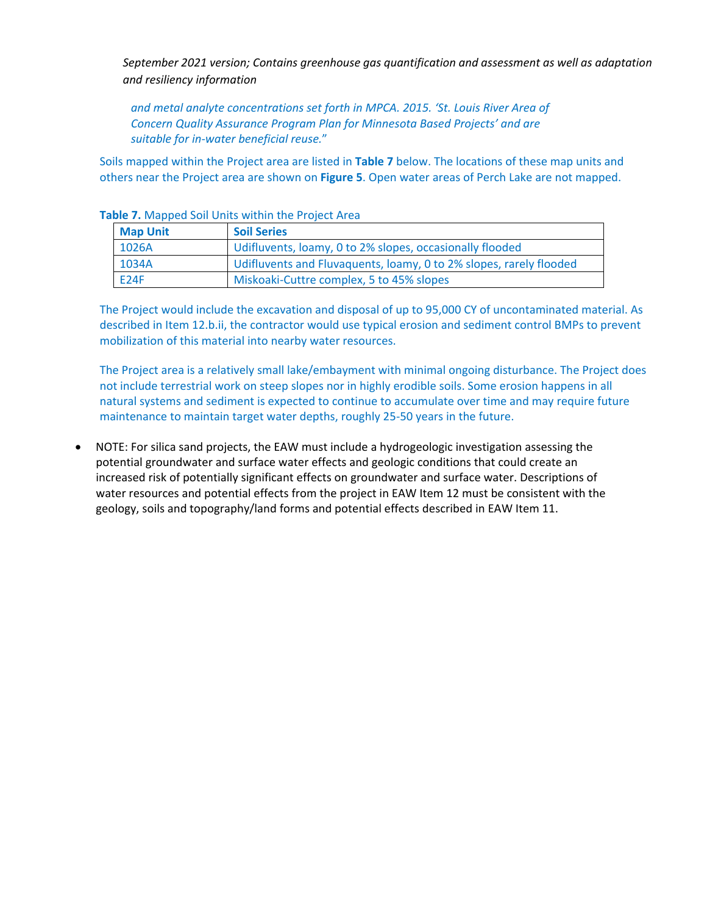*and metal analyte concentrations set forth in MPCA. 2015. 'St. Louis River Area of Concern Quality Assurance Program Plan for Minnesota Based Projects' and are suitable for in-water beneficial reuse.*"

Soils mapped within the Project area are listed in **Table 7** below. The locations of these map units and others near the Project area are shown on **Figure 5**. Open water areas of Perch Lake are not mapped.

| <b>Map Unit</b> | <b>Soil Series</b>                                                 |
|-----------------|--------------------------------------------------------------------|
| 1026A           | Udifluvents, loamy, 0 to 2% slopes, occasionally flooded           |
| 1034A           | Udifluvents and Fluvaquents, loamy, 0 to 2% slopes, rarely flooded |
| <b>E24F</b>     | Miskoaki-Cuttre complex, 5 to 45% slopes                           |

#### **Table 7.** Mapped Soil Units within the Project Area

The Project would include the excavation and disposal of up to 95,000 CY of uncontaminated material. As described in Item 12.b.ii, the contractor would use typical erosion and sediment control BMPs to prevent mobilization of this material into nearby water resources.

The Project area is a relatively small lake/embayment with minimal ongoing disturbance. The Project does not include terrestrial work on steep slopes nor in highly erodible soils. Some erosion happens in all natural systems and sediment is expected to continue to accumulate over time and may require future maintenance to maintain target water depths, roughly 25-50 years in the future.

• NOTE: For silica sand projects, the EAW must include a hydrogeologic investigation assessing the potential groundwater and surface water effects and geologic conditions that could create an increased risk of potentially significant effects on groundwater and surface water. Descriptions of water resources and potential effects from the project in EAW Item 12 must be consistent with the geology, soils and topography/land forms and potential effects described in EAW Item 11.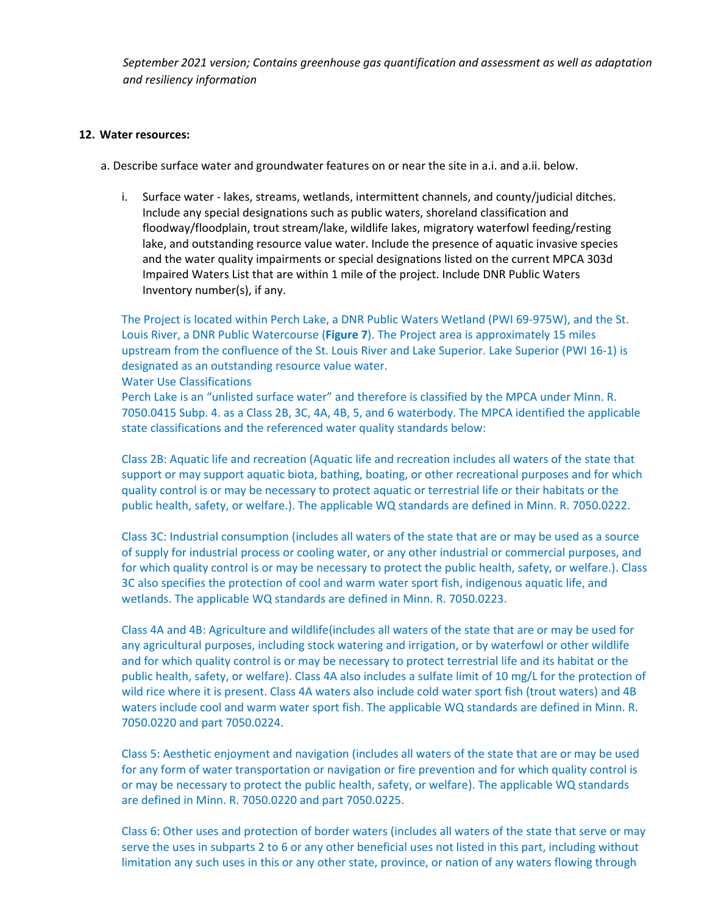#### **12. Water resources:**

a. Describe surface water and groundwater features on or near the site in a.i. and a.ii. below.

i. Surface water - lakes, streams, wetlands, intermittent channels, and county/judicial ditches. Include any special designations such as public waters, shoreland classification and floodway/floodplain, trout stream/lake, wildlife lakes, migratory waterfowl feeding/resting lake, and outstanding resource value water. Include the presence of aquatic invasive species and the water quality impairments or special designations listed on the current MPCA 303d Impaired Waters List that are within 1 mile of the project. Include DNR Public Waters Inventory number(s), if any.

The Project is located within Perch Lake, a DNR Public Waters Wetland (PWI 69-975W), and the St. Louis River, a DNR Public Watercourse (**Figure 7**). The Project area is approximately 15 miles upstream from the confluence of the St. Louis River and Lake Superior. Lake Superior (PWI 16-1) is designated as an outstanding resource value water.

#### Water Use Classifications

Perch Lake is an "unlisted surface water" and therefore is classified by the MPCA under Minn. R. 7050.0415 Subp. 4. as a Class 2B, 3C, 4A, 4B, 5, and 6 waterbody. The MPCA identified the applicable state classifications and the referenced water quality standards below:

Class 2B: Aquatic life and recreation (Aquatic life and recreation includes all waters of the state that support or may support aquatic biota, bathing, boating, or other recreational purposes and for which quality control is or may be necessary to protect aquatic or terrestrial life or their habitats or the public health, safety, or welfare.). The applicable WQ standards are defined in Minn. R. 7050.0222.

Class 3C: Industrial consumption (includes all waters of the state that are or may be used as a source of supply for industrial process or cooling water, or any other industrial or commercial purposes, and for which quality control is or may be necessary to protect the public health, safety, or welfare.). Class 3C also specifies the protection of cool and warm water sport fish, indigenous aquatic life, and wetlands. The applicable WQ standards are defined in Minn. R. 7050.0223.

Class 4A and 4B: Agriculture and wildlife(includes all waters of the state that are or may be used for any agricultural purposes, including stock watering and irrigation, or by waterfowl or other wildlife and for which quality control is or may be necessary to protect terrestrial life and its habitat or the public health, safety, or welfare). Class 4A also includes a sulfate limit of 10 mg/L for the protection of wild rice where it is present. Class 4A waters also include cold water sport fish (trout waters) and 4B waters include cool and warm water sport fish. The applicable WQ standards are defined in Minn. R. 7050.0220 and part 7050.0224.

Class 5: Aesthetic enjoyment and navigation (includes all waters of the state that are or may be used for any form of water transportation or navigation or fire prevention and for which quality control is or may be necessary to protect the public health, safety, or welfare). The applicable WQ standards are defined in Minn. R. 7050.0220 and part 7050.0225.

Class 6: Other uses and protection of border waters (includes all waters of the state that serve or may serve the uses in subparts 2 to 6 or any other beneficial uses not listed in this part, including without limitation any such uses in this or any other state, province, or nation of any waters flowing through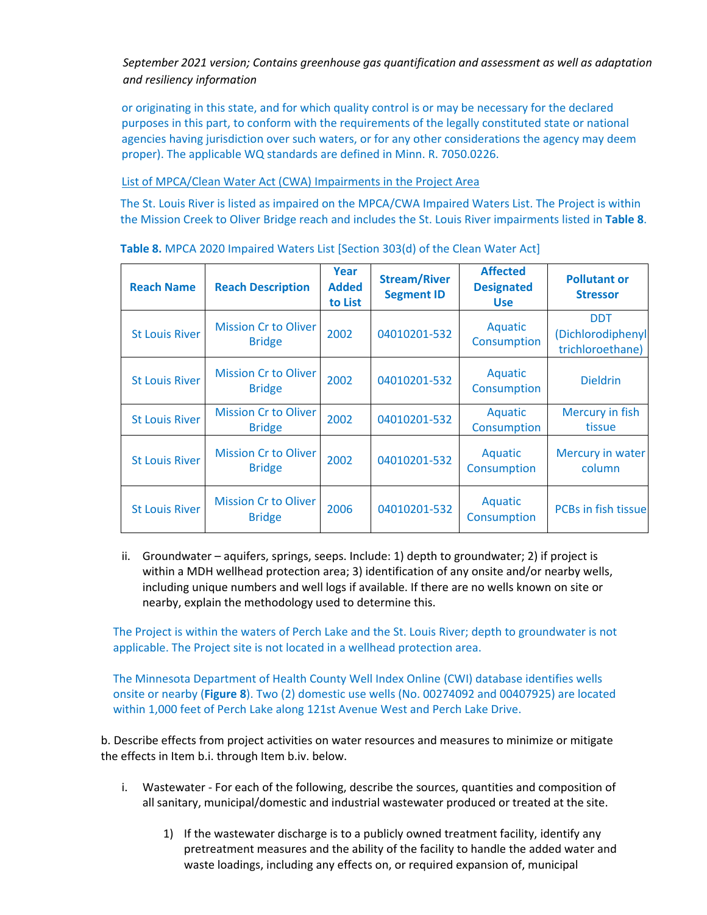or originating in this state, and for which quality control is or may be necessary for the declared purposes in this part, to conform with the requirements of the legally constituted state or national agencies having jurisdiction over such waters, or for any other considerations the agency may deem proper). The applicable WQ standards are defined in Minn. R. 7050.0226.

# List of MPCA/Clean Water Act (CWA) Impairments in the Project Area

The St. Louis River is listed as impaired on the MPCA/CWA Impaired Waters List. The Project is within the Mission Creek to Oliver Bridge reach and includes the St. Louis River impairments listed in **Table 8**.

| <b>Reach Name</b>     | <b>Reach Description</b>                     | Year<br><b>Added</b><br>to List | <b>Stream/River</b><br><b>Segment ID</b> | <b>Affected</b><br><b>Designated</b><br><b>Use</b> | <b>Pollutant or</b><br><b>Stressor</b>              |
|-----------------------|----------------------------------------------|---------------------------------|------------------------------------------|----------------------------------------------------|-----------------------------------------------------|
| <b>St Louis River</b> | <b>Mission Cr to Oliver</b><br><b>Bridge</b> | 2002                            | 04010201-532                             | Aquatic<br>Consumption                             | <b>DDT</b><br>(Dichlorodiphenyl<br>trichloroethane) |
| <b>St Louis River</b> | <b>Mission Cr to Oliver</b><br><b>Bridge</b> | 2002                            | 04010201-532                             | Aquatic<br>Consumption                             | <b>Dieldrin</b>                                     |
| <b>St Louis River</b> | <b>Mission Cr to Oliver</b><br><b>Bridge</b> | 2002                            | 04010201-532                             | Aquatic<br>Consumption                             | Mercury in fish<br>tissue                           |
| <b>St Louis River</b> | <b>Mission Cr to Oliver</b><br><b>Bridge</b> | 2002                            | 04010201-532                             | Aquatic<br>Consumption                             | Mercury in water<br>column                          |
| <b>St Louis River</b> | <b>Mission Cr to Oliver</b><br><b>Bridge</b> | 2006                            | 04010201-532                             | Aquatic<br>Consumption                             | <b>PCBs in fish tissue</b>                          |

**Table 8.** MPCA 2020 Impaired Waters List [Section 303(d) of the Clean Water Act]

ii. Groundwater – aquifers, springs, seeps. Include: 1) depth to groundwater; 2) if project is within a MDH wellhead protection area; 3) identification of any onsite and/or nearby wells, including unique numbers and well logs if available. If there are no wells known on site or nearby, explain the methodology used to determine this.

The Project is within the waters of Perch Lake and the St. Louis River; depth to groundwater is not applicable. The Project site is not located in a wellhead protection area.

The Minnesota Department of Health County Well Index Online (CWI) database identifies wells onsite or nearby (**Figure 8**). Two (2) domestic use wells (No. 00274092 and 00407925) are located within 1,000 feet of Perch Lake along 121st Avenue West and Perch Lake Drive.

b. Describe effects from project activities on water resources and measures to minimize or mitigate the effects in Item b.i. through Item b.iv. below.

- i. Wastewater For each of the following, describe the sources, quantities and composition of all sanitary, municipal/domestic and industrial wastewater produced or treated at the site.
	- 1) If the wastewater discharge is to a publicly owned treatment facility, identify any pretreatment measures and the ability of the facility to handle the added water and waste loadings, including any effects on, or required expansion of, municipal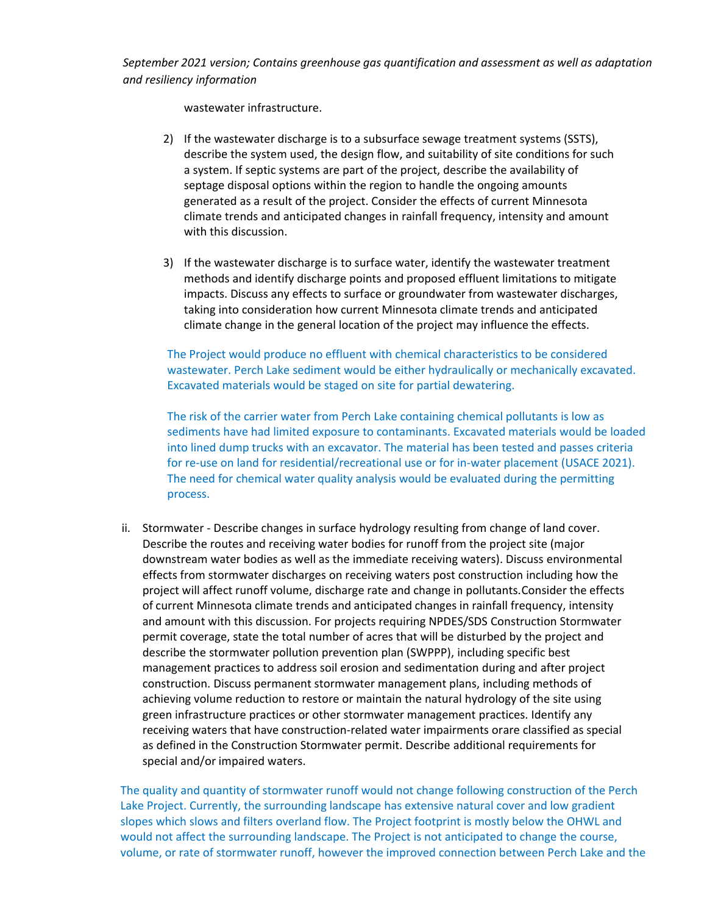wastewater infrastructure.

- 2) If the wastewater discharge is to a subsurface sewage treatment systems (SSTS), describe the system used, the design flow, and suitability of site conditions for such a system. If septic systems are part of the project, describe the availability of septage disposal options within the region to handle the ongoing amounts generated as a result of the project. Consider the effects of current Minnesota climate trends and anticipated changes in rainfall frequency, intensity and amount with this discussion.
- 3) If the wastewater discharge is to surface water, identify the wastewater treatment methods and identify discharge points and proposed effluent limitations to mitigate impacts. Discuss any effects to surface or groundwater from wastewater discharges, taking into consideration how current Minnesota climate trends and anticipated climate change in the general location of the project may influence the effects.

The Project would produce no effluent with chemical characteristics to be considered wastewater. Perch Lake sediment would be either hydraulically or mechanically excavated. Excavated materials would be staged on site for partial dewatering.

The risk of the carrier water from Perch Lake containing chemical pollutants is low as sediments have had limited exposure to contaminants. Excavated materials would be loaded into lined dump trucks with an excavator. The material has been tested and passes criteria for re-use on land for residential/recreational use or for in-water placement (USACE 2021). The need for chemical water quality analysis would be evaluated during the permitting process.

ii. Stormwater - Describe changes in surface hydrology resulting from change of land cover. Describe the routes and receiving water bodies for runoff from the project site (major downstream water bodies as well as the immediate receiving waters). Discuss environmental effects from stormwater discharges on receiving waters post construction including how the project will affect runoff volume, discharge rate and change in pollutants.Consider the effects of current Minnesota climate trends and anticipated changes in rainfall frequency, intensity and amount with this discussion. For projects requiring NPDES/SDS Construction Stormwater permit coverage, state the total number of acres that will be disturbed by the project and describe the stormwater pollution prevention plan (SWPPP), including specific best management practices to address soil erosion and sedimentation during and after project construction. Discuss permanent stormwater management plans, including methods of achieving volume reduction to restore or maintain the natural hydrology of the site using green infrastructure practices or other stormwater management practices. Identify any receiving waters that have construction-related water impairments orare classified as special as defined in the Construction Stormwater permit. Describe additional requirements for special and/or impaired waters.

The quality and quantity of stormwater runoff would not change following construction of the Perch Lake Project. Currently, the surrounding landscape has extensive natural cover and low gradient slopes which slows and filters overland flow. The Project footprint is mostly below the OHWL and would not affect the surrounding landscape. The Project is not anticipated to change the course, volume, or rate of stormwater runoff, however the improved connection between Perch Lake and the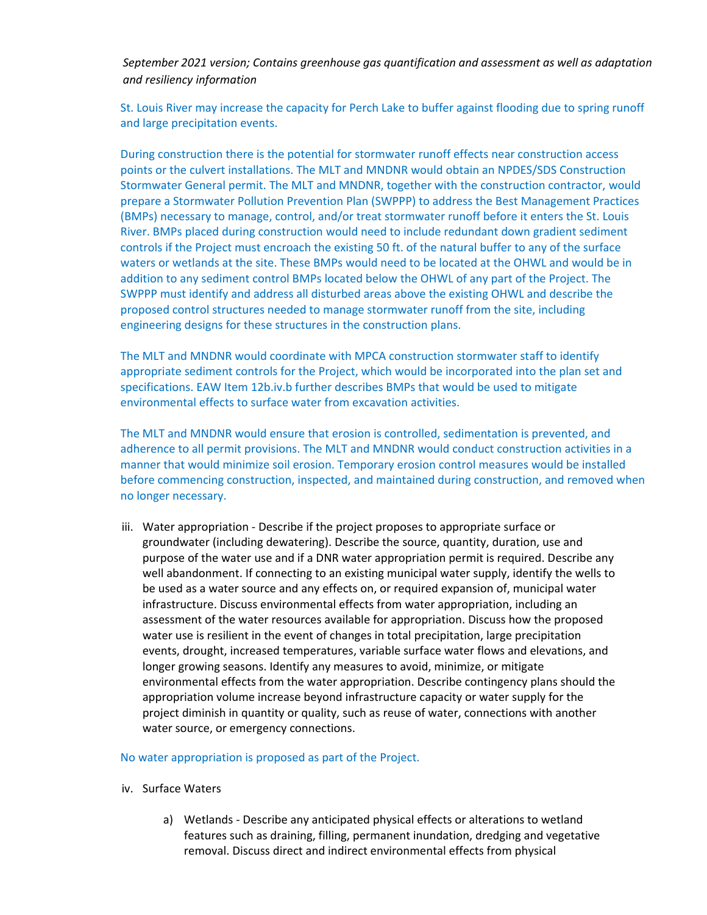St. Louis River may increase the capacity for Perch Lake to buffer against flooding due to spring runoff and large precipitation events.

During construction there is the potential for stormwater runoff effects near construction access points or the culvert installations. The MLT and MNDNR would obtain an NPDES/SDS Construction Stormwater General permit. The MLT and MNDNR, together with the construction contractor, would prepare a Stormwater Pollution Prevention Plan (SWPPP) to address the Best Management Practices (BMPs) necessary to manage, control, and/or treat stormwater runoff before it enters the St. Louis River. BMPs placed during construction would need to include redundant down gradient sediment controls if the Project must encroach the existing 50 ft. of the natural buffer to any of the surface waters or wetlands at the site. These BMPs would need to be located at the OHWL and would be in addition to any sediment control BMPs located below the OHWL of any part of the Project. The SWPPP must identify and address all disturbed areas above the existing OHWL and describe the proposed control structures needed to manage stormwater runoff from the site, including engineering designs for these structures in the construction plans.

The MLT and MNDNR would coordinate with MPCA construction stormwater staff to identify appropriate sediment controls for the Project, which would be incorporated into the plan set and specifications. EAW Item 12b.iv.b further describes BMPs that would be used to mitigate environmental effects to surface water from excavation activities.

The MLT and MNDNR would ensure that erosion is controlled, sedimentation is prevented, and adherence to all permit provisions. The MLT and MNDNR would conduct construction activities in a manner that would minimize soil erosion. Temporary erosion control measures would be installed before commencing construction, inspected, and maintained during construction, and removed when no longer necessary.

iii. Water appropriation - Describe if the project proposes to appropriate surface or groundwater (including dewatering). Describe the source, quantity, duration, use and purpose of the water use and if a DNR water appropriation permit is required. Describe any well abandonment. If connecting to an existing municipal water supply, identify the wells to be used as a water source and any effects on, or required expansion of, municipal water infrastructure. Discuss environmental effects from water appropriation, including an assessment of the water resources available for appropriation. Discuss how the proposed water use is resilient in the event of changes in total precipitation, large precipitation events, drought, increased temperatures, variable surface water flows and elevations, and longer growing seasons. Identify any measures to avoid, minimize, or mitigate environmental effects from the water appropriation. Describe contingency plans should the appropriation volume increase beyond infrastructure capacity or water supply for the project diminish in quantity or quality, such as reuse of water, connections with another water source, or emergency connections.

#### No water appropriation is proposed as part of the Project.

- iv. Surface Waters
	- a) Wetlands Describe any anticipated physical effects or alterations to wetland features such as draining, filling, permanent inundation, dredging and vegetative removal. Discuss direct and indirect environmental effects from physical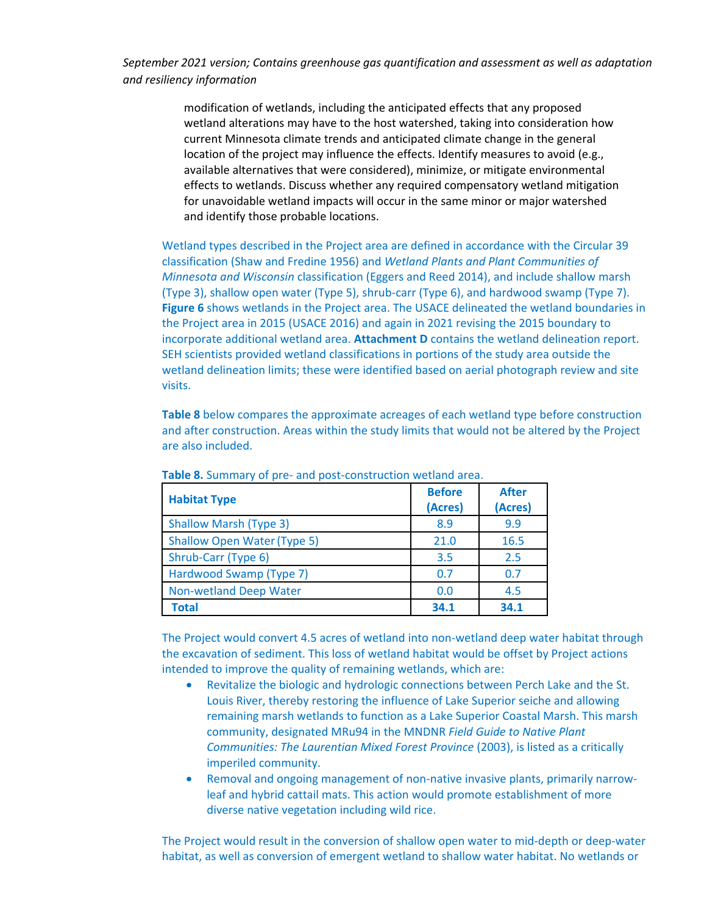> modification of wetlands, including the anticipated effects that any proposed wetland alterations may have to the host watershed, taking into consideration how current Minnesota climate trends and anticipated climate change in the general location of the project may influence the effects. Identify measures to avoid (e.g., available alternatives that were considered), minimize, or mitigate environmental effects to wetlands. Discuss whether any required compensatory wetland mitigation for unavoidable wetland impacts will occur in the same minor or major watershed and identify those probable locations.

Wetland types described in the Project area are defined in accordance with the Circular 39 classification (Shaw and Fredine 1956) and *Wetland Plants and Plant Communities of Minnesota and Wisconsin* classification (Eggers and Reed 2014), and include shallow marsh (Type 3), shallow open water (Type 5), shrub-carr (Type 6), and hardwood swamp (Type 7). **Figure 6** shows wetlands in the Project area. The USACE delineated the wetland boundaries in the Project area in 2015 (USACE 2016) and again in 2021 revising the 2015 boundary to incorporate additional wetland area. **Attachment D** contains the wetland delineation report. SEH scientists provided wetland classifications in portions of the study area outside the wetland delineation limits; these were identified based on aerial photograph review and site visits.

**Table 8** below compares the approximate acreages of each wetland type before construction and after construction. Areas within the study limits that would not be altered by the Project are also included.

| <b>Habitat Type</b>                | <b>Before</b><br>(Acres) | <b>After</b><br>(Acres) |
|------------------------------------|--------------------------|-------------------------|
| <b>Shallow Marsh (Type 3)</b>      | 8.9                      | 9.9                     |
| <b>Shallow Open Water (Type 5)</b> | 21.0                     | 16.5                    |
| Shrub-Carr (Type 6)                | 3.5                      | 2.5                     |
| Hardwood Swamp (Type 7)            | 0.7                      | 0.7                     |
| <b>Non-wetland Deep Water</b>      | 0.0                      | 4.5                     |
| <b>Total</b>                       | 34.1                     | 34.1                    |

**Table 8.** Summary of pre- and post-construction wetland area.

The Project would convert 4.5 acres of wetland into non-wetland deep water habitat through the excavation of sediment. This loss of wetland habitat would be offset by Project actions intended to improve the quality of remaining wetlands, which are:

- Revitalize the biologic and hydrologic connections between Perch Lake and the St. Louis River, thereby restoring the influence of Lake Superior seiche and allowing remaining marsh wetlands to function as a Lake Superior Coastal Marsh. This marsh community, designated MRu94 in the MNDNR *Field Guide to Native Plant Communities: The Laurentian Mixed Forest Province* (2003), is listed as a critically imperiled community.
- Removal and ongoing management of non-native invasive plants, primarily narrowleaf and hybrid cattail mats. This action would promote establishment of more diverse native vegetation including wild rice.

The Project would result in the conversion of shallow open water to mid-depth or deep-water habitat, as well as conversion of emergent wetland to shallow water habitat. No wetlands or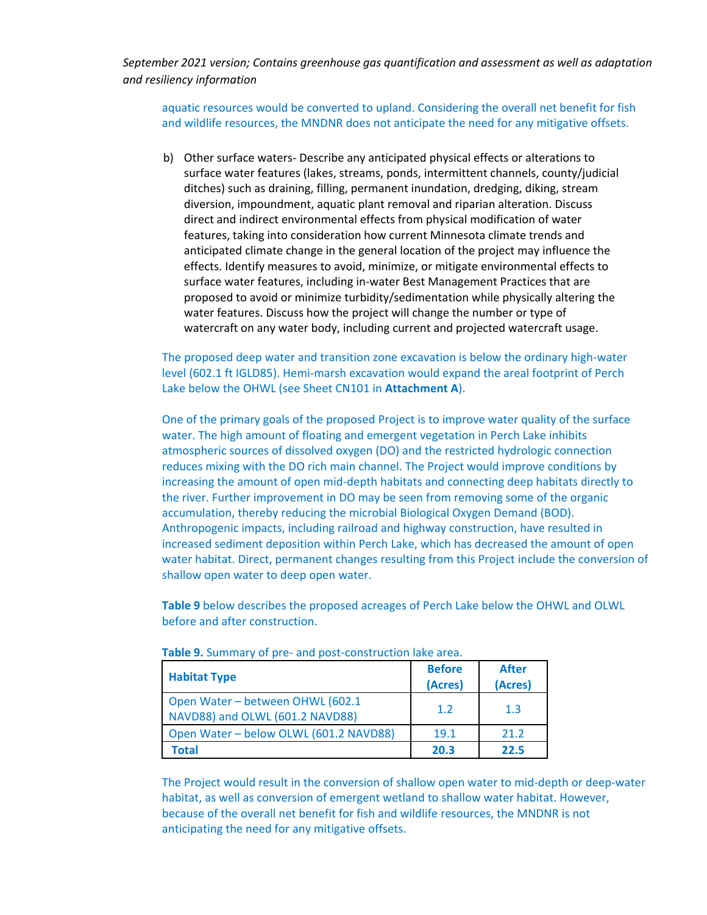aquatic resources would be converted to upland. Considering the overall net benefit for fish and wildlife resources, the MNDNR does not anticipate the need for any mitigative offsets.

b) Other surface waters- Describe any anticipated physical effects or alterations to surface water features (lakes, streams, ponds, intermittent channels, county/judicial ditches) such as draining, filling, permanent inundation, dredging, diking, stream diversion, impoundment, aquatic plant removal and riparian alteration. Discuss direct and indirect environmental effects from physical modification of water features, taking into consideration how current Minnesota climate trends and anticipated climate change in the general location of the project may influence the effects. Identify measures to avoid, minimize, or mitigate environmental effects to surface water features, including in-water Best Management Practices that are proposed to avoid or minimize turbidity/sedimentation while physically altering the water features. Discuss how the project will change the number or type of watercraft on any water body, including current and projected watercraft usage.

The proposed deep water and transition zone excavation is below the ordinary high-water level (602.1 ft IGLD85). Hemi-marsh excavation would expand the areal footprint of Perch Lake below the OHWL (see Sheet CN101 in **Attachment A**).

One of the primary goals of the proposed Project is to improve water quality of the surface water. The high amount of floating and emergent vegetation in Perch Lake inhibits atmospheric sources of dissolved oxygen (DO) and the restricted hydrologic connection reduces mixing with the DO rich main channel. The Project would improve conditions by increasing the amount of open mid-depth habitats and connecting deep habitats directly to the river. Further improvement in DO may be seen from removing some of the organic accumulation, thereby reducing the microbial Biological Oxygen Demand (BOD). Anthropogenic impacts, including railroad and highway construction, have resulted in increased sediment deposition within Perch Lake, which has decreased the amount of open water habitat. Direct, permanent changes resulting from this Project include the conversion of shallow open water to deep open water.

**Table 9** below describes the proposed acreages of Perch Lake below the OHWL and OLWL before and after construction.

| <b>Habitat Type</b>                                                 | <b>Before</b><br>(Acres) | <b>After</b><br>(Acres) |
|---------------------------------------------------------------------|--------------------------|-------------------------|
| Open Water - between OHWL (602.1<br>NAVD88) and OLWL (601.2 NAVD88) | 1.2                      | 1.3                     |
| Open Water - below OLWL (601.2 NAVD88)                              | 19.1                     | 21.2                    |
| <b>Total</b>                                                        | 20.3                     | 22.5                    |

**Table 9.** Summary of pre- and post-construction lake area.

The Project would result in the conversion of shallow open water to mid-depth or deep-water habitat, as well as conversion of emergent wetland to shallow water habitat. However, because of the overall net benefit for fish and wildlife resources, the MNDNR is not anticipating the need for any mitigative offsets.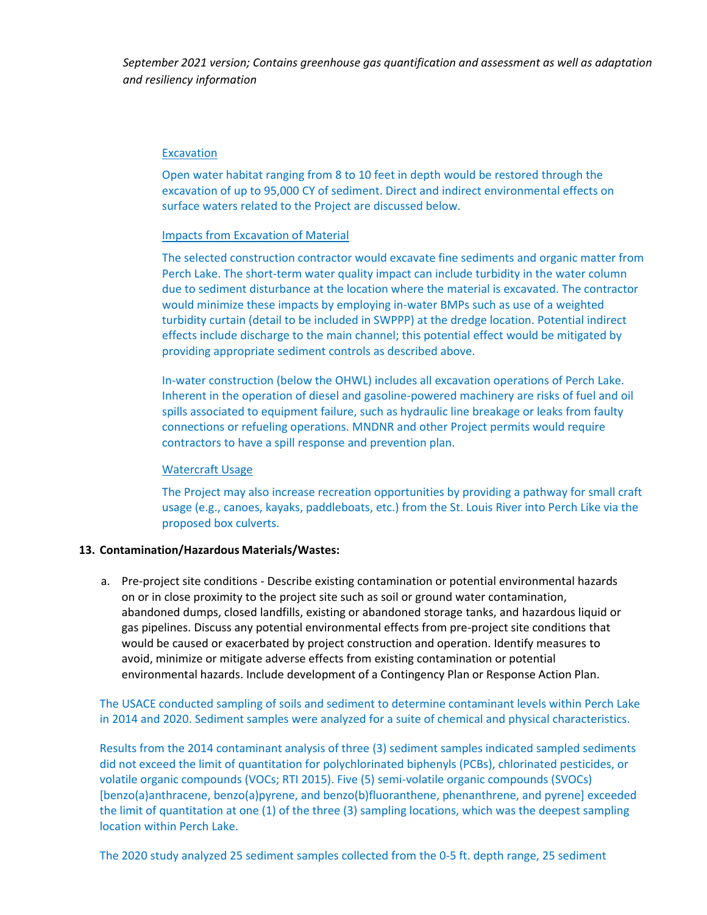#### Excavation

Open water habitat ranging from 8 to 10 feet in depth would be restored through the excavation of up to 95,000 CY of sediment. Direct and indirect environmental effects on surface waters related to the Project are discussed below.

#### Impacts from Excavation of Material

The selected construction contractor would excavate fine sediments and organic matter from Perch Lake. The short-term water quality impact can include turbidity in the water column due to sediment disturbance at the location where the material is excavated. The contractor would minimize these impacts by employing in-water BMPs such as use of a weighted turbidity curtain (detail to be included in SWPPP) at the dredge location. Potential indirect effects include discharge to the main channel; this potential effect would be mitigated by providing appropriate sediment controls as described above.

In-water construction (below the OHWL) includes all excavation operations of Perch Lake. Inherent in the operation of diesel and gasoline-powered machinery are risks of fuel and oil spills associated to equipment failure, such as hydraulic line breakage or leaks from faulty connections or refueling operations. MNDNR and other Project permits would require contractors to have a spill response and prevention plan.

#### Watercraft Usage

The Project may also increase recreation opportunities by providing a pathway for small craft usage (e.g., canoes, kayaks, paddleboats, etc.) from the St. Louis River into Perch Like via the proposed box culverts.

#### **13. Contamination/Hazardous Materials/Wastes:**

a. Pre-project site conditions - Describe existing contamination or potential environmental hazards on or in close proximity to the project site such as soil or ground water contamination, abandoned dumps, closed landfills, existing or abandoned storage tanks, and hazardous liquid or gas pipelines. Discuss any potential environmental effects from pre-project site conditions that would be caused or exacerbated by project construction and operation. Identify measures to avoid, minimize or mitigate adverse effects from existing contamination or potential environmental hazards. Include development of a Contingency Plan or Response Action Plan.

The USACE conducted sampling of soils and sediment to determine contaminant levels within Perch Lake in 2014 and 2020. Sediment samples were analyzed for a suite of chemical and physical characteristics.

Results from the 2014 contaminant analysis of three (3) sediment samples indicated sampled sediments did not exceed the limit of quantitation for polychlorinated biphenyls (PCBs), chlorinated pesticides, or volatile organic compounds (VOCs; RTI 2015). Five (5) semi-volatile organic compounds (SVOCs) [benzo(a)anthracene, benzo(a)pyrene, and benzo(b)fluoranthene, phenanthrene, and pyrene] exceeded the limit of quantitation at one (1) of the three (3) sampling locations, which was the deepest sampling location within Perch Lake.

The 2020 study analyzed 25 sediment samples collected from the 0-5 ft. depth range, 25 sediment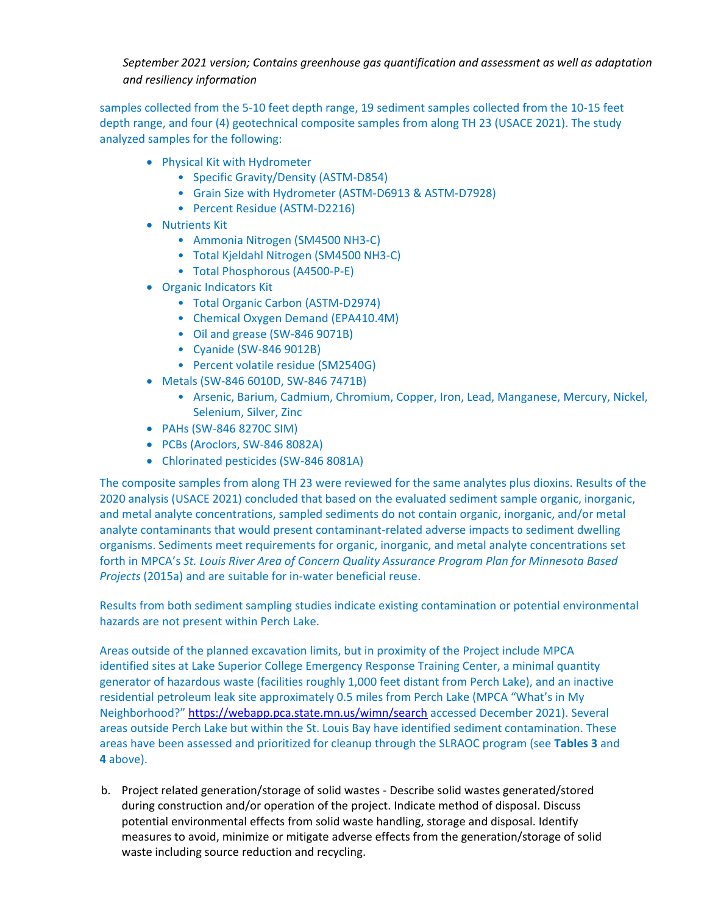samples collected from the 5-10 feet depth range, 19 sediment samples collected from the 10-15 feet depth range, and four (4) geotechnical composite samples from along TH 23 (USACE 2021). The study analyzed samples for the following:

- Physical Kit with Hydrometer
	- Specific Gravity/Density (ASTM-D854)
	- Grain Size with Hydrometer (ASTM-D6913 & ASTM-D7928)
	- Percent Residue (ASTM-D2216)
- Nutrients Kit
	- Ammonia Nitrogen (SM4500 NH3-C)
	- Total Kjeldahl Nitrogen (SM4500 NH3-C)
	- Total Phosphorous (A4500-P-E)
- Organic Indicators Kit
	- Total Organic Carbon (ASTM-D2974)
	- Chemical Oxygen Demand (EPA410.4M)
	- Oil and grease (SW-846 9071B)
	- Cyanide (SW-846 9012B)
	- Percent volatile residue (SM2540G)
- Metals (SW-846 6010D, SW-846 7471B)
	- Arsenic, Barium, Cadmium, Chromium, Copper, Iron, Lead, Manganese, Mercury, Nickel, Selenium, Silver, Zinc
- PAHs (SW-846 8270C SIM)
- PCBs (Aroclors, SW-846 8082A)
- Chlorinated pesticides (SW-846 8081A)

The composite samples from along TH 23 were reviewed for the same analytes plus dioxins. Results of the 2020 analysis (USACE 2021) concluded that based on the evaluated sediment sample organic, inorganic, and metal analyte concentrations, sampled sediments do not contain organic, inorganic, and/or metal analyte contaminants that would present contaminant-related adverse impacts to sediment dwelling organisms. Sediments meet requirements for organic, inorganic, and metal analyte concentrations set forth in MPCA's *St. Louis River Area of Concern Quality Assurance Program Plan for Minnesota Based Projects* (2015a) and are suitable for in-water beneficial reuse.

Results from both sediment sampling studies indicate existing contamination or potential environmental hazards are not present within Perch Lake.

Areas outside of the planned excavation limits, but in proximity of the Project include MPCA identified sites at Lake Superior College Emergency Response Training Center, a minimal quantity generator of hazardous waste (facilities roughly 1,000 feet distant from Perch Lake), and an inactive residential petroleum leak site approximately 0.5 miles from Perch Lake (MPCA "What's in My Neighborhood?" <https://webapp.pca.state.mn.us/wimn/search> accessed December 2021). Several areas outside Perch Lake but within the St. Louis Bay have identified sediment contamination. These areas have been assessed and prioritized for cleanup through the SLRAOC program (see **Tables 3** and **4** above).

b. Project related generation/storage of solid wastes - Describe solid wastes generated/stored during construction and/or operation of the project. Indicate method of disposal. Discuss potential environmental effects from solid waste handling, storage and disposal. Identify measures to avoid, minimize or mitigate adverse effects from the generation/storage of solid waste including source reduction and recycling.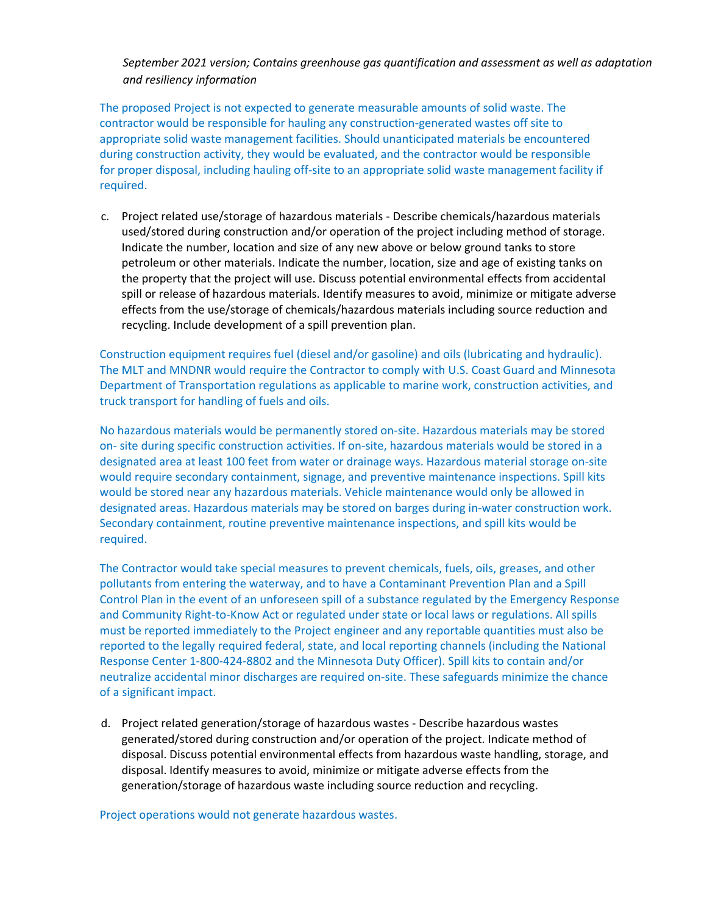The proposed Project is not expected to generate measurable amounts of solid waste. The contractor would be responsible for hauling any construction-generated wastes off site to appropriate solid waste management facilities. Should unanticipated materials be encountered during construction activity, they would be evaluated, and the contractor would be responsible for proper disposal, including hauling off-site to an appropriate solid waste management facility if required.

c. Project related use/storage of hazardous materials - Describe chemicals/hazardous materials used/stored during construction and/or operation of the project including method of storage. Indicate the number, location and size of any new above or below ground tanks to store petroleum or other materials. Indicate the number, location, size and age of existing tanks on the property that the project will use. Discuss potential environmental effects from accidental spill or release of hazardous materials. Identify measures to avoid, minimize or mitigate adverse effects from the use/storage of chemicals/hazardous materials including source reduction and recycling. Include development of a spill prevention plan.

Construction equipment requires fuel (diesel and/or gasoline) and oils (lubricating and hydraulic). The MLT and MNDNR would require the Contractor to comply with U.S. Coast Guard and Minnesota Department of Transportation regulations as applicable to marine work, construction activities, and truck transport for handling of fuels and oils.

No hazardous materials would be permanently stored on-site. Hazardous materials may be stored on- site during specific construction activities. If on-site, hazardous materials would be stored in a designated area at least 100 feet from water or drainage ways. Hazardous material storage on-site would require secondary containment, signage, and preventive maintenance inspections. Spill kits would be stored near any hazardous materials. Vehicle maintenance would only be allowed in designated areas. Hazardous materials may be stored on barges during in-water construction work. Secondary containment, routine preventive maintenance inspections, and spill kits would be required.

The Contractor would take special measures to prevent chemicals, fuels, oils, greases, and other pollutants from entering the waterway, and to have a Contaminant Prevention Plan and a Spill Control Plan in the event of an unforeseen spill of a substance regulated by the Emergency Response and Community Right-to-Know Act or regulated under state or local laws or regulations. All spills must be reported immediately to the Project engineer and any reportable quantities must also be reported to the legally required federal, state, and local reporting channels (including the National Response Center 1-800-424-8802 and the Minnesota Duty Officer). Spill kits to contain and/or neutralize accidental minor discharges are required on-site. These safeguards minimize the chance of a significant impact.

d. Project related generation/storage of hazardous wastes - Describe hazardous wastes generated/stored during construction and/or operation of the project. Indicate method of disposal. Discuss potential environmental effects from hazardous waste handling, storage, and disposal. Identify measures to avoid, minimize or mitigate adverse effects from the generation/storage of hazardous waste including source reduction and recycling.

Project operations would not generate hazardous wastes.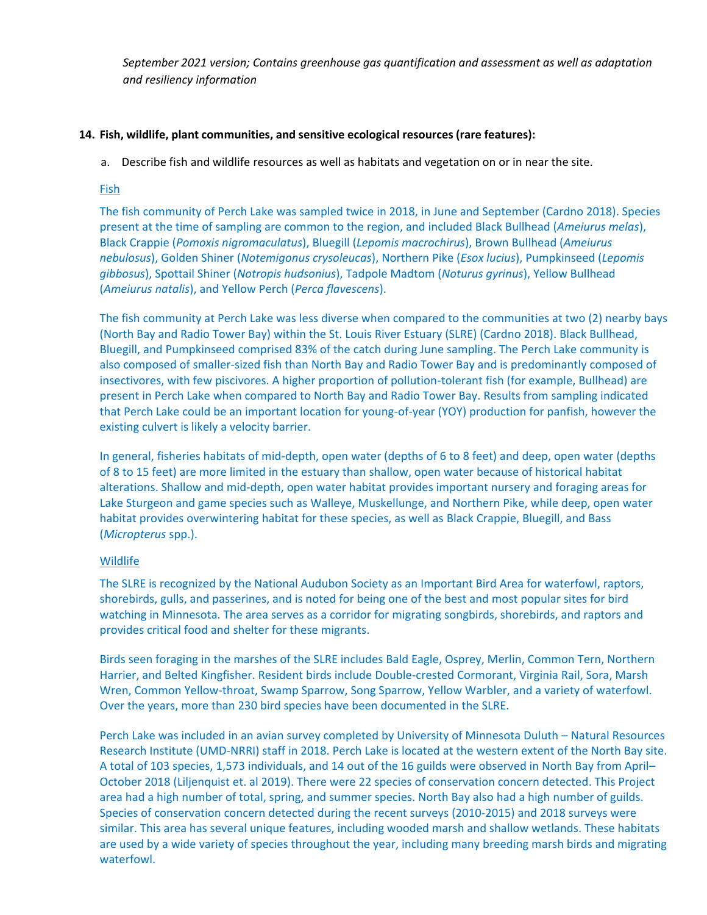# **14. Fish, wildlife, plant communities, and sensitive ecological resources (rare features):**

a. Describe fish and wildlife resources as well as habitats and vegetation on or in near the site.

#### Fish

The fish community of Perch Lake was sampled twice in 2018, in June and September (Cardno 2018). Species present at the time of sampling are common to the region, and included Black Bullhead (*Ameiurus melas*), Black Crappie (*Pomoxis nigromaculatus*), Bluegill (*Lepomis macrochirus*), Brown Bullhead (*Ameiurus nebulosus*), Golden Shiner (*Notemigonus crysoleucas*), Northern Pike (*Esox lucius*), Pumpkinseed (*Lepomis gibbosus*), Spottail Shiner (*Notropis hudsonius*), Tadpole Madtom (*Noturus gyrinus*), Yellow Bullhead (*Ameiurus natalis*), and Yellow Perch (*Perca flavescens*).

The fish community at Perch Lake was less diverse when compared to the communities at two (2) nearby bays (North Bay and Radio Tower Bay) within the St. Louis River Estuary (SLRE) (Cardno 2018). Black Bullhead, Bluegill, and Pumpkinseed comprised 83% of the catch during June sampling. The Perch Lake community is also composed of smaller-sized fish than North Bay and Radio Tower Bay and is predominantly composed of insectivores, with few piscivores. A higher proportion of pollution-tolerant fish (for example, Bullhead) are present in Perch Lake when compared to North Bay and Radio Tower Bay. Results from sampling indicated that Perch Lake could be an important location for young-of-year (YOY) production for panfish, however the existing culvert is likely a velocity barrier.

In general, fisheries habitats of mid-depth, open water (depths of 6 to 8 feet) and deep, open water (depths of 8 to 15 feet) are more limited in the estuary than shallow, open water because of historical habitat alterations. Shallow and mid-depth, open water habitat provides important nursery and foraging areas for Lake Sturgeon and game species such as Walleye, Muskellunge, and Northern Pike, while deep, open water habitat provides overwintering habitat for these species, as well as Black Crappie, Bluegill, and Bass (*Micropterus* spp.).

# Wildlife

The SLRE is recognized by the National Audubon Society as an Important Bird Area for waterfowl, raptors, shorebirds, gulls, and passerines, and is noted for being one of the best and most popular sites for bird watching in Minnesota. The area serves as a corridor for migrating songbirds, shorebirds, and raptors and provides critical food and shelter for these migrants.

Birds seen foraging in the marshes of the SLRE includes Bald Eagle, Osprey, Merlin, Common Tern, Northern Harrier, and Belted Kingfisher. Resident birds include Double-crested Cormorant, Virginia Rail, Sora, Marsh Wren, Common Yellow-throat, Swamp Sparrow, Song Sparrow, Yellow Warbler, and a variety of waterfowl. Over the years, more than 230 bird species have been documented in the SLRE.

Perch Lake was included in an avian survey completed by University of Minnesota Duluth – Natural Resources Research Institute (UMD-NRRI) staff in 2018. Perch Lake is located at the western extent of the North Bay site. A total of 103 species, 1,573 individuals, and 14 out of the 16 guilds were observed in North Bay from April– October 2018 (Liljenquist et. al 2019). There were 22 species of conservation concern detected. This Project area had a high number of total, spring, and summer species. North Bay also had a high number of guilds. Species of conservation concern detected during the recent surveys (2010-2015) and 2018 surveys were similar. This area has several unique features, including wooded marsh and shallow wetlands. These habitats are used by a wide variety of species throughout the year, including many breeding marsh birds and migrating waterfowl.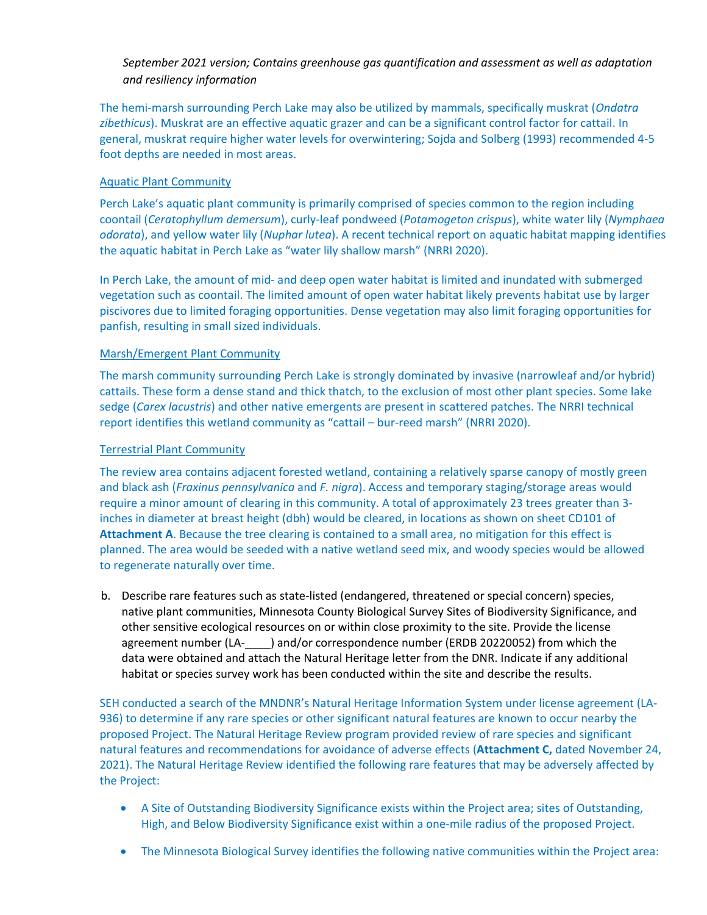The hemi-marsh surrounding Perch Lake may also be utilized by mammals, specifically muskrat (*Ondatra zibethicus*). Muskrat are an effective aquatic grazer and can be a significant control factor for cattail. In general, muskrat require higher water levels for overwintering; Sojda and Solberg (1993) recommended 4-5 foot depths are needed in most areas.

# Aquatic Plant Community

Perch Lake's aquatic plant community is primarily comprised of species common to the region including coontail (*Ceratophyllum demersum*), curly-leaf pondweed (*Potamogeton crispus*), white water lily (*Nymphaea odorata*), and yellow water lily (*Nuphar lutea*). A recent technical report on aquatic habitat mapping identifies the aquatic habitat in Perch Lake as "water lily shallow marsh" (NRRI 2020).

In Perch Lake, the amount of mid- and deep open water habitat is limited and inundated with submerged vegetation such as coontail. The limited amount of open water habitat likely prevents habitat use by larger piscivores due to limited foraging opportunities. Dense vegetation may also limit foraging opportunities for panfish, resulting in small sized individuals.

# Marsh/Emergent Plant Community

The marsh community surrounding Perch Lake is strongly dominated by invasive (narrowleaf and/or hybrid) cattails. These form a dense stand and thick thatch, to the exclusion of most other plant species. Some lake sedge (*Carex lacustris*) and other native emergents are present in scattered patches. The NRRI technical report identifies this wetland community as "cattail – bur-reed marsh" (NRRI 2020).

# Terrestrial Plant Community

The review area contains adjacent forested wetland, containing a relatively sparse canopy of mostly green and black ash (*Fraxinus pennsylvanica* and *F. nigra*). Access and temporary staging/storage areas would require a minor amount of clearing in this community. A total of approximately 23 trees greater than 3 inches in diameter at breast height (dbh) would be cleared, in locations as shown on sheet CD101 of **Attachment A**. Because the tree clearing is contained to a small area, no mitigation for this effect is planned. The area would be seeded with a native wetland seed mix, and woody species would be allowed to regenerate naturally over time.

b. Describe rare features such as state-listed (endangered, threatened or special concern) species, native plant communities, Minnesota County Biological Survey Sites of Biodiversity Significance, and other sensitive ecological resources on or within close proximity to the site. Provide the license agreement number (LA- ) and/or correspondence number (ERDB 20220052) from which the data were obtained and attach the Natural Heritage letter from the DNR. Indicate if any additional habitat or species survey work has been conducted within the site and describe the results.

SEH conducted a search of the MNDNR's Natural Heritage Information System under license agreement (LA-936) to determine if any rare species or other significant natural features are known to occur nearby the proposed Project. The Natural Heritage Review program provided review of rare species and significant natural features and recommendations for avoidance of adverse effects (**Attachment C,** dated November 24, 2021). The Natural Heritage Review identified the following rare features that may be adversely affected by the Project:

- A Site of Outstanding Biodiversity Significance exists within the Project area; sites of Outstanding, High, and Below Biodiversity Significance exist within a one-mile radius of the proposed Project.
- The Minnesota Biological Survey identifies the following native communities within the Project area: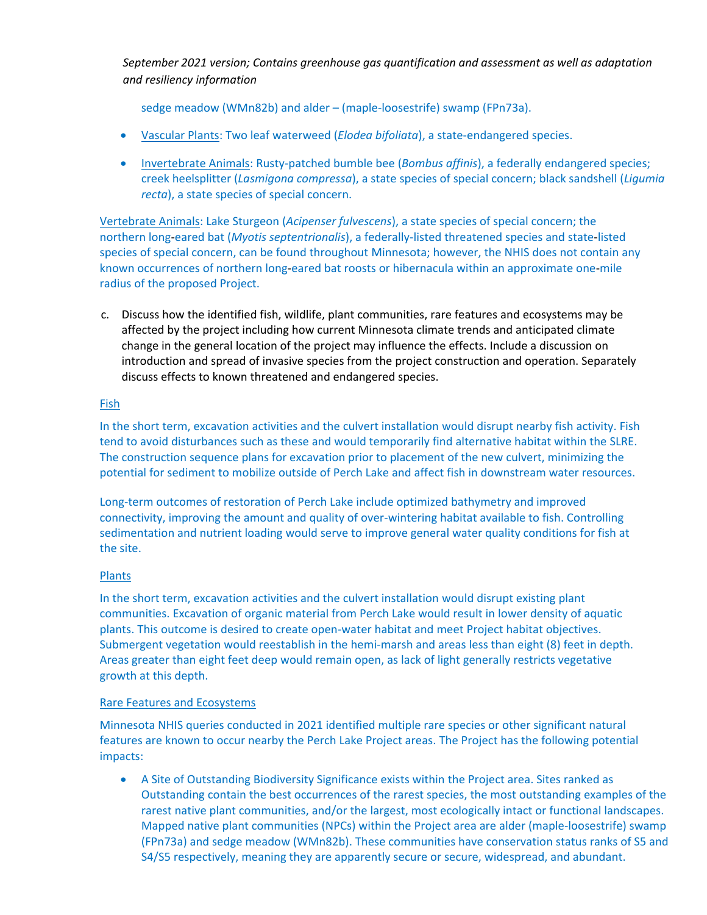sedge meadow (WMn82b) and alder – (maple-loosestrife) swamp (FPn73a).

- Vascular Plants: Two leaf waterweed (*Elodea bifoliata*), a state-endangered species.
- Invertebrate Animals: Rusty-patched bumble bee (*Bombus affinis*), a federally endangered species; creek heelsplitter (*Lasmigona compressa*), a state species of special concern; black sandshell (*Ligumia recta*), a state species of special concern.

Vertebrate Animals: Lake Sturgeon (*Acipenser fulvescens*), a state species of special concern; the northern long‐eared bat (*Myotis septentrionalis*), a federally-listed threatened species and state‐listed species of special concern, can be found throughout Minnesota; however, the NHIS does not contain any known occurrences of northern long-eared bat roosts or hibernacula within an approximate one-mile radius of the proposed Project.

c. Discuss how the identified fish, wildlife, plant communities, rare features and ecosystems may be affected by the project including how current Minnesota climate trends and anticipated climate change in the general location of the project may influence the effects. Include a discussion on introduction and spread of invasive species from the project construction and operation. Separately discuss effects to known threatened and endangered species.

#### Fish

In the short term, excavation activities and the culvert installation would disrupt nearby fish activity. Fish tend to avoid disturbances such as these and would temporarily find alternative habitat within the SLRE. The construction sequence plans for excavation prior to placement of the new culvert, minimizing the potential for sediment to mobilize outside of Perch Lake and affect fish in downstream water resources.

Long-term outcomes of restoration of Perch Lake include optimized bathymetry and improved connectivity, improving the amount and quality of over-wintering habitat available to fish. Controlling sedimentation and nutrient loading would serve to improve general water quality conditions for fish at the site.

# Plants

In the short term, excavation activities and the culvert installation would disrupt existing plant communities. Excavation of organic material from Perch Lake would result in lower density of aquatic plants. This outcome is desired to create open-water habitat and meet Project habitat objectives. Submergent vegetation would reestablish in the hemi-marsh and areas less than eight (8) feet in depth. Areas greater than eight feet deep would remain open, as lack of light generally restricts vegetative growth at this depth.

#### Rare Features and Ecosystems

Minnesota NHIS queries conducted in 2021 identified multiple rare species or other significant natural features are known to occur nearby the Perch Lake Project areas. The Project has the following potential impacts:

• A Site of Outstanding Biodiversity Significance exists within the Project area. Sites ranked as Outstanding contain the best occurrences of the rarest species, the most outstanding examples of the rarest native plant communities, and/or the largest, most ecologically intact or functional landscapes. Mapped native plant communities (NPCs) within the Project area are alder (maple-loosestrife) swamp (FPn73a) and sedge meadow (WMn82b). These communities have conservation status ranks of S5 and S4/S5 respectively, meaning they are apparently secure or secure, widespread, and abundant.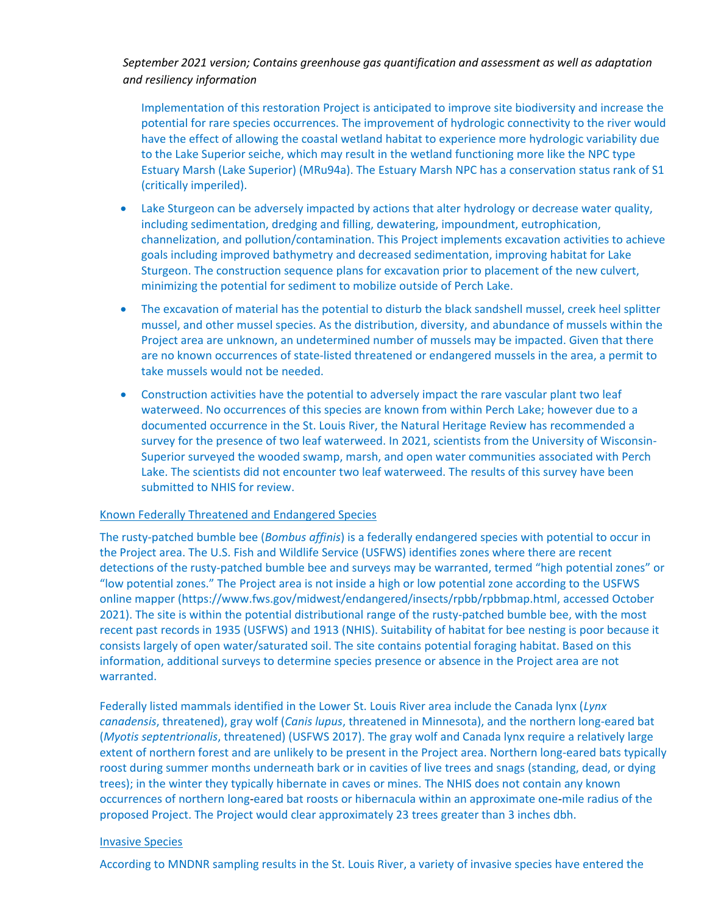Implementation of this restoration Project is anticipated to improve site biodiversity and increase the potential for rare species occurrences. The improvement of hydrologic connectivity to the river would have the effect of allowing the coastal wetland habitat to experience more hydrologic variability due to the Lake Superior seiche, which may result in the wetland functioning more like the NPC type Estuary Marsh (Lake Superior) (MRu94a). The Estuary Marsh NPC has a conservation status rank of S1 (critically imperiled).

- Lake Sturgeon can be adversely impacted by actions that alter hydrology or decrease water quality, including sedimentation, dredging and filling, dewatering, impoundment, eutrophication, channelization, and pollution/contamination. This Project implements excavation activities to achieve goals including improved bathymetry and decreased sedimentation, improving habitat for Lake Sturgeon. The construction sequence plans for excavation prior to placement of the new culvert, minimizing the potential for sediment to mobilize outside of Perch Lake.
- The excavation of material has the potential to disturb the black sandshell mussel, creek heel splitter mussel, and other mussel species. As the distribution, diversity, and abundance of mussels within the Project area are unknown, an undetermined number of mussels may be impacted. Given that there are no known occurrences of state‐listed threatened or endangered mussels in the area, a permit to take mussels would not be needed.
- Construction activities have the potential to adversely impact the rare vascular plant two leaf waterweed. No occurrences of this species are known from within Perch Lake; however due to a documented occurrence in the St. Louis River, the Natural Heritage Review has recommended a survey for the presence of two leaf waterweed. In 2021, scientists from the University of Wisconsin-Superior surveyed the wooded swamp, marsh, and open water communities associated with Perch Lake. The scientists did not encounter two leaf waterweed. The results of this survey have been submitted to NHIS for review.

#### Known Federally Threatened and Endangered Species

The rusty-patched bumble bee (*Bombus affinis*) is a federally endangered species with potential to occur in the Project area. The U.S. Fish and Wildlife Service (USFWS) identifies zones where there are recent detections of the rusty-patched bumble bee and surveys may be warranted, termed "high potential zones" or "low potential zones." The Project area is not inside a high or low potential zone according to the USFWS online mapper (https://www.fws.gov/midwest/endangered/insects/rpbb/rpbbmap.html, accessed October 2021). The site is within the potential distributional range of the rusty-patched bumble bee, with the most recent past records in 1935 (USFWS) and 1913 (NHIS). Suitability of habitat for bee nesting is poor because it consists largely of open water/saturated soil. The site contains potential foraging habitat. Based on this information, additional surveys to determine species presence or absence in the Project area are not warranted.

Federally listed mammals identified in the Lower St. Louis River area include the Canada lynx (*Lynx canadensis*, threatened), gray wolf (*Canis lupus*, threatened in Minnesota), and the northern long-eared bat (*Myotis septentrionalis*, threatened) (USFWS 2017). The gray wolf and Canada lynx require a relatively large extent of northern forest and are unlikely to be present in the Project area. Northern long-eared bats typically roost during summer months underneath bark or in cavities of live trees and snags (standing, dead, or dying trees); in the winter they typically hibernate in caves or mines. The NHIS does not contain any known occurrences of northern long‐eared bat roosts or hibernacula within an approximate one‐mile radius of the proposed Project. The Project would clear approximately 23 trees greater than 3 inches dbh.

#### Invasive Species

According to MNDNR sampling results in the St. Louis River, a variety of invasive species have entered the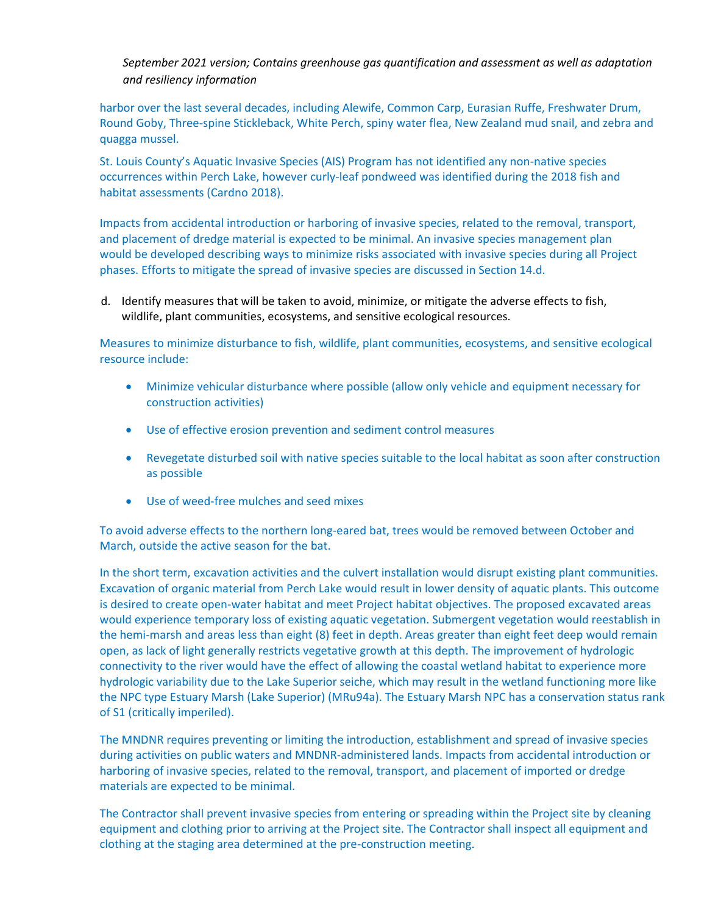harbor over the last several decades, including Alewife, Common Carp, Eurasian Ruffe, Freshwater Drum, Round Goby, Three-spine Stickleback, White Perch, spiny water flea, New Zealand mud snail, and zebra and quagga mussel.

St. Louis County's Aquatic Invasive Species (AIS) Program has not identified any non-native species occurrences within Perch Lake, however curly-leaf pondweed was identified during the 2018 fish and habitat assessments (Cardno 2018).

Impacts from accidental introduction or harboring of invasive species, related to the removal, transport, and placement of dredge material is expected to be minimal. An invasive species management plan would be developed describing ways to minimize risks associated with invasive species during all Project phases. Efforts to mitigate the spread of invasive species are discussed in Section 14.d.

d. Identify measures that will be taken to avoid, minimize, or mitigate the adverse effects to fish, wildlife, plant communities, ecosystems, and sensitive ecological resources.

Measures to minimize disturbance to fish, wildlife, plant communities, ecosystems, and sensitive ecological resource include:

- Minimize vehicular disturbance where possible (allow only vehicle and equipment necessary for construction activities)
- Use of effective erosion prevention and sediment control measures
- Revegetate disturbed soil with native species suitable to the local habitat as soon after construction as possible
- Use of weed-free mulches and seed mixes

To avoid adverse effects to the northern long-eared bat, trees would be removed between October and March, outside the active season for the bat.

In the short term, excavation activities and the culvert installation would disrupt existing plant communities. Excavation of organic material from Perch Lake would result in lower density of aquatic plants. This outcome is desired to create open-water habitat and meet Project habitat objectives. The proposed excavated areas would experience temporary loss of existing aquatic vegetation. Submergent vegetation would reestablish in the hemi-marsh and areas less than eight (8) feet in depth. Areas greater than eight feet deep would remain open, as lack of light generally restricts vegetative growth at this depth. The improvement of hydrologic connectivity to the river would have the effect of allowing the coastal wetland habitat to experience more hydrologic variability due to the Lake Superior seiche, which may result in the wetland functioning more like the NPC type Estuary Marsh (Lake Superior) (MRu94a). The Estuary Marsh NPC has a conservation status rank of S1 (critically imperiled).

The MNDNR requires preventing or limiting the introduction, establishment and spread of invasive species during activities on public waters and MNDNR-administered lands. Impacts from accidental introduction or harboring of invasive species, related to the removal, transport, and placement of imported or dredge materials are expected to be minimal.

The Contractor shall prevent invasive species from entering or spreading within the Project site by cleaning equipment and clothing prior to arriving at the Project site. The Contractor shall inspect all equipment and clothing at the staging area determined at the pre-construction meeting.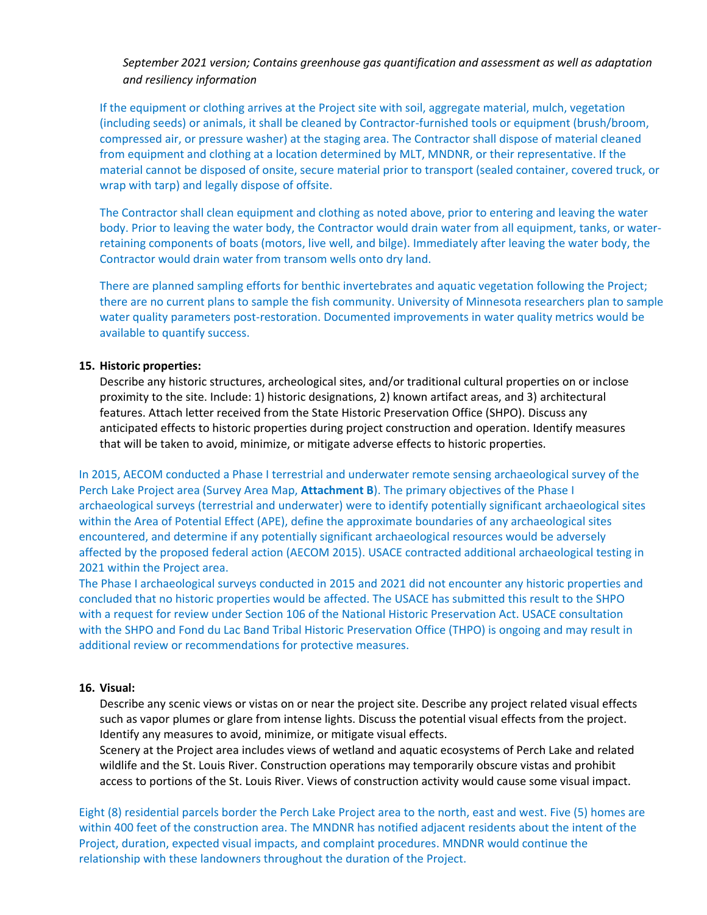If the equipment or clothing arrives at the Project site with soil, aggregate material, mulch, vegetation (including seeds) or animals, it shall be cleaned by Contractor-furnished tools or equipment (brush/broom, compressed air, or pressure washer) at the staging area. The Contractor shall dispose of material cleaned from equipment and clothing at a location determined by MLT, MNDNR, or their representative. If the material cannot be disposed of onsite, secure material prior to transport (sealed container, covered truck, or wrap with tarp) and legally dispose of offsite.

The Contractor shall clean equipment and clothing as noted above, prior to entering and leaving the water body. Prior to leaving the water body, the Contractor would drain water from all equipment, tanks, or waterretaining components of boats (motors, live well, and bilge). Immediately after leaving the water body, the Contractor would drain water from transom wells onto dry land.

There are planned sampling efforts for benthic invertebrates and aquatic vegetation following the Project; there are no current plans to sample the fish community. University of Minnesota researchers plan to sample water quality parameters post-restoration. Documented improvements in water quality metrics would be available to quantify success.

#### **15. Historic properties:**

Describe any historic structures, archeological sites, and/or traditional cultural properties on or inclose proximity to the site. Include: 1) historic designations, 2) known artifact areas, and 3) architectural features. Attach letter received from the State Historic Preservation Office (SHPO). Discuss any anticipated effects to historic properties during project construction and operation. Identify measures that will be taken to avoid, minimize, or mitigate adverse effects to historic properties.

In 2015, AECOM conducted a Phase I terrestrial and underwater remote sensing archaeological survey of the Perch Lake Project area (Survey Area Map, **Attachment B**). The primary objectives of the Phase I archaeological surveys (terrestrial and underwater) were to identify potentially significant archaeological sites within the Area of Potential Effect (APE), define the approximate boundaries of any archaeological sites encountered, and determine if any potentially significant archaeological resources would be adversely affected by the proposed federal action (AECOM 2015). USACE contracted additional archaeological testing in 2021 within the Project area.

The Phase I archaeological surveys conducted in 2015 and 2021 did not encounter any historic properties and concluded that no historic properties would be affected. The USACE has submitted this result to the SHPO with a request for review under Section 106 of the National Historic Preservation Act. USACE consultation with the SHPO and Fond du Lac Band Tribal Historic Preservation Office (THPO) is ongoing and may result in additional review or recommendations for protective measures.

# **16. Visual:**

Describe any scenic views or vistas on or near the project site. Describe any project related visual effects such as vapor plumes or glare from intense lights. Discuss the potential visual effects from the project. Identify any measures to avoid, minimize, or mitigate visual effects.

Scenery at the Project area includes views of wetland and aquatic ecosystems of Perch Lake and related wildlife and the St. Louis River. Construction operations may temporarily obscure vistas and prohibit access to portions of the St. Louis River. Views of construction activity would cause some visual impact.

Eight (8) residential parcels border the Perch Lake Project area to the north, east and west. Five (5) homes are within 400 feet of the construction area. The MNDNR has notified adjacent residents about the intent of the Project, duration, expected visual impacts, and complaint procedures. MNDNR would continue the relationship with these landowners throughout the duration of the Project.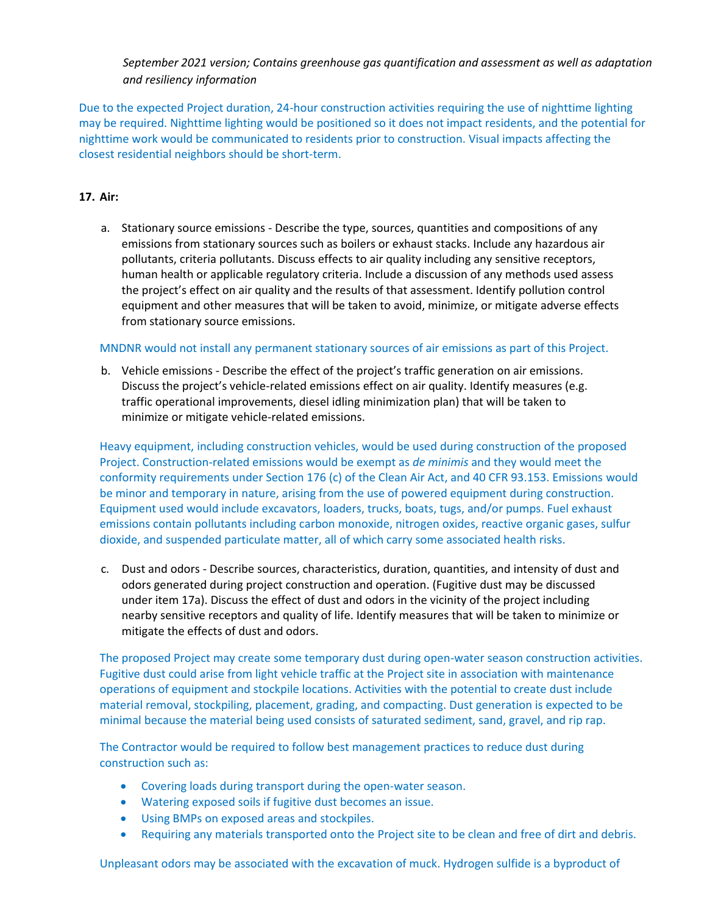Due to the expected Project duration, 24-hour construction activities requiring the use of nighttime lighting may be required. Nighttime lighting would be positioned so it does not impact residents, and the potential for nighttime work would be communicated to residents prior to construction. Visual impacts affecting the closest residential neighbors should be short-term.

# **17. Air:**

a. Stationary source emissions - Describe the type, sources, quantities and compositions of any emissions from stationary sources such as boilers or exhaust stacks. Include any hazardous air pollutants, criteria pollutants. Discuss effects to air quality including any sensitive receptors, human health or applicable regulatory criteria. Include a discussion of any methods used assess the project's effect on air quality and the results of that assessment. Identify pollution control equipment and other measures that will be taken to avoid, minimize, or mitigate adverse effects from stationary source emissions.

#### MNDNR would not install any permanent stationary sources of air emissions as part of this Project.

b. Vehicle emissions - Describe the effect of the project's traffic generation on air emissions. Discuss the project's vehicle-related emissions effect on air quality. Identify measures (e.g. traffic operational improvements, diesel idling minimization plan) that will be taken to minimize or mitigate vehicle-related emissions.

Heavy equipment, including construction vehicles, would be used during construction of the proposed Project. Construction-related emissions would be exempt as *de minimis* and they would meet the conformity requirements under Section 176 (c) of the Clean Air Act, and 40 CFR 93.153. Emissions would be minor and temporary in nature, arising from the use of powered equipment during construction. Equipment used would include excavators, loaders, trucks, boats, tugs, and/or pumps. Fuel exhaust emissions contain pollutants including carbon monoxide, nitrogen oxides, reactive organic gases, sulfur dioxide, and suspended particulate matter, all of which carry some associated health risks.

c. Dust and odors - Describe sources, characteristics, duration, quantities, and intensity of dust and odors generated during project construction and operation. (Fugitive dust may be discussed under item 17a). Discuss the effect of dust and odors in the vicinity of the project including nearby sensitive receptors and quality of life. Identify measures that will be taken to minimize or mitigate the effects of dust and odors.

The proposed Project may create some temporary dust during open-water season construction activities. Fugitive dust could arise from light vehicle traffic at the Project site in association with maintenance operations of equipment and stockpile locations. Activities with the potential to create dust include material removal, stockpiling, placement, grading, and compacting. Dust generation is expected to be minimal because the material being used consists of saturated sediment, sand, gravel, and rip rap.

The Contractor would be required to follow best management practices to reduce dust during construction such as:

- Covering loads during transport during the open-water season.
- Watering exposed soils if fugitive dust becomes an issue.
- Using BMPs on exposed areas and stockpiles.
- Requiring any materials transported onto the Project site to be clean and free of dirt and debris.

Unpleasant odors may be associated with the excavation of muck. Hydrogen sulfide is a byproduct of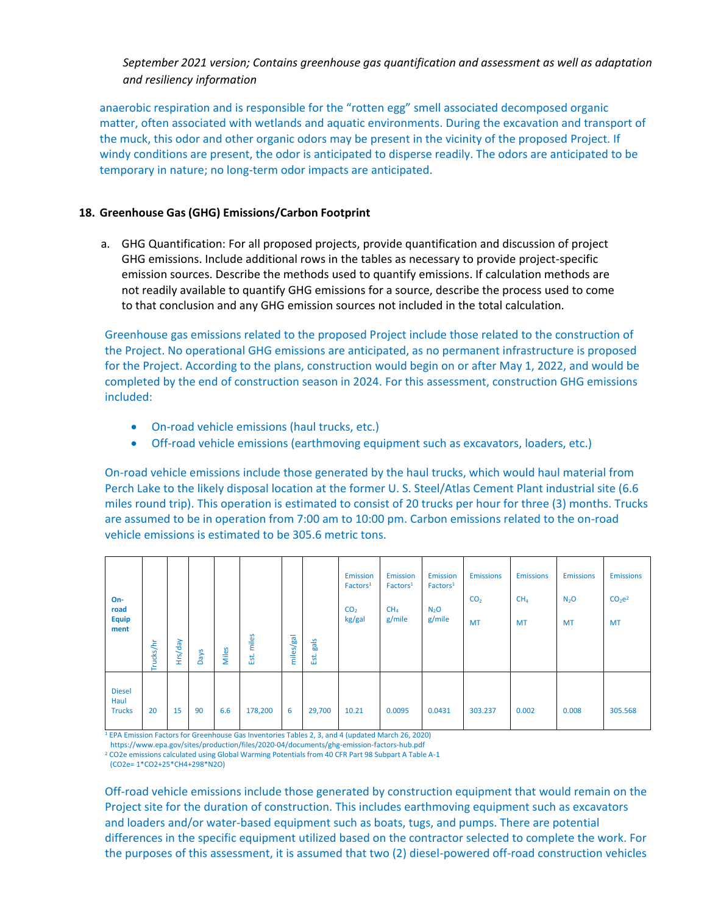anaerobic respiration and is responsible for the "rotten egg" smell associated decomposed organic matter, often associated with wetlands and aquatic environments. During the excavation and transport of the muck, this odor and other organic odors may be present in the vicinity of the proposed Project. If windy conditions are present, the odor is anticipated to disperse readily. The odors are anticipated to be temporary in nature; no long-term odor impacts are anticipated.

#### **18. Greenhouse Gas (GHG) Emissions/Carbon Footprint**

a. GHG Quantification: For all proposed projects, provide quantification and discussion of project GHG emissions. Include additional rows in the tables as necessary to provide project-specific emission sources. Describe the methods used to quantify emissions. If calculation methods are not readily available to quantify GHG emissions for a source, describe the process used to come to that conclusion and any GHG emission sources not included in the total calculation.

Greenhouse gas emissions related to the proposed Project include those related to the construction of the Project. No operational GHG emissions are anticipated, as no permanent infrastructure is proposed for the Project. According to the plans, construction would begin on or after May 1, 2022, and would be completed by the end of construction season in 2024. For this assessment, construction GHG emissions included:

- On-road vehicle emissions (haul trucks, etc.)
- Off-road vehicle emissions (earthmoving equipment such as excavators, loaders, etc.)

On-road vehicle emissions include those generated by the haul trucks, which would haul material from Perch Lake to the likely disposal location at the former U. S. Steel/Atlas Cement Plant industrial site (6.6 miles round trip). This operation is estimated to consist of 20 trucks per hour for three (3) months. Trucks are assumed to be in operation from 7:00 am to 10:00 pm. Carbon emissions related to the on-road vehicle emissions is estimated to be 305.6 metric tons.

| $On-$<br>road<br>Equip<br>ment         | Trucks/hr | Hrs/day | Days | Miles | miles<br>Est. | miles/gal | gals<br>Est. | Emission<br>Factors <sup>1</sup><br>CO <sub>2</sub><br>kg/gal | <b>Emission</b><br>Factors <sup>1</sup><br>CH <sub>4</sub><br>g/mile | <b>Emission</b><br>Factors <sup>1</sup><br>$N_2$ O<br>g/mile | <b>Emissions</b><br>CO <sub>2</sub><br><b>MT</b> | <b>Emissions</b><br>CH <sub>4</sub><br><b>MT</b> | <b>Emissions</b><br>$N_2$ O<br><b>MT</b> | <b>Emissions</b><br>CO <sub>2</sub> e <sup>2</sup><br><b>MT</b> |
|----------------------------------------|-----------|---------|------|-------|---------------|-----------|--------------|---------------------------------------------------------------|----------------------------------------------------------------------|--------------------------------------------------------------|--------------------------------------------------|--------------------------------------------------|------------------------------------------|-----------------------------------------------------------------|
| <b>Diesel</b><br>Haul<br><b>Trucks</b> | 20        | 15      | 90   | 6.6   | 178,200       | 6         | 29,700       | 10.21                                                         | 0.0095                                                               | 0.0431                                                       | 303.237                                          | 0.002                                            | 0.008                                    | 305.568                                                         |

<sup>1</sup> EPA Emission Factors for Greenhouse Gas Inventories Tables 2, 3, and 4 (updated March 26, 2020)

https://www.epa.gov/sites/production/files/2020-04/documents/ghg-emission-factors-hub.pdf

<sup>2</sup> CO2e emissions calculated using Global Warming Potentials from 40 CFR Part 98 Subpart A Table A-1

(CO2e= 1\*CO2+25\*CH4+298\*N2O)

Off-road vehicle emissions include those generated by construction equipment that would remain on the Project site for the duration of construction. This includes earthmoving equipment such as excavators and loaders and/or water-based equipment such as boats, tugs, and pumps. There are potential differences in the specific equipment utilized based on the contractor selected to complete the work. For the purposes of this assessment, it is assumed that two (2) diesel-powered off-road construction vehicles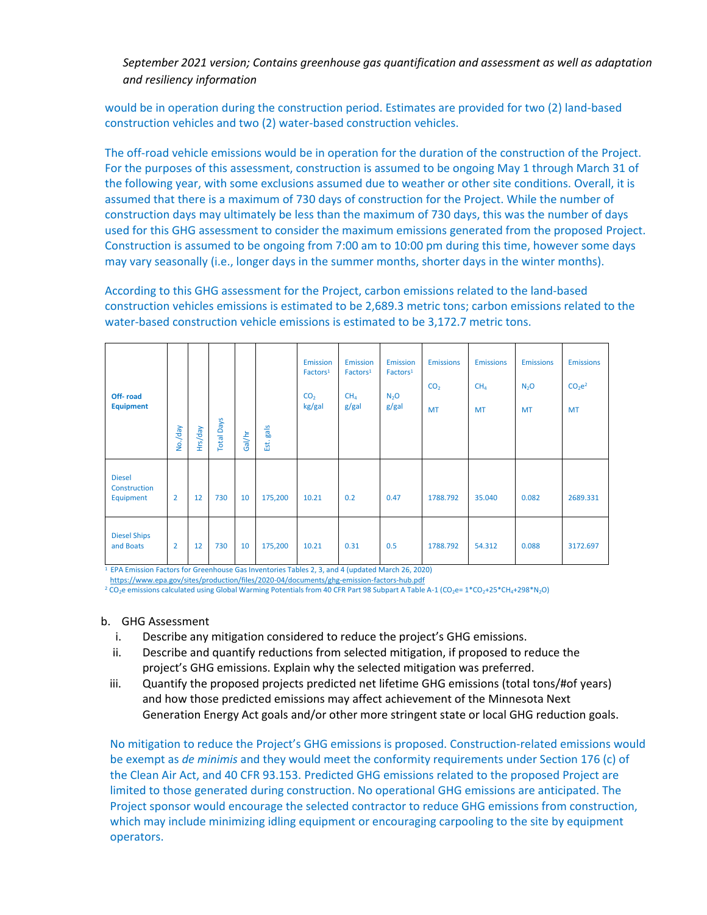would be in operation during the construction period. Estimates are provided for two (2) land-based construction vehicles and two (2) water-based construction vehicles.

The off-road vehicle emissions would be in operation for the duration of the construction of the Project. For the purposes of this assessment, construction is assumed to be ongoing May 1 through March 31 of the following year, with some exclusions assumed due to weather or other site conditions. Overall, it is assumed that there is a maximum of 730 days of construction for the Project. While the number of construction days may ultimately be less than the maximum of 730 days, this was the number of days used for this GHG assessment to consider the maximum emissions generated from the proposed Project. Construction is assumed to be ongoing from 7:00 am to 10:00 pm during this time, however some days may vary seasonally (i.e., longer days in the summer months, shorter days in the winter months).

According to this GHG assessment for the Project, carbon emissions related to the land-based construction vehicles emissions is estimated to be 2,689.3 metric tons; carbon emissions related to the water-based construction vehicle emissions is estimated to be 3,172.7 metric tons.

| Off-road<br><b>Equipment</b>               | No./day        | Hrs/day | <b>Total Days</b> | Gal/hr | Est. gals | <b>Emission</b><br>Factors <sup>1</sup><br>CO <sub>2</sub><br>kg/gal | <b>Emission</b><br>Factors <sup>1</sup><br>CH <sub>4</sub><br>g/gal | <b>Emission</b><br>Factors <sup>1</sup><br>N <sub>2</sub> O<br>g/gal | <b>Emissions</b><br>CO <sub>2</sub><br><b>MT</b> | <b>Emissions</b><br>CH <sub>4</sub><br><b>MT</b> | <b>Emissions</b><br>N <sub>2</sub> O<br><b>MT</b> | <b>Emissions</b><br>CO <sub>2</sub> e <sup>2</sup><br><b>MT</b> |
|--------------------------------------------|----------------|---------|-------------------|--------|-----------|----------------------------------------------------------------------|---------------------------------------------------------------------|----------------------------------------------------------------------|--------------------------------------------------|--------------------------------------------------|---------------------------------------------------|-----------------------------------------------------------------|
| <b>Diesel</b><br>Construction<br>Equipment | $\overline{2}$ | 12      | 730               | 10     | 175,200   | 10.21                                                                | 0.2                                                                 | 0.47                                                                 | 1788.792                                         | 35.040                                           | 0.082                                             | 2689.331                                                        |
| <b>Diesel Ships</b><br>and Boats           | $\overline{2}$ | 12      | 730               | 10     | 175,200   | 10.21                                                                | 0.31                                                                | 0.5                                                                  | 1788.792                                         | 54.312                                           | 0.088                                             | 3172.697                                                        |

<sup>1</sup> EPA Emission Factors for Greenhouse Gas Inventories Tables 2, 3, and 4 (updated March 26, 2020) <https://www.epa.gov/sites/production/files/2020-04/documents/ghg-emission-factors-hub.pdf>

<sup>2</sup> CO<sub>2</sub>e emissions calculated using Global Warming Potentials from 40 CFR Part 98 Subpart A Table A-1 (CO<sub>2</sub>e= 1\*CO<sub>2</sub>+25\*CH<sub>4</sub>+298\*N<sub>2</sub>O)

#### b. GHG Assessment

- i. Describe any mitigation considered to reduce the project's GHG emissions.
- ii. Describe and quantify reductions from selected mitigation, if proposed to reduce the project's GHG emissions. Explain why the selected mitigation was preferred.
- iii. Quantify the proposed projects predicted net lifetime GHG emissions (total tons/#of years) and how those predicted emissions may affect achievement of the Minnesota Next Generation Energy Act goals and/or other more stringent state or local GHG reduction goals.

No mitigation to reduce the Project's GHG emissions is proposed. Construction-related emissions would be exempt as *de minimis* and they would meet the conformity requirements under Section 176 (c) of the Clean Air Act, and 40 CFR 93.153. Predicted GHG emissions related to the proposed Project are limited to those generated during construction. No operational GHG emissions are anticipated. The Project sponsor would encourage the selected contractor to reduce GHG emissions from construction, which may include minimizing idling equipment or encouraging carpooling to the site by equipment operators.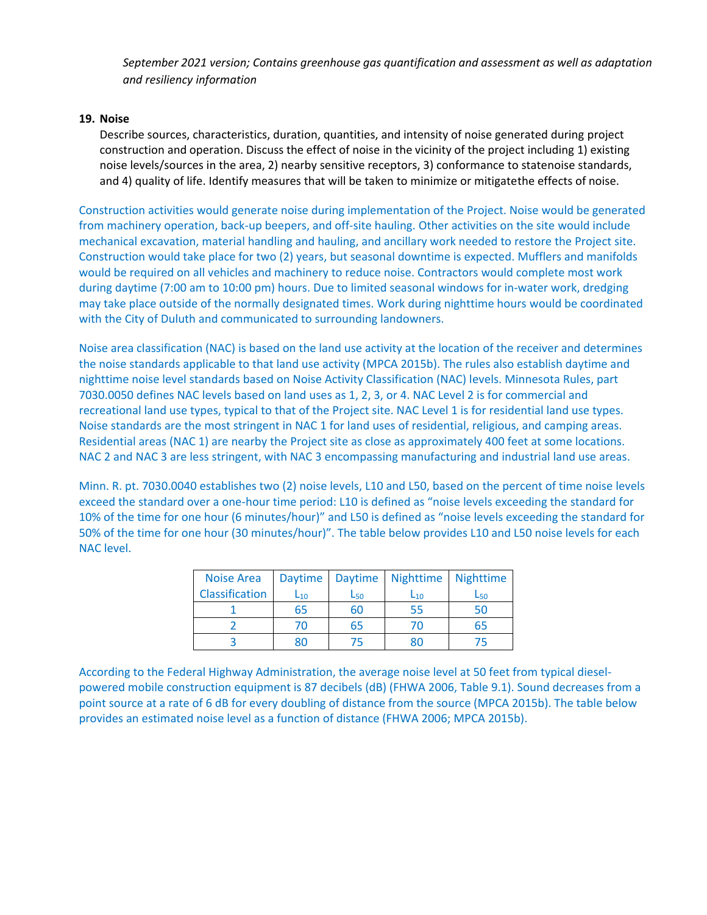# **19. Noise**

Describe sources, characteristics, duration, quantities, and intensity of noise generated during project construction and operation. Discuss the effect of noise in the vicinity of the project including 1) existing noise levels/sources in the area, 2) nearby sensitive receptors, 3) conformance to statenoise standards, and 4) quality of life. Identify measures that will be taken to minimize or mitigatethe effects of noise.

Construction activities would generate noise during implementation of the Project. Noise would be generated from machinery operation, back-up beepers, and off-site hauling. Other activities on the site would include mechanical excavation, material handling and hauling, and ancillary work needed to restore the Project site. Construction would take place for two (2) years, but seasonal downtime is expected. Mufflers and manifolds would be required on all vehicles and machinery to reduce noise. Contractors would complete most work during daytime (7:00 am to 10:00 pm) hours. Due to limited seasonal windows for in-water work, dredging may take place outside of the normally designated times. Work during nighttime hours would be coordinated with the City of Duluth and communicated to surrounding landowners.

Noise area classification (NAC) is based on the land use activity at the location of the receiver and determines the noise standards applicable to that land use activity (MPCA 2015b). The rules also establish daytime and nighttime noise level standards based on Noise Activity Classification (NAC) levels. Minnesota Rules, part 7030.0050 defines NAC levels based on land uses as 1, 2, 3, or 4. NAC Level 2 is for commercial and recreational land use types, typical to that of the Project site. NAC Level 1 is for residential land use types. Noise standards are the most stringent in NAC 1 for land uses of residential, religious, and camping areas. Residential areas (NAC 1) are nearby the Project site as close as approximately 400 feet at some locations. NAC 2 and NAC 3 are less stringent, with NAC 3 encompassing manufacturing and industrial land use areas.

Minn. R. pt. 7030.0040 establishes two (2) noise levels, L10 and L50, based on the percent of time noise levels exceed the standard over a one-hour time period: L10 is defined as "noise levels exceeding the standard for 10% of the time for one hour (6 minutes/hour)" and L50 is defined as "noise levels exceeding the standard for 50% of the time for one hour (30 minutes/hour)". The table below provides L10 and L50 noise levels for each NAC level.

| <b>Noise Area</b> | <b>Daytime</b> |                        | Daytime Nighttime | Nighttime              |
|-------------------|----------------|------------------------|-------------------|------------------------|
| Classification    | $L_{10}$       | <b>L</b> <sub>50</sub> | $L_{10}$          | <b>L</b> <sub>50</sub> |
|                   | 65             | 60                     | 55                | 50                     |
|                   | 70             | 65                     | 70                | 65                     |
|                   |                |                        | ጸበ                |                        |

According to the Federal Highway Administration, the average noise level at 50 feet from typical dieselpowered mobile construction equipment is 87 decibels (dB) (FHWA 2006, Table 9.1). Sound decreases from a point source at a rate of 6 dB for every doubling of distance from the source (MPCA 2015b). The table below provides an estimated noise level as a function of distance (FHWA 2006; MPCA 2015b).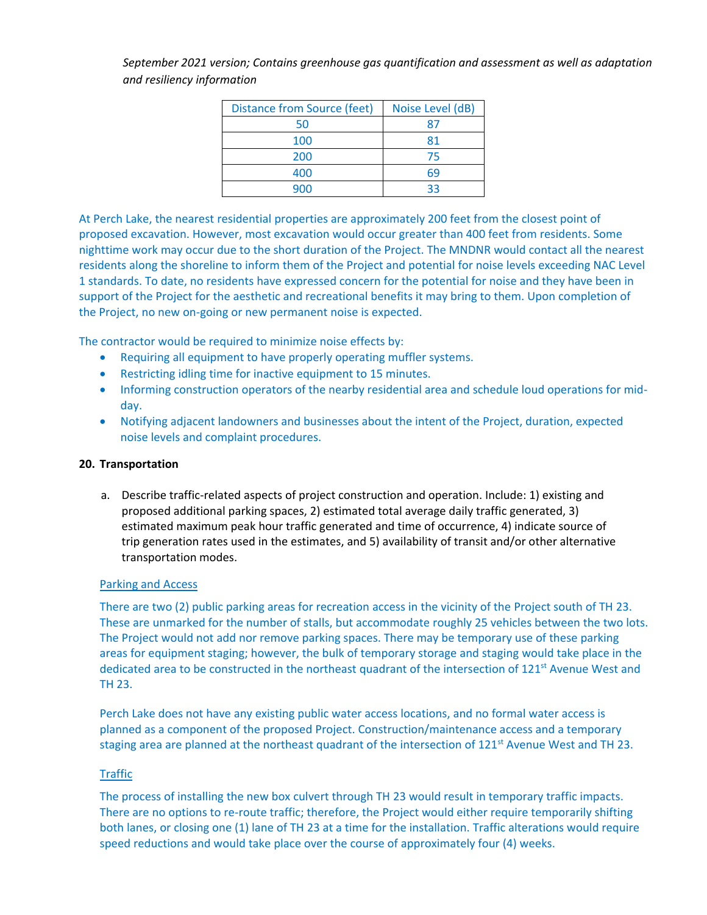| <b>Distance from Source (feet)</b> | Noise Level (dB) |
|------------------------------------|------------------|
| 50                                 |                  |
| 100                                | 81               |
| 200                                | 75               |
| 400                                | 69               |
| ദവ                                 | २२               |

At Perch Lake, the nearest residential properties are approximately 200 feet from the closest point of proposed excavation. However, most excavation would occur greater than 400 feet from residents. Some nighttime work may occur due to the short duration of the Project. The MNDNR would contact all the nearest residents along the shoreline to inform them of the Project and potential for noise levels exceeding NAC Level 1 standards. To date, no residents have expressed concern for the potential for noise and they have been in support of the Project for the aesthetic and recreational benefits it may bring to them. Upon completion of the Project, no new on-going or new permanent noise is expected.

The contractor would be required to minimize noise effects by:

- Requiring all equipment to have properly operating muffler systems.
- Restricting idling time for inactive equipment to 15 minutes.
- Informing construction operators of the nearby residential area and schedule loud operations for midday.
- Notifying adjacent landowners and businesses about the intent of the Project, duration, expected noise levels and complaint procedures.

# **20. Transportation**

a. Describe traffic-related aspects of project construction and operation. Include: 1) existing and proposed additional parking spaces, 2) estimated total average daily traffic generated, 3) estimated maximum peak hour traffic generated and time of occurrence, 4) indicate source of trip generation rates used in the estimates, and 5) availability of transit and/or other alternative transportation modes.

# Parking and Access

There are two (2) public parking areas for recreation access in the vicinity of the Project south of TH 23. These are unmarked for the number of stalls, but accommodate roughly 25 vehicles between the two lots. The Project would not add nor remove parking spaces. There may be temporary use of these parking areas for equipment staging; however, the bulk of temporary storage and staging would take place in the dedicated area to be constructed in the northeast quadrant of the intersection of 121<sup>st</sup> Avenue West and TH 23.

Perch Lake does not have any existing public water access locations, and no formal water access is planned as a component of the proposed Project. Construction/maintenance access and a temporary staging area are planned at the northeast quadrant of the intersection of 121<sup>st</sup> Avenue West and TH 23.

# Traffic

The process of installing the new box culvert through TH 23 would result in temporary traffic impacts. There are no options to re-route traffic; therefore, the Project would either require temporarily shifting both lanes, or closing one (1) lane of TH 23 at a time for the installation. Traffic alterations would require speed reductions and would take place over the course of approximately four (4) weeks.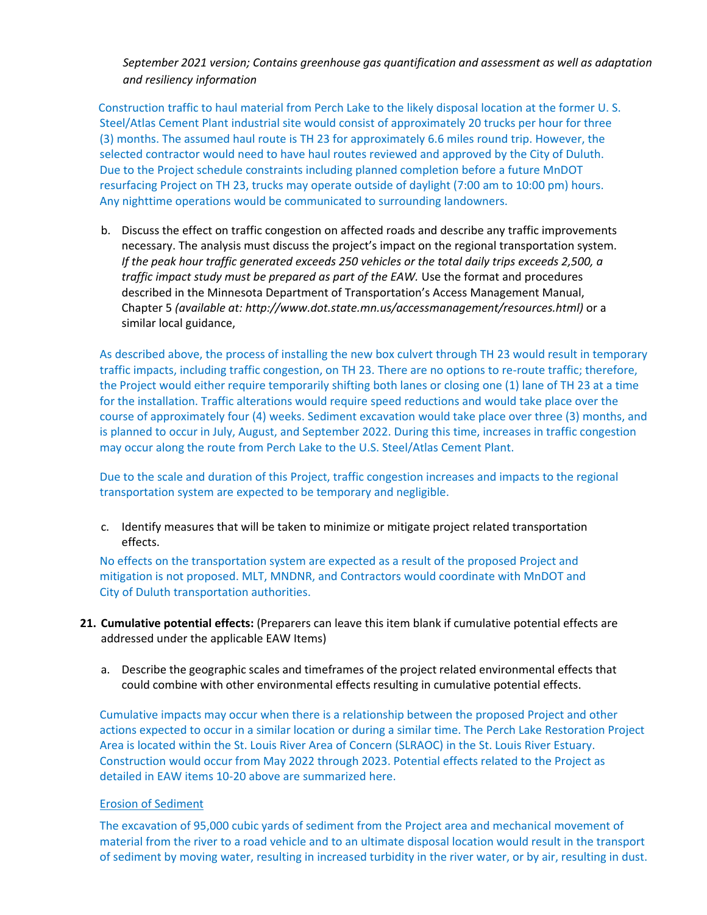Construction traffic to haul material from Perch Lake to the likely disposal location at the former U. S. Steel/Atlas Cement Plant industrial site would consist of approximately 20 trucks per hour for three (3) months. The assumed haul route is TH 23 for approximately 6.6 miles round trip. However, the selected contractor would need to have haul routes reviewed and approved by the City of Duluth. Due to the Project schedule constraints including planned completion before a future MnDOT resurfacing Project on TH 23, trucks may operate outside of daylight (7:00 am to 10:00 pm) hours. Any nighttime operations would be communicated to surrounding landowners.

b. Discuss the effect on traffic congestion on affected roads and describe any traffic improvements necessary. The analysis must discuss the project's impact on the regional transportation system. *If the peak hour traffic generated exceeds 250 vehicles or the total daily trips exceeds 2,500, a traffic impact study must be prepared as part of the EAW.* Use the format and procedures described in the Minnesota Department of Transportation's Access Management Manual, Chapter 5 *(available at[: http://www.dot.state.mn.us/accessmanagement/resources.html\)](http://www.dot.state.mn.us/accessmanagement/resources.html))* or a similar local guidance,

As described above, the process of installing the new box culvert through TH 23 would result in temporary traffic impacts, including traffic congestion, on TH 23. There are no options to re-route traffic; therefore, the Project would either require temporarily shifting both lanes or closing one (1) lane of TH 23 at a time for the installation. Traffic alterations would require speed reductions and would take place over the course of approximately four (4) weeks. Sediment excavation would take place over three (3) months, and is planned to occur in July, August, and September 2022. During this time, increases in traffic congestion may occur along the route from Perch Lake to the U.S. Steel/Atlas Cement Plant.

Due to the scale and duration of this Project, traffic congestion increases and impacts to the regional transportation system are expected to be temporary and negligible.

c. Identify measures that will be taken to minimize or mitigate project related transportation effects.

No effects on the transportation system are expected as a result of the proposed Project and mitigation is not proposed. MLT, MNDNR, and Contractors would coordinate with MnDOT and City of Duluth transportation authorities.

- **21. Cumulative potential effects:** (Preparers can leave this item blank if cumulative potential effects are addressed under the applicable EAW Items)
	- a. Describe the geographic scales and timeframes of the project related environmental effects that could combine with other environmental effects resulting in cumulative potential effects.

Cumulative impacts may occur when there is a relationship between the proposed Project and other actions expected to occur in a similar location or during a similar time. The Perch Lake Restoration Project Area is located within the St. Louis River Area of Concern (SLRAOC) in the St. Louis River Estuary. Construction would occur from May 2022 through 2023. Potential effects related to the Project as detailed in EAW items 10-20 above are summarized here.

#### Erosion of Sediment

The excavation of 95,000 cubic yards of sediment from the Project area and mechanical movement of material from the river to a road vehicle and to an ultimate disposal location would result in the transport of sediment by moving water, resulting in increased turbidity in the river water, or by air, resulting in dust.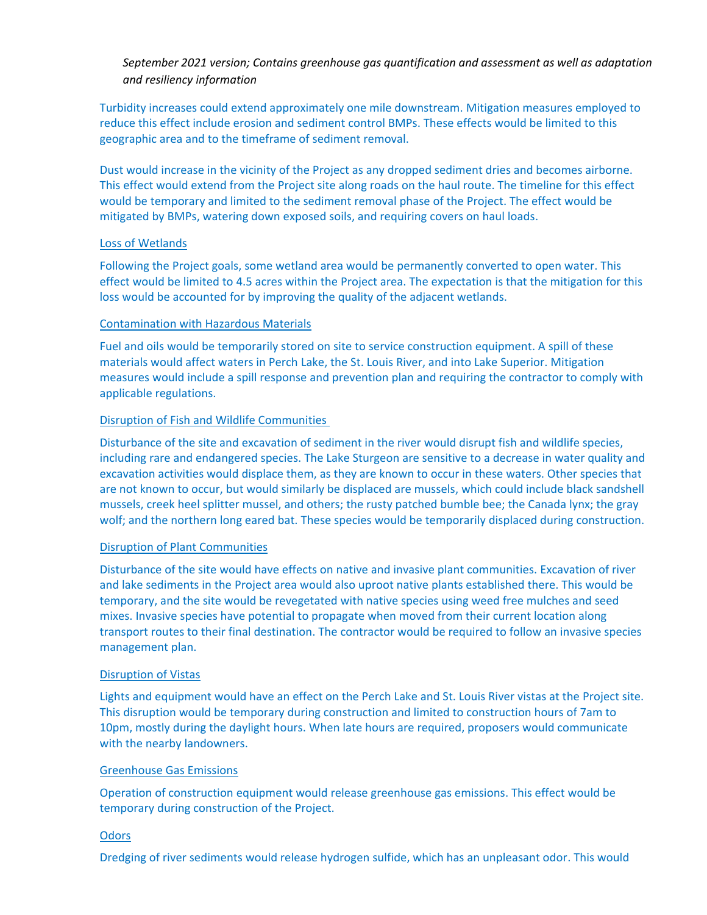Turbidity increases could extend approximately one mile downstream. Mitigation measures employed to reduce this effect include erosion and sediment control BMPs. These effects would be limited to this geographic area and to the timeframe of sediment removal.

Dust would increase in the vicinity of the Project as any dropped sediment dries and becomes airborne. This effect would extend from the Project site along roads on the haul route. The timeline for this effect would be temporary and limited to the sediment removal phase of the Project. The effect would be mitigated by BMPs, watering down exposed soils, and requiring covers on haul loads.

#### Loss of Wetlands

Following the Project goals, some wetland area would be permanently converted to open water. This effect would be limited to 4.5 acres within the Project area. The expectation is that the mitigation for this loss would be accounted for by improving the quality of the adjacent wetlands.

#### Contamination with Hazardous Materials

Fuel and oils would be temporarily stored on site to service construction equipment. A spill of these materials would affect waters in Perch Lake, the St. Louis River, and into Lake Superior. Mitigation measures would include a spill response and prevention plan and requiring the contractor to comply with applicable regulations.

#### Disruption of Fish and Wildlife Communities

Disturbance of the site and excavation of sediment in the river would disrupt fish and wildlife species, including rare and endangered species. The Lake Sturgeon are sensitive to a decrease in water quality and excavation activities would displace them, as they are known to occur in these waters. Other species that are not known to occur, but would similarly be displaced are mussels, which could include black sandshell mussels, creek heel splitter mussel, and others; the rusty patched bumble bee; the Canada lynx; the gray wolf; and the northern long eared bat. These species would be temporarily displaced during construction.

# Disruption of Plant Communities

Disturbance of the site would have effects on native and invasive plant communities. Excavation of river and lake sediments in the Project area would also uproot native plants established there. This would be temporary, and the site would be revegetated with native species using weed free mulches and seed mixes. Invasive species have potential to propagate when moved from their current location along transport routes to their final destination. The contractor would be required to follow an invasive species management plan.

#### Disruption of Vistas

Lights and equipment would have an effect on the Perch Lake and St. Louis River vistas at the Project site. This disruption would be temporary during construction and limited to construction hours of 7am to 10pm, mostly during the daylight hours. When late hours are required, proposers would communicate with the nearby landowners.

#### Greenhouse Gas Emissions

Operation of construction equipment would release greenhouse gas emissions. This effect would be temporary during construction of the Project.

#### **Odors**

Dredging of river sediments would release hydrogen sulfide, which has an unpleasant odor. This would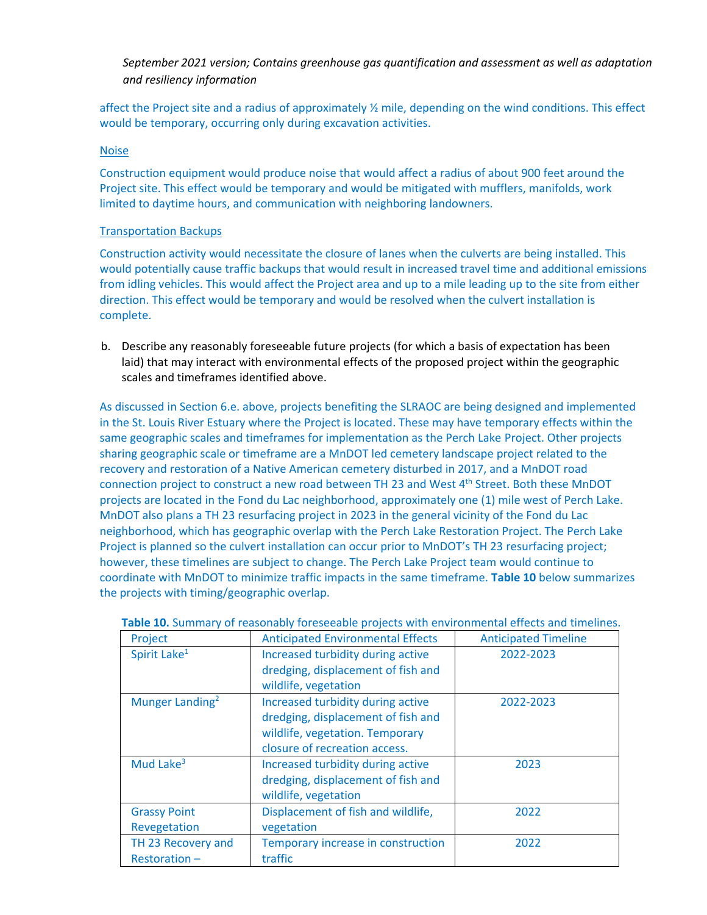affect the Project site and a radius of approximately ½ mile, depending on the wind conditions. This effect would be temporary, occurring only during excavation activities.

#### Noise

Construction equipment would produce noise that would affect a radius of about 900 feet around the Project site. This effect would be temporary and would be mitigated with mufflers, manifolds, work limited to daytime hours, and communication with neighboring landowners.

#### Transportation Backups

Construction activity would necessitate the closure of lanes when the culverts are being installed. This would potentially cause traffic backups that would result in increased travel time and additional emissions from idling vehicles. This would affect the Project area and up to a mile leading up to the site from either direction. This effect would be temporary and would be resolved when the culvert installation is complete.

b. Describe any reasonably foreseeable future projects (for which a basis of expectation has been laid) that may interact with environmental effects of the proposed project within the geographic scales and timeframes identified above.

As discussed in Section 6.e. above, projects benefiting the SLRAOC are being designed and implemented in the St. Louis River Estuary where the Project is located. These may have temporary effects within the same geographic scales and timeframes for implementation as the Perch Lake Project. Other projects sharing geographic scale or timeframe are a MnDOT led cemetery landscape project related to the recovery and restoration of a Native American cemetery disturbed in 2017, and a MnDOT road connection project to construct a new road between TH 23 and West 4th Street. Both these MnDOT projects are located in the Fond du Lac neighborhood, approximately one (1) mile west of Perch Lake. MnDOT also plans a TH 23 resurfacing project in 2023 in the general vicinity of the Fond du Lac neighborhood, which has geographic overlap with the Perch Lake Restoration Project. The Perch Lake Project is planned so the culvert installation can occur prior to MnDOT's TH 23 resurfacing project; however, these timelines are subject to change. The Perch Lake Project team would continue to coordinate with MnDOT to minimize traffic impacts in the same timeframe. **Table 10** below summarizes the projects with timing/geographic overlap.

| Project                             | <b>Anticipated Environmental Effects</b>                                                                                                    | <b>Anticipated Timeline</b> |
|-------------------------------------|---------------------------------------------------------------------------------------------------------------------------------------------|-----------------------------|
| Spirit Lake <sup>1</sup>            | Increased turbidity during active<br>dredging, displacement of fish and<br>wildlife, vegetation                                             | 2022-2023                   |
| Munger Landing <sup>2</sup>         | Increased turbidity during active<br>dredging, displacement of fish and<br>wildlife, vegetation. Temporary<br>closure of recreation access. | 2022-2023                   |
| Mud Lake <sup>3</sup>               | Increased turbidity during active<br>dredging, displacement of fish and<br>wildlife, vegetation                                             | 2023                        |
| <b>Grassy Point</b><br>Revegetation | Displacement of fish and wildlife,<br>vegetation                                                                                            | 2022                        |
| TH 23 Recovery and<br>Restoration-  | Temporary increase in construction<br>traffic                                                                                               | 2022                        |

#### **Table 10.** Summary of reasonably foreseeable projects with environmental effects and timelines.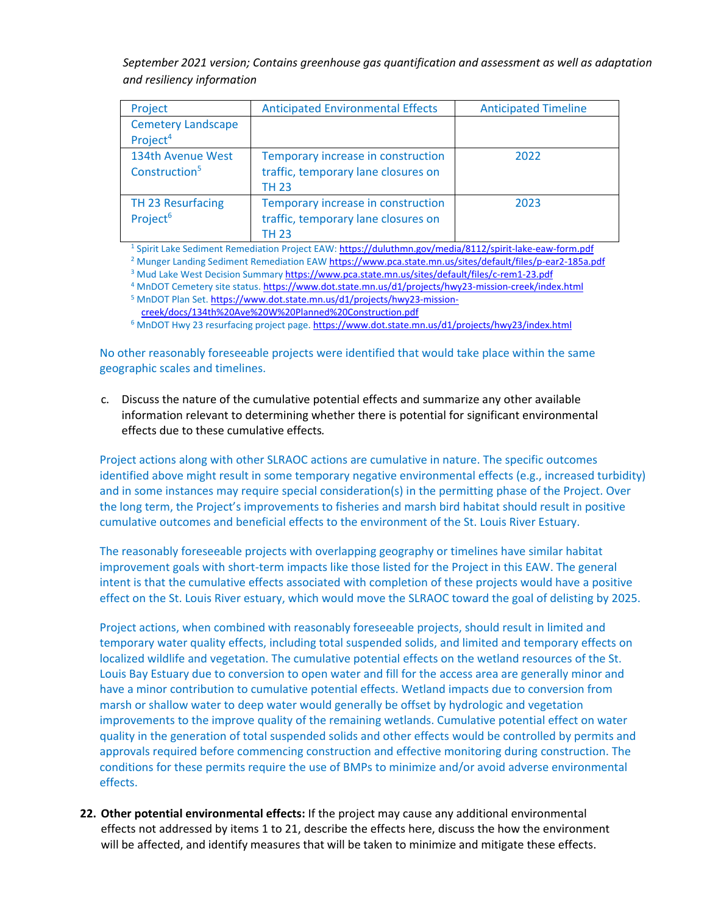| Project                                           | <b>Anticipated Environmental Effects</b>                                                  | <b>Anticipated Timeline</b> |
|---------------------------------------------------|-------------------------------------------------------------------------------------------|-----------------------------|
| <b>Cemetery Landscape</b><br>Project <sup>4</sup> |                                                                                           |                             |
| 134th Avenue West<br>Construction <sup>5</sup>    | Temporary increase in construction<br>traffic, temporary lane closures on<br><b>TH 23</b> | 2022                        |
| TH 23 Resurfacing<br>Project <sup>6</sup>         | Temporary increase in construction<br>traffic, temporary lane closures on<br>TH 23        | 2023                        |

<sup>1</sup> Spirit Lake Sediment Remediation Project EAW:<https://duluthmn.gov/media/8112/spirit-lake-eaw-form.pdf>

<sup>2</sup> Munger Landing Sediment Remediation EA[W https://www.pca.state.mn.us/sites/default/files/p-ear2-185a.pdf](https://www.pca.state.mn.us/sites/default/files/p-ear2-185a.pdf)

- <sup>3</sup> Mud Lake West Decision Summar[y https://www.pca.state.mn.us/sites/default/files/c-rem1-23.pdf](https://www.pca.state.mn.us/sites/default/files/c-rem1-23.pdf)
- <sup>4</sup> MnDOT Cemetery site status[. https://www.dot.state.mn.us/d1/projects/hwy23-mission-creek/index.html](https://www.dot.state.mn.us/d1/projects/hwy23-mission-creek/index.html) <sup>5</sup> MnDOT Plan Set[. https://www.dot.state.mn.us/d1/projects/hwy23-mission-](https://www.dot.state.mn.us/d1/projects/hwy23-mission-creek/docs/134th%20Ave%20W%20Planned%20Construction.pdf)

[creek/docs/134th%20Ave%20W%20Planned%20Construction.pdf](https://www.dot.state.mn.us/d1/projects/hwy23-mission-creek/docs/134th%20Ave%20W%20Planned%20Construction.pdf)

<sup>6</sup> MnDOT Hwy 23 resurfacing project page[. https://www.dot.state.mn.us/d1/projects/hwy23/index.html](https://www.dot.state.mn.us/d1/projects/hwy23/index.html)

No other reasonably foreseeable projects were identified that would take place within the same geographic scales and timelines.

c. Discuss the nature of the cumulative potential effects and summarize any other available information relevant to determining whether there is potential for significant environmental effects due to these cumulative effects*.*

Project actions along with other SLRAOC actions are cumulative in nature. The specific outcomes identified above might result in some temporary negative environmental effects (e.g., increased turbidity) and in some instances may require special consideration(s) in the permitting phase of the Project. Over the long term, the Project's improvements to fisheries and marsh bird habitat should result in positive cumulative outcomes and beneficial effects to the environment of the St. Louis River Estuary.

The reasonably foreseeable projects with overlapping geography or timelines have similar habitat improvement goals with short-term impacts like those listed for the Project in this EAW. The general intent is that the cumulative effects associated with completion of these projects would have a positive effect on the St. Louis River estuary, which would move the SLRAOC toward the goal of delisting by 2025.

Project actions, when combined with reasonably foreseeable projects, should result in limited and temporary water quality effects, including total suspended solids, and limited and temporary effects on localized wildlife and vegetation. The cumulative potential effects on the wetland resources of the St. Louis Bay Estuary due to conversion to open water and fill for the access area are generally minor and have a minor contribution to cumulative potential effects. Wetland impacts due to conversion from marsh or shallow water to deep water would generally be offset by hydrologic and vegetation improvements to the improve quality of the remaining wetlands. Cumulative potential effect on water quality in the generation of total suspended solids and other effects would be controlled by permits and approvals required before commencing construction and effective monitoring during construction. The conditions for these permits require the use of BMPs to minimize and/or avoid adverse environmental effects.

**22. Other potential environmental effects:** If the project may cause any additional environmental effects not addressed by items 1 to 21, describe the effects here, discuss the how the environment will be affected, and identify measures that will be taken to minimize and mitigate these effects.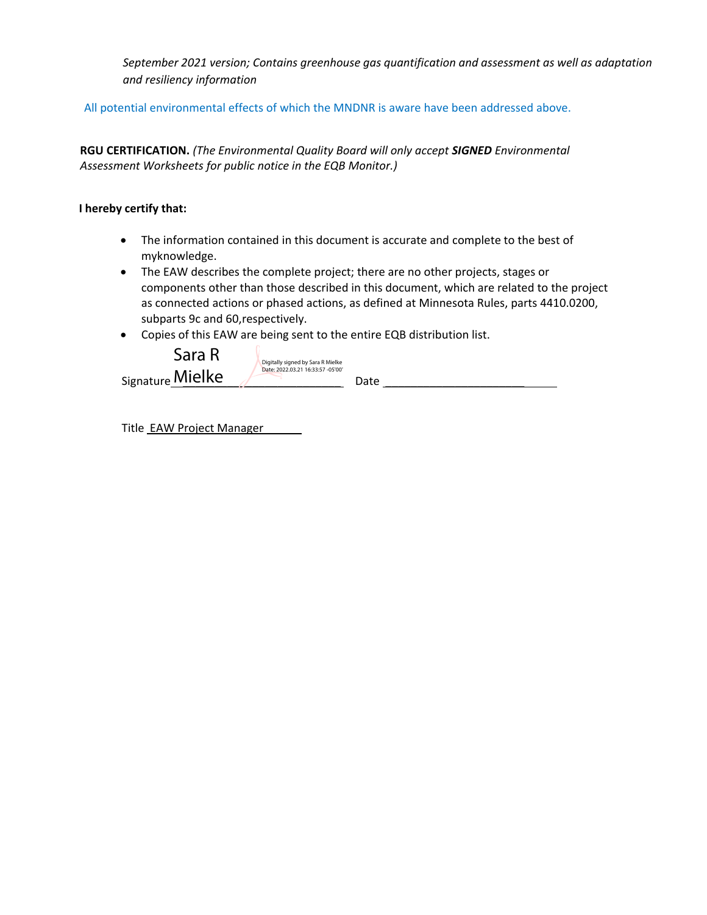All potential environmental effects of which the MNDNR is aware have been addressed above.

**RGU CERTIFICATION.** *(The Environmental Quality Board will only accept SIGNED Environmental Assessment Worksheets for public notice in the EQB Monitor.)*

# **I hereby certify that:**

- The information contained in this document is accurate and complete to the best of myknowledge.
- The EAW describes the complete project; there are no other projects, stages or components other than those described in this document, which are related to the project as connected actions or phased actions, as defined at Minnesota Rules, parts 4410.0200, subparts 9c and 60,respectively.
- Copies of this EAW are being sent to the entire EQB distribution list.



Title EAW Project Manager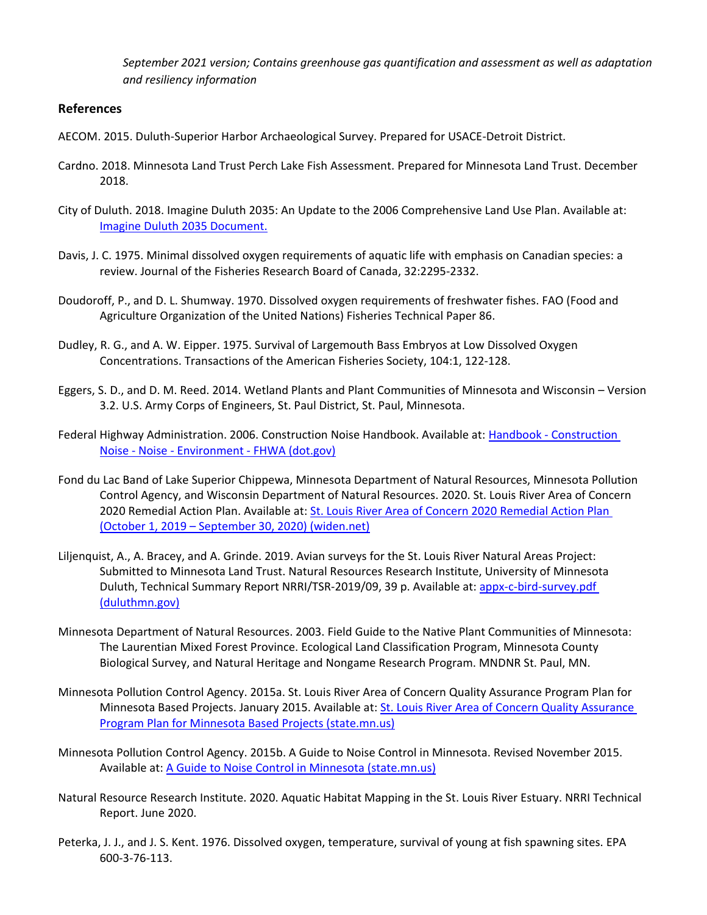# **References**

- AECOM. 2015. Duluth-Superior Harbor Archaeological Survey. Prepared for USACE-Detroit District.
- Cardno. 2018. Minnesota Land Trust Perch Lake Fish Assessment. Prepared for Minnesota Land Trust. December 2018.
- City of Duluth. 2018. Imagine Duluth 2035: An Update to the 2006 Comprehensive Land Use Plan. Available at: [Imagine Duluth 2035 Document.](http://www.imagineduluth.com/document)
- Davis, J. C. 1975. Minimal dissolved oxygen requirements of aquatic life with emphasis on Canadian species: a review. Journal of the Fisheries Research Board of Canada, 32:2295-2332.
- Doudoroff, P., and D. L. Shumway. 1970. Dissolved oxygen requirements of freshwater fishes. FAO (Food and Agriculture Organization of the United Nations) Fisheries Technical Paper 86.
- Dudley, R. G., and A. W. Eipper. 1975. Survival of Largemouth Bass Embryos at Low Dissolved Oxygen Concentrations. Transactions of the American Fisheries Society, 104:1, 122-128.
- Eggers, S. D., and D. M. Reed. 2014. Wetland Plants and Plant Communities of Minnesota and Wisconsin Version 3.2. U.S. Army Corps of Engineers, St. Paul District, St. Paul, Minnesota.
- Federal Highway Administration. 2006. Construction Noise Handbook. Available at: Handbook [Construction](https://www.fhwa.dot.gov/environment/noise/construction_noise/handbook/)  Noise - Noise - Environment - [FHWA \(dot.gov\)](https://www.fhwa.dot.gov/environment/noise/construction_noise/handbook/)
- Fond du Lac Band of Lake Superior Chippewa, Minnesota Department of Natural Resources, Minnesota Pollution Control Agency, and Wisconsin Department of Natural Resources. 2020. St. Louis River Area of Concern 2020 Remedial Action Plan. Available at: [St. Louis River Area of Concern 2020 Remedial Action Plan](https://widnr.widen.net/content/tsmr1ygmbp/pdf/GW_SLR_RAP2020.pdf)  (October 1, 2019 – [September 30, 2020\) \(widen.net\)](https://widnr.widen.net/content/tsmr1ygmbp/pdf/GW_SLR_RAP2020.pdf)
- Liljenquist, A., A. Bracey, and A. Grinde. 2019. Avian surveys for the St. Louis River Natural Areas Project: Submitted to Minnesota Land Trust. Natural Resources Research Institute, University of Minnesota Duluth, Technical Summary Report NRRI/TSR-2019/09, 39 p. Available at: [appx-c-bird-survey.pdf](https://duluthmn.gov/media/6729/appx-c-bird-survey.pdf)  [\(duluthmn.gov\)](https://duluthmn.gov/media/6729/appx-c-bird-survey.pdf)
- Minnesota Department of Natural Resources. 2003. Field Guide to the Native Plant Communities of Minnesota: The Laurentian Mixed Forest Province. Ecological Land Classification Program, Minnesota County Biological Survey, and Natural Heritage and Nongame Research Program. MNDNR St. Paul, MN.
- Minnesota Pollution Control Agency. 2015a. St. Louis River Area of Concern Quality Assurance Program Plan for Minnesota Based Projects. January 2015. Available at[: St. Louis River Area of Concern Quality Assurance](https://www.pca.state.mn.us/sites/default/files/p-eao2-20.pdf)  [Program Plan for Minnesota Based Projects \(state.mn.us\)](https://www.pca.state.mn.us/sites/default/files/p-eao2-20.pdf)
- Minnesota Pollution Control Agency. 2015b. A Guide to Noise Control in Minnesota. Revised November 2015. Available at: [A Guide to Noise Control in Minnesota \(state.mn.us\)](https://www.pca.state.mn.us/sites/default/files/p-gen6-01.pdf)
- Natural Resource Research Institute. 2020. Aquatic Habitat Mapping in the St. Louis River Estuary. NRRI Technical Report. June 2020.
- Peterka, J. J., and J. S. Kent. 1976. Dissolved oxygen, temperature, survival of young at fish spawning sites. EPA 600-3-76-113.